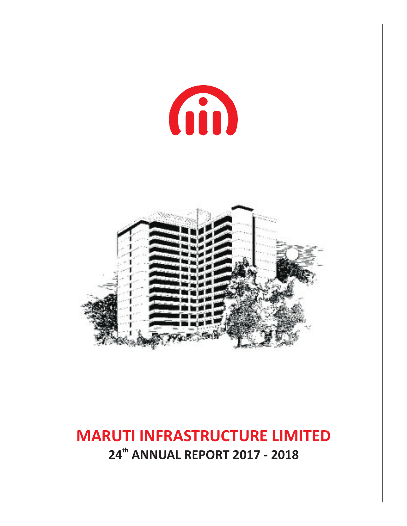

## **MARUTI INFRASTRUCTURE LIMITED th 24 ANNUAL REPORT 2017 - 2018**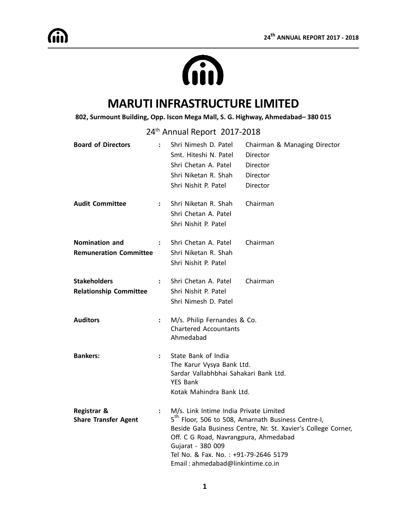# Gin

## **MARUTI INFRASTRUCTURE LIMITED**

#### **802, Surmount Building, Opp. Iscon Mega Mall, S. G. Highway, Ahmedabad– 380 015**

24<sup>th</sup> Annual Report 2017-2018

| <b>Board of Directors</b>                             | $\ddot{\phantom{a}}$ | Shri Nimesh D. Patel<br>Smt. Hiteshi N. Patel<br>Shri Chetan A. Patel<br>Shri Niketan R. Shah<br>Shri Nishit P. Patel                                                             | Chairman & Managing Director<br>Director<br>Director<br>Director<br>Director                                                    |
|-------------------------------------------------------|----------------------|-----------------------------------------------------------------------------------------------------------------------------------------------------------------------------------|---------------------------------------------------------------------------------------------------------------------------------|
| <b>Audit Committee</b>                                | $\mathbf{L}$         | Shri Niketan R. Shah<br>Shri Chetan A. Patel<br>Shri Nishit P. Patel                                                                                                              | Chairman                                                                                                                        |
| Nomination and<br><b>Remuneration Committee</b>       | $\ddot{\phantom{a}}$ | Shri Chetan A. Patel<br>Shri Niketan R. Shah<br>Shri Nishit P. Patel                                                                                                              | Chairman                                                                                                                        |
| <b>Stakeholders</b><br><b>Relationship Committee</b>  | $\ddot{\phantom{a}}$ | Shri Chetan A. Patel<br>Shri Nishit P. Patel<br>Shri Nimesh D. Patel                                                                                                              | Chairman                                                                                                                        |
| <b>Auditors</b>                                       | $\ddot{\cdot}$       | M/s. Philip Fernandes & Co.<br><b>Chartered Accountants</b><br>Ahmedabad                                                                                                          |                                                                                                                                 |
| <b>Bankers:</b>                                       | $\ddot{\phantom{a}}$ | State Bank of India<br>The Karur Vysya Bank Ltd.<br>Sardar Vallabhbhai Sahakari Bank Ltd.<br><b>YES Bank</b><br>Kotak Mahindra Bank Ltd.                                          |                                                                                                                                 |
| <b>Registrar &amp;</b><br><b>Share Transfer Agent</b> | $\ddot{\phantom{a}}$ | M/s. Link Intime India Private Limited<br>Off. C G Road, Navrangpura, Ahmedabad<br>Gujarat - 380 009<br>Tel No. & Fax. No.: +91-79-2646 5179<br>Email: ahmedabad@linkintime.co.in | 5 <sup>th</sup> Floor, 506 to 508, Amarnath Business Centre-I,<br>Beside Gala Business Centre, Nr. St. Xavier's College Corner, |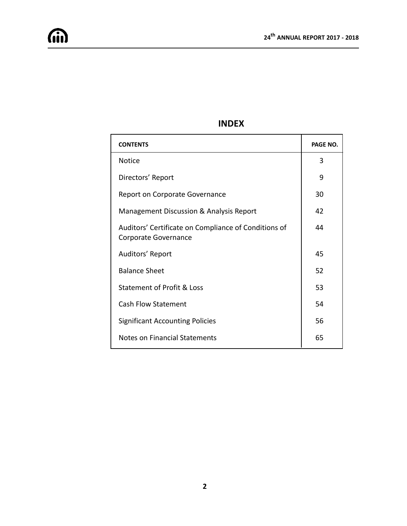## **INDEX**

| <b>CONTENTS</b>                                                              | PAGE NO. |
|------------------------------------------------------------------------------|----------|
| Notice                                                                       | 3        |
| Directors' Report                                                            | 9        |
| Report on Corporate Governance                                               | 30       |
| Management Discussion & Analysis Report                                      | 42       |
| Auditors' Certificate on Compliance of Conditions of<br>Corporate Governance | 44       |
| Auditors' Report                                                             | 45       |
| <b>Balance Sheet</b>                                                         | 52       |
| <b>Statement of Profit &amp; Loss</b>                                        | 53       |
| <b>Cash Flow Statement</b>                                                   | 54       |
| <b>Significant Accounting Policies</b>                                       | 56       |
| Notes on Financial Statements                                                | 65       |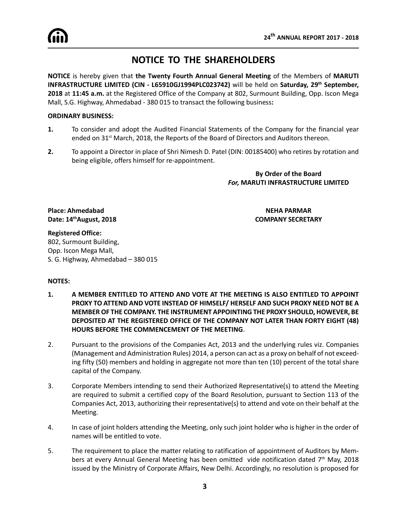## **NOTICE TO THE SHAREHOLDERS**

**NOTICE** is hereby given that **the Twenty Fourth Annual General Meeting** of the Members of **MARUTI INFRASTRUCTURE LIMITED (CIN - L65910GJ1994PLC023742)** will be held on **Saturday, 29th September, 2018** at **11:45 a.m.** at the Registered Office of the Company at 802, Surmount Building, Opp. Iscon Mega Mall, S.G. Highway, Ahmedabad - 380 015 to transact the following business**:**

#### **ORDINARY BUSINESS:**

- **1.** To consider and adopt the Audited Financial Statements of the Company for the financial year ended on 31<sup>st</sup> March, 2018, the Reports of the Board of Directors and Auditors thereon.
- **2.** To appoint a Director in place of Shri Nimesh D. Patel (DIN: 00185400) who retires by rotation and being eligible, offers himself for re-appointment.

**By Order of the Board** *For,* **MARUTI INFRASTRUCTURE LIMITED**

**Place: Ahmedabad NEHA PARMAR Date: 14thAugust, 2018 COMPANY SECRETARY**

#### **Registered Office:** 802, Surmount Building, Opp. Iscon Mega Mall, S. G. Highway, Ahmedabad – 380 015

#### **NOTES:**

- **1. A MEMBER ENTITLED TO ATTEND AND VOTE AT THE MEETING IS ALSO ENTITLED TO APPOINT PROXY TO ATTEND AND VOTE INSTEAD OF HIMSELF/ HERSELF AND SUCH PROXY NEED NOT BE A MEMBER OF THE COMPANY. THE INSTRUMENT APPOINTING THE PROXY SHOULD, HOWEVER, BE DEPOSITED AT THE REGISTERED OFFICE OF THE COMPANY NOT LATER THAN FORTY EIGHT (48) HOURS BEFORE THE COMMENCEMENT OF THE MEETING**.
- 2. Pursuant to the provisions of the Companies Act, 2013 and the underlying rules viz. Companies (Management and Administration Rules) 2014, a person can act as a proxy on behalf of not exceeding fifty (50) members and holding in aggregate not more than ten (10) percent of the total share capital of the Company.
- 3. Corporate Members intending to send their Authorized Representative(s) to attend the Meeting are required to submit a certified copy of the Board Resolution, pursuant to Section 113 of the Companies Act, 2013, authorizing their representative(s) to attend and vote on their behalf at the Meeting.
- 4. In case of joint holders attending the Meeting, only such joint holder who is higher in the order of names will be entitled to vote.
- 5. The requirement to place the matter relating to ratification of appointment of Auditors by Members at every Annual General Meeting has been omitted vide notification dated  $7<sup>th</sup>$  May, 2018 issued by the Ministry of Corporate Affairs, New Delhi. Accordingly, no resolution is proposed for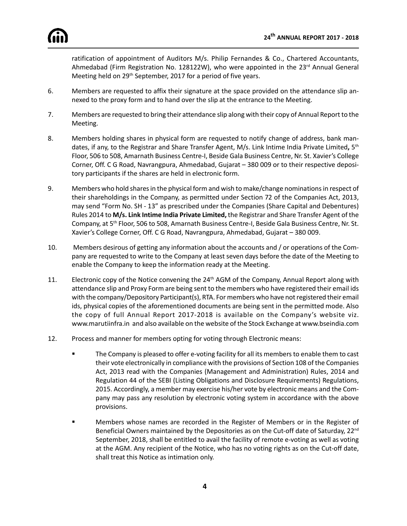ratification of appointment of Auditors M/s. Philip Fernandes & Co., Chartered Accountants, Ahmedabad (Firm Registration No. 128122W), who were appointed in the 23<sup>rd</sup> Annual General Meeting held on 29<sup>th</sup> September, 2017 for a period of five years.

- 6. Members are requested to affix their signature at the space provided on the attendance slip annexed to the proxy form and to hand over the slip at the entrance to the Meeting.
- 7. Members are requested to bring their attendance slip along with their copy of Annual Report to the Meeting.
- 8. Members holding shares in physical form are requested to notify change of address, bank mandates, if any, to the Registrar and Share Transfer Agent, M/s. Link Intime India Private Limited**,** 5th Floor, 506 to 508, Amarnath Business Centre-I, Beside Gala Business Centre, Nr. St. Xavier's College Corner, Off. C G Road, Navrangpura, Ahmedabad, Gujarat – 380 009 or to their respective depository participants if the shares are held in electronic form.
- 9. Members who hold shares in the physical form and wish to make/change nominations in respect of their shareholdings in the Company, as permitted under Section 72 of the Companies Act, 2013, may send "Form No. SH - 13" as prescribed under the Companies (Share Capital and Debentures) Rules 2014 to **M/s. Link Intime India Private Limited,** the Registrar and Share Transfer Agent of the Company, at 5th Floor, 506 to 508, Amarnath Business Centre-I, Beside Gala Business Centre, Nr. St. Xavier's College Corner, Off. C G Road, Navrangpura, Ahmedabad, Gujarat – 380 009.
- 10. Members desirous of getting any information about the accounts and / or operations of the Company are requested to write to the Company at least seven days before the date of the Meeting to enable the Company to keep the information ready at the Meeting.
- 11. Electronic copy of the Notice convening the 24<sup>th</sup> AGM of the Company, Annual Report along with attendance slip and Proxy Form are being sent to the members who have registered their email ids with the company/Depository Participant(s), RTA. For members who have not registered their email ids, physical copies of the aforementioned documents are being sent in the permitted mode. Also the copy of full Annual Report 2017-2018 is available on the Company's website viz. www.marutiinfra.in and also available on the website of the Stock Exchange at www.bseindia.com
- 12. Process and manner for members opting for voting through Electronic means:
	- **Fact The Company is pleased to offer e-voting facility for all its members to enable them to cast** their vote electronically in compliance with the provisions of Section 108 of the Companies Act, 2013 read with the Companies (Management and Administration) Rules, 2014 and Regulation 44 of the SEBI (Listing Obligations and Disclosure Requirements) Regulations, 2015. Accordingly, a member may exercise his/her vote by electronic means and the Company may pass any resolution by electronic voting system in accordance with the above provisions.
	- ß Members whose names are recorded in the Register of Members or in the Register of Beneficial Owners maintained by the Depositories as on the Cut-off date of Saturday, 22<sup>nd</sup> September, 2018, shall be entitled to avail the facility of remote e-voting as well as voting at the AGM. Any recipient of the Notice, who has no voting rights as on the Cut-off date, shall treat this Notice as intimation only.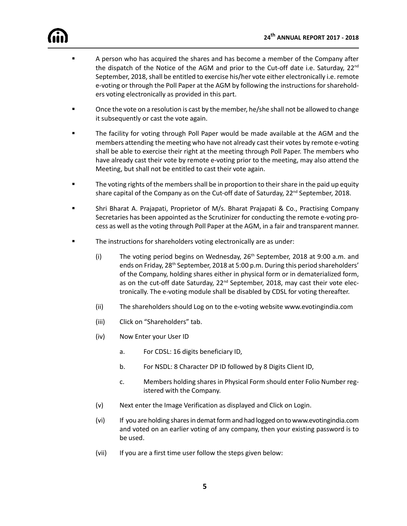

- **EXECT** A person who has acquired the shares and has become a member of the Company after the dispatch of the Notice of the AGM and prior to the Cut-off date i.e. Saturday, 22<sup>nd</sup> September, 2018, shall be entitled to exercise his/her vote either electronically i.e. remote e-voting or through the Poll Paper at the AGM by following the instructions for shareholders voting electronically as provided in this part.
- Once the vote on a resolution is cast by the member, he/she shall not be allowed to change it subsequently or cast the vote again.
- ß The facility for voting through Poll Paper would be made available at the AGM and the members attending the meeting who have not already cast their votes by remote e-voting shall be able to exercise their right at the meeting through Poll Paper. The members who have already cast their vote by remote e-voting prior to the meeting, may also attend the Meeting, but shall not be entitled to cast their vote again.
- ß The voting rights of the members shall be in proportion to their share in the paid up equity share capital of the Company as on the Cut-off date of Saturday, 22<sup>nd</sup> September, 2018.
- **Shri Bharat A. Prajapati, Proprietor of M/s. Bharat Prajapati & Co., Practising Company** Secretaries has been appointed as the Scrutinizer for conducting the remote e-voting process as well as the voting through Poll Paper at the AGM, in a fair and transparent manner.
- The instructions for shareholders voting electronically are as under:
	- (i) The voting period begins on Wednesday,  $26<sup>th</sup>$  September, 2018 at 9:00 a.m. and ends on Friday, 28<sup>th</sup> September, 2018 at 5:00 p.m. During this period shareholders' of the Company, holding shares either in physical form or in dematerialized form, as on the cut-off date Saturday, 22<sup>nd</sup> September, 2018, may cast their vote electronically. The e-voting module shall be disabled by CDSL for voting thereafter.
	- (ii) The shareholders should Log on to the e-voting website www.evotingindia.com
	- (iii) Click on "Shareholders" tab.
	- (iv) Now Enter your User ID
		- a. For CDSL: 16 digits beneficiary ID,
		- b. For NSDL: 8 Character DP ID followed by 8 Digits Client ID,
		- c. Members holding shares in Physical Form should enter Folio Number registered with the Company.
	- (v) Next enter the Image Verification as displayed and Click on Login.
	- (vi) If you are holding shares in demat form and had logged on to www.evotingindia.com and voted on an earlier voting of any company, then your existing password is to be used.
	- (vii) If you are a first time user follow the steps given below: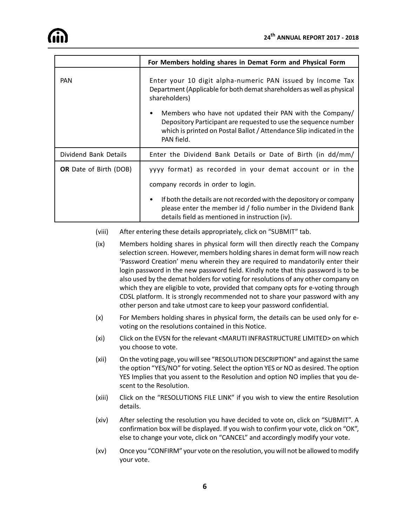|                               | For Members holding shares in Demat Form and Physical Form                                                                                                                                                             |  |  |  |  |  |
|-------------------------------|------------------------------------------------------------------------------------------------------------------------------------------------------------------------------------------------------------------------|--|--|--|--|--|
| <b>PAN</b>                    | Enter your 10 digit alpha-numeric PAN issued by Income Tax<br>Department (Applicable for both demat shareholders as well as physical<br>shareholders)                                                                  |  |  |  |  |  |
|                               | Members who have not updated their PAN with the Company/<br>٠<br>Depository Participant are requested to use the sequence number<br>which is printed on Postal Ballot / Attendance Slip indicated in the<br>PAN field. |  |  |  |  |  |
| Dividend Bank Details         | Enter the Dividend Bank Details or Date of Birth (in dd/mm/                                                                                                                                                            |  |  |  |  |  |
| <b>OR</b> Date of Birth (DOB) | yyyy format) as recorded in your demat account or in the<br>company records in order to login.                                                                                                                         |  |  |  |  |  |
|                               | If both the details are not recorded with the depository or company<br>please enter the member id / folio number in the Dividend Bank<br>details field as mentioned in instruction (iv).                               |  |  |  |  |  |

- (viii) After entering these details appropriately, click on "SUBMIT" tab.
- (ix) Members holding shares in physical form will then directly reach the Company selection screen. However, members holding shares in demat form will now reach 'Password Creation' menu wherein they are required to mandatorily enter their login password in the new password field. Kindly note that this password is to be also used by the demat holders for voting for resolutions of any other company on which they are eligible to vote, provided that company opts for e-voting through CDSL platform. It is strongly recommended not to share your password with any other person and take utmost care to keep your password confidential.
- (x) For Members holding shares in physical form, the details can be used only for evoting on the resolutions contained in this Notice.
- (xi) Click on the EVSN for the relevant <MARUTI INFRASTRUCTURE LIMITED> on which you choose to vote.
- (xii) On the voting page, you will see "RESOLUTION DESCRIPTION" and against the same the option "YES/NO" for voting. Select the option YES or NO as desired. The option YES Implies that you assent to the Resolution and option NO implies that you descent to the Resolution.
- (xiii) Click on the "RESOLUTIONS FILE LINK" if you wish to view the entire Resolution details.
- (xiv) After selecting the resolution you have decided to vote on, click on "SUBMIT". A confirmation box will be displayed. If you wish to confirm your vote, click on "OK", else to change your vote, click on "CANCEL" and accordingly modify your vote.
- (xv) Once you "CONFIRM" your vote on the resolution, you will not be allowed to modify your vote.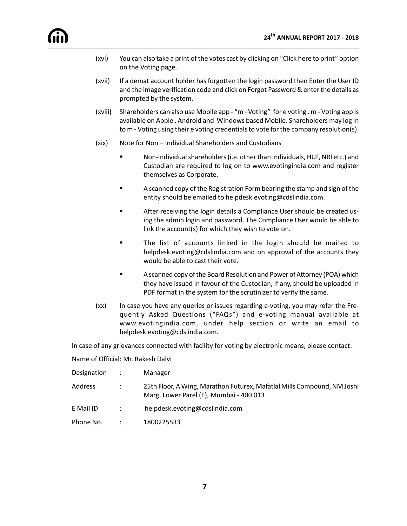- (xvi) You can also take a print of the votes cast by clicking on "Click here to print" option on the Voting page.
- (xvii) If a demat account holder has forgotten the login password then Enter the User ID and the image verification code and click on Forgot Password & enter the details as prompted by the system.
- (xviii) Shareholders can also use Mobile app "m Voting" for e voting . m Voting app is available on Apple , Android and Windows based Mobile. Shareholders may log in to m - Voting using their e voting credentials to vote for the company resolution(s).
- (xix) Note for Non Individual Shareholders and Custodians
	- ß Non-Individual shareholders (i.e. other than Individuals, HUF, NRI etc.) and Custodian are required to log on to www.evotingindia.com and register themselves as Corporate.
	- **Example A** scanned copy of the Registration Form bearing the stamp and sign of the entity should be emailed to helpdesk.evoting@cdslindia.com.
	- ß After receiving the login details a Compliance User should be created using the admin login and password. The Compliance User would be able to link the account(s) for which they wish to vote on.
	- **Fack** The list of accounts linked in the login should be mailed to helpdesk.evoting@cdslindia.com and on approval of the accounts they would be able to cast their vote.
	- ß A scanned copy of the Board Resolution and Power of Attorney (POA) which they have issued in favour of the Custodian, if any, should be uploaded in PDF format in the system for the scrutinizer to verify the same.
- (xx) In case you have any queries or issues regarding e-voting, you may refer the Frequently Asked Questions ("FAQs") and e-voting manual available at www.evotingindia.com, under help section or write an email to helpdesk.evoting@cdslindia.com.

In case of any grievances connected with facility for voting by electronic means, please contact:

Name of Official: Mr. Rakesh Dalvi

| Designation | $\sim 1000$       | Manager                                                                                                            |
|-------------|-------------------|--------------------------------------------------------------------------------------------------------------------|
| Address     | $\mathcal{L}$     | 25th Floor, A Wing, Marathon Futurex, Mafatlal Mills Compound, NM Joshi<br>Marg, Lower Parel (E), Mumbai - 400 013 |
| E Mail ID   | <b>Contractor</b> | helpdesk.evoting@cdslindia.com                                                                                     |
| Phone No.   |                   | 1800225533                                                                                                         |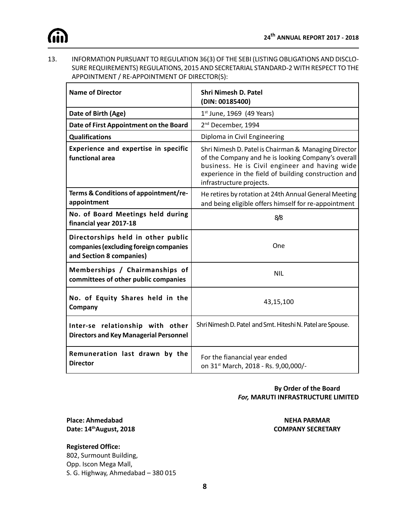

13. INFORMATION PURSUANT TO REGULATION 36(3) OF THE SEBI (LISTING OBLIGATIONS AND DISCLO-SURE REQUIREMENTS) REGULATIONS, 2015 AND SECRETARIAL STANDARD-2 WITH RESPECT TO THE APPOINTMENT / RE-APPOINTMENT OF DIRECTOR(S):

| <b>Name of Director</b>                                                                                  | <b>Shri Nimesh D. Patel</b><br>(DIN: 00185400)                                                                                                                                                                                                   |
|----------------------------------------------------------------------------------------------------------|--------------------------------------------------------------------------------------------------------------------------------------------------------------------------------------------------------------------------------------------------|
| Date of Birth (Age)                                                                                      | $1^{st}$ June, 1969 (49 Years)                                                                                                                                                                                                                   |
| Date of First Appointment on the Board                                                                   | 2 <sup>nd</sup> December, 1994                                                                                                                                                                                                                   |
| <b>Qualifications</b>                                                                                    | Diploma in Civil Engineering                                                                                                                                                                                                                     |
| <b>Experience and expertise in specific</b><br>functional area                                           | Shri Nimesh D. Patel is Chairman & Managing Director<br>of the Company and he is looking Company's overall<br>business. He is Civil engineer and having wide<br>experience in the field of building construction and<br>infrastructure projects. |
| Terms & Conditions of appointment/re-<br>appointment                                                     | He retires by rotation at 24th Annual General Meeting<br>and being eligible offers himself for re-appointment                                                                                                                                    |
| No. of Board Meetings held during<br>financial year 2017-18                                              | 8/8                                                                                                                                                                                                                                              |
| Directorships held in other public<br>companies (excluding foreign companies<br>and Section 8 companies) | One                                                                                                                                                                                                                                              |
| Memberships / Chairmanships of<br>committees of other public companies                                   | <b>NIL</b>                                                                                                                                                                                                                                       |
| No. of Equity Shares held in the<br>Company                                                              | 43,15,100                                                                                                                                                                                                                                        |
| Inter-se relationship with other<br><b>Directors and Key Managerial Personnel</b>                        | Shri Nimesh D. Patel and Smt. Hiteshi N. Patel are Spouse.                                                                                                                                                                                       |
| Remuneration last drawn by the<br><b>Director</b>                                                        | For the fianancial year ended<br>on 31 <sup>st</sup> March, 2018 - Rs. 9,00,000/-                                                                                                                                                                |

#### **By Order of the Board** *For,* **MARUTI INFRASTRUCTURE LIMITED**

**Place: Ahmedabad NEHA PARMAR Date: 14thAugust, 2018 COMPANY SECRETARY**

**Registered Office:** 802, Surmount Building, Opp. Iscon Mega Mall, S. G. Highway, Ahmedabad – 380 015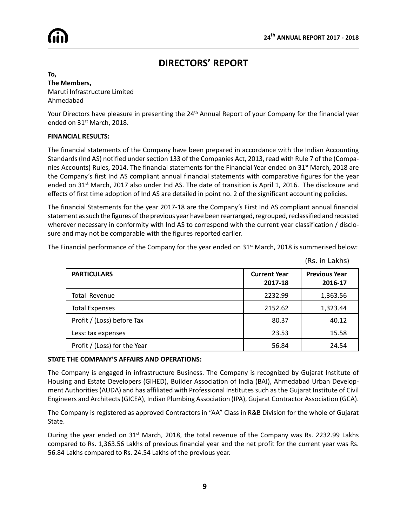(Rs. in Lakhs)



## **DIRECTORS' REPORT**

**To, The Members,** Maruti Infrastructure Limited Ahmedabad

Your Directors have pleasure in presenting the 24<sup>th</sup> Annual Report of your Company for the financial year ended on 31<sup>st</sup> March, 2018.

#### **FINANCIAL RESULTS:**

The financial statements of the Company have been prepared in accordance with the Indian Accounting Standards (Ind AS) notified under section 133 of the Companies Act, 2013, read with Rule 7 of the (Companies Accounts) Rules, 2014. The financial statements for the Financial Year ended on 31<sup>st</sup> March, 2018 are the Company's first Ind AS compliant annual financial statements with comparative figures for the year ended on 31<sup>st</sup> March, 2017 also under Ind AS. The date of transition is April 1, 2016. The disclosure and effects of first time adoption of Ind AS are detailed in point no. 2 of the significant accounting policies.

The financial Statements for the year 2017-18 are the Company's First Ind AS compliant annual financial statement as such the figures of the previous year have been rearranged, regrouped, reclassified and recasted wherever necessary in conformity with Ind AS to correspond with the current year classification / disclosure and may not be comparable with the figures reported earlier.

The Financial performance of the Company for the year ended on  $31<sup>st</sup>$  March, 2018 is summerised below:

| <b>PARTICULARS</b>           | <b>Current Year</b><br>2017-18 | <b>Previous Year</b><br>2016-17 |
|------------------------------|--------------------------------|---------------------------------|
| Total Revenue                | 2232.99                        | 1,363.56                        |
| <b>Total Expenses</b>        | 2152.62                        | 1,323.44                        |
| Profit / (Loss) before Tax   | 80.37                          | 40.12                           |
| Less: tax expenses           | 23.53                          | 15.58                           |
| Profit / (Loss) for the Year | 56.84                          | 24.54                           |

#### **STATE THE COMPANY'S AFFAIRS AND OPERATIONS:**

The Company is engaged in infrastructure Business. The Company is recognized by Gujarat Institute of Housing and Estate Developers (GIHED), Builder Association of India (BAI), Ahmedabad Urban Development Authorities (AUDA) and has affiliated with Professional Institutes such as the Gujarat Institute of Civil Engineers and Architects (GICEA), Indian Plumbing Association (IPA), Gujarat Contractor Association (GCA).

The Company is registered as approved Contractors in "AA" Class in R&B Division for the whole of Gujarat State.

During the year ended on 31<sup>st</sup> March, 2018, the total revenue of the Company was Rs. 2232.99 Lakhs compared to Rs. 1,363.56 Lakhs of previous financial year and the net profit for the current year was Rs. 56.84 Lakhs compared to Rs. 24.54 Lakhs of the previous year.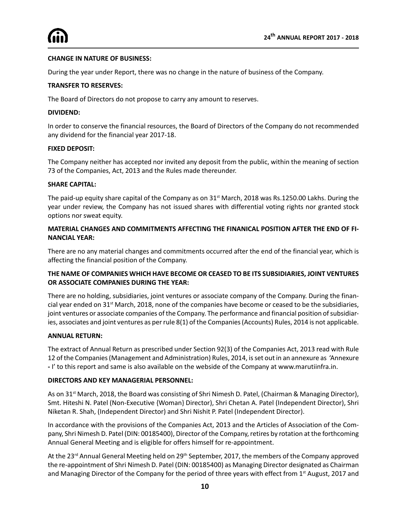#### **CHANGE IN NATURE OF BUSINESS:**

During the year under Report, there was no change in the nature of business of the Company.

#### **TRANSFER TO RESERVES:**

The Board of Directors do not propose to carry any amount to reserves.

#### **DIVIDEND:**

In order to conserve the financial resources, the Board of Directors of the Company do not recommended any dividend for the financial year 2017-18.

#### **FIXED DEPOSIT:**

The Company neither has accepted nor invited any deposit from the public, within the meaning of section 73 of the Companies, Act, 2013 and the Rules made thereunder.

#### **SHARE CAPITAL:**

The paid-up equity share capital of the Company as on  $31<sup>st</sup>$  March, 2018 was Rs.1250.00 Lakhs. During the year under review, the Company has not issued shares with differential voting rights nor granted stock options nor sweat equity.

#### **MATERIAL CHANGES AND COMMITMENTS AFFECTING THE FINANICAL POSITION AFTER THE END OF FI-NANCIAL YEAR:**

There are no any material changes and commitments occurred after the end of the financial year, which is affecting the financial position of the Company.

#### **THE NAME OF COMPANIES WHICH HAVE BECOME OR CEASED TO BE ITS SUBSIDIARIES, JOINT VENTURES OR ASSOCIATE COMPANIES DURING THE YEAR:**

There are no holding, subsidiaries, joint ventures or associate company of the Company. During the financial year ended on 31<sup>st</sup> March, 2018, none of the companies have become or ceased to be the subsidiaries, joint ventures or associate companies of the Company. The performance and financial position of subsidiaries, associates and joint ventures as per rule 8(1) of the Companies (Accounts) Rules, 2014 is not applicable.

#### **ANNUAL RETURN:**

The extract of Annual Return as prescribed under Section 92(3) of the Companies Act, 2013 read with Rule 12 of the Companies (Management and Administration) Rules, 2014, is set out in an annexure as 'Annexure **-** I' to this report and same is also available on the webside of the Company at www.marutiinfra.in.

#### **DIRECTORS AND KEY MANAGERIAL PERSONNEL:**

As on 31<sup>st</sup> March, 2018, the Board was consisting of Shri Nimesh D. Patel, (Chairman & Managing Director), Smt. Hiteshi N. Patel (Non-Executive {Woman} Director), Shri Chetan A. Patel (Independent Director), Shri Niketan R. Shah, (Independent Director) and Shri Nishit P. Patel (Independent Director).

In accordance with the provisions of the Companies Act, 2013 and the Articles of Association of the Company, Shri Nimesh D. Patel (DIN: 00185400), Director of the Company, retires by rotation at the forthcoming Annual General Meeting and is eligible for offers himself for re-appointment.

At the 23<sup>rd</sup> Annual General Meeting held on 29<sup>th</sup> September, 2017, the members of the Company approved the re-appointment of Shri Nimesh D. Patel (DIN: 00185400) as Managing Director designated as Chairman and Managing Director of the Company for the period of three years with effect from 1<sup>st</sup> August, 2017 and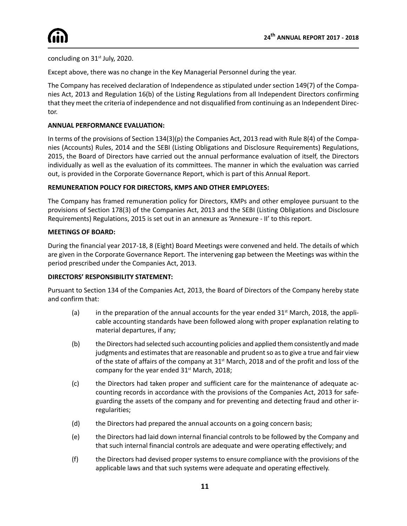concluding on  $31<sup>st</sup>$  July, 2020.

Except above, there was no change in the Key Managerial Personnel during the year.

The Company has received declaration of Independence as stipulated under section 149(7) of the Companies Act, 2013 and Regulation 16(b) of the Listing Regulations from all Independent Directors confirming that they meet the criteria of independence and not disqualified from continuing as an Independent Director.

#### **ANNUAL PERFORMANCE EVALUATION:**

In terms of the provisions of Section 134(3)(p) the Companies Act, 2013 read with Rule 8(4) of the Companies (Accounts) Rules, 2014 and the SEBI (Listing Obligations and Disclosure Requirements) Regulations, 2015, the Board of Directors have carried out the annual performance evaluation of itself, the Directors individually as well as the evaluation of its committees. The manner in which the evaluation was carried out, is provided in the Corporate Governance Report, which is part of this Annual Report.

#### **REMUNERATION POLICY FOR DIRECTORS, KMPS AND OTHER EMPLOYEES:**

The Company has framed remuneration policy for Directors, KMPs and other employee pursuant to the provisions of Section 178(3) of the Companies Act, 2013 and the SEBI (Listing Obligations and Disclosure Requirements) Regulations, 2015 is set out in an annexure as 'Annexure - II' to this report.

#### **MEETINGS OF BOARD:**

During the financial year 2017-18, 8 (Eight) Board Meetings were convened and held. The details of which are given in the Corporate Governance Report. The intervening gap between the Meetings was within the period prescribed under the Companies Act, 2013.

#### **DIRECTORS' RESPONSIBILITY STATEMENT:**

Pursuant to Section 134 of the Companies Act, 2013, the Board of Directors of the Company hereby state and confirm that:

- (a) in the preparation of the annual accounts for the year ended  $31<sup>st</sup>$  March, 2018, the applicable accounting standards have been followed along with proper explanation relating to material departures, if any;
- (b) the Directors had selected such accounting policies and applied them consistently and made judgments and estimates that are reasonable and prudent so as to give a true and fair view of the state of affairs of the company at 31<sup>st</sup> March, 2018 and of the profit and loss of the company for the year ended  $31<sup>st</sup>$  March, 2018;
- (c) the Directors had taken proper and sufficient care for the maintenance of adequate accounting records in accordance with the provisions of the Companies Act, 2013 for safeguarding the assets of the company and for preventing and detecting fraud and other irregularities;
- (d) the Directors had prepared the annual accounts on a going concern basis;
- (e) the Directors had laid down internal financial controls to be followed by the Company and that such internal financial controls are adequate and were operating effectively; and
- (f) the Directors had devised proper systems to ensure compliance with the provisions of the applicable laws and that such systems were adequate and operating effectively.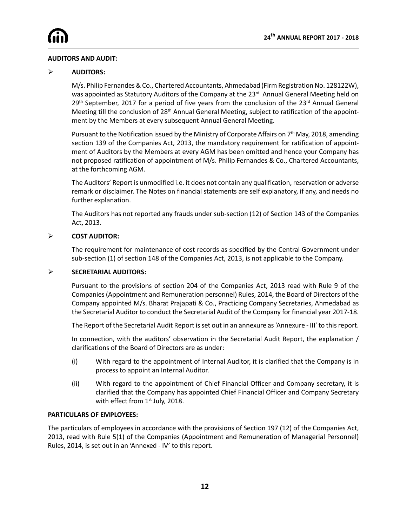#### **AUDITORS AND AUDIT:**

#### ÿ **AUDITORS:**

M/s. Philip Fernandes & Co., Chartered Accountants, Ahmedabad (Firm Registration No. 128122W), was appointed as Statutory Auditors of the Company at the 23<sup>rd</sup> Annual General Meeting held on 29<sup>th</sup> September, 2017 for a period of five years from the conclusion of the 23<sup>rd</sup> Annual General Meeting till the conclusion of 28<sup>th</sup> Annual General Meeting, subject to ratification of the appointment by the Members at every subsequent Annual General Meeting.

Pursuant to the Notification issued by the Ministry of Corporate Affairs on 7<sup>th</sup> May, 2018, amending section 139 of the Companies Act, 2013, the mandatory requirement for ratification of appointment of Auditors by the Members at every AGM has been omitted and hence your Company has not proposed ratification of appointment of M/s. Philip Fernandes & Co., Chartered Accountants, at the forthcoming AGM.

The Auditors' Report is unmodified i.e. it does not contain any qualification, reservation or adverse remark or disclaimer. The Notes on financial statements are self explanatory, if any, and needs no further explanation.

The Auditors has not reported any frauds under sub-section (12) of Section 143 of the Companies Act, 2013.

#### ÿ **COST AUDITOR:**

The requirement for maintenance of cost records as specified by the Central Government under sub-section (1) of section 148 of the Companies Act, 2013, is not applicable to the Company.

#### ÿ **SECRETARIAL AUDITORS:**

Pursuant to the provisions of section 204 of the Companies Act, 2013 read with Rule 9 of the Companies (Appointment and Remuneration personnel) Rules, 2014, the Board of Directors of the Company appointed M/s. Bharat Prajapati & Co., Practicing Company Secretaries, Ahmedabad as the Secretarial Auditor to conduct the Secretarial Audit of the Company for financial year 2017-18.

The Report of the Secretarial Audit Report is set out in an annexure as 'Annexure - III' to this report.

In connection, with the auditors' observation in the Secretarial Audit Report, the explanation / clarifications of the Board of Directors are as under:

- (i) With regard to the appointment of Internal Auditor, it is clarified that the Company is in process to appoint an Internal Auditor.
- (ii) With regard to the appointment of Chief Financial Officer and Company secretary, it is clarified that the Company has appointed Chief Financial Officer and Company Secretary with effect from  $1<sup>st</sup>$  July, 2018.

#### **PARTICULARS OF EMPLOYEES:**

The particulars of employees in accordance with the provisions of Section 197 (12) of the Companies Act, 2013, read with Rule 5(1) of the Companies (Appointment and Remuneration of Managerial Personnel) Rules, 2014, is set out in an 'Annexed - IV' to this report.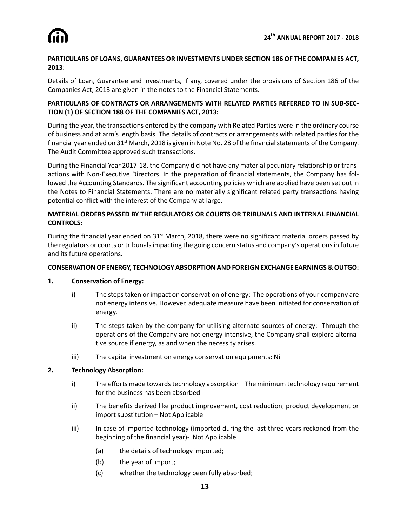#### **PARTICULARS OF LOANS, GUARANTEES OR INVESTMENTS UNDER SECTION 186 OF THE COMPANIES ACT, 2013**:

Details of Loan, Guarantee and Investments, if any, covered under the provisions of Section 186 of the Companies Act, 2013 are given in the notes to the Financial Statements.

#### **PARTICULARS OF CONTRACTS OR ARRANGEMENTS WITH RELATED PARTIES REFERRED TO IN SUB-SEC-TION (1) OF SECTION 188 OF THE COMPANIES ACT, 2013:**

During the year, the transactions entered by the company with Related Parties were in the ordinary course of business and at arm's length basis. The details of contracts or arrangements with related parties for the financial year ended on 31<sup>st</sup> March, 2018 is given in Note No. 28 of the financial statements of the Company. The Audit Committee approved such transactions.

During the Financial Year 2017-18, the Company did not have any material pecuniary relationship or transactions with Non-Executive Directors. In the preparation of financial statements, the Company has followed the Accounting Standards. The significant accounting policies which are applied have been set out in the Notes to Financial Statements. There are no materially significant related party transactions having potential conflict with the interest of the Company at large.

#### **MATERIAL ORDERS PASSED BY THE REGULATORS OR COURTS OR TRIBUNALS AND INTERNAL FINANCIAL CONTROLS:**

During the financial year ended on 31<sup>st</sup> March, 2018, there were no significant material orders passed by the regulators or courts or tribunals impacting the going concern status and company's operations in future and its future operations.

#### **CONSERVATION OF ENERGY, TECHNOLOGY ABSORPTION AND FOREIGN EXCHANGE EARNINGS & OUTGO:**

#### **1. Conservation of Energy:**

- i) The steps taken or impact on conservation of energy: The operations of your company are not energy intensive. However, adequate measure have been initiated for conservation of energy.
- ii) The steps taken by the company for utilising alternate sources of energy: Through the operations of the Company are not energy intensive, the Company shall explore alternative source if energy, as and when the necessity arises.
- iii) The capital investment on energy conservation equipments: Nil

#### **2. Technology Absorption:**

- i) The efforts made towards technology absorption The minimum technology requirement for the business has been absorbed
- ii) The benefits derived like product improvement, cost reduction, product development or import substitution – Not Applicable
- iii) In case of imported technology (imported during the last three years reckoned from the beginning of the financial year)- Not Applicable
	- (a) the details of technology imported;
	- (b) the year of import;
	- (c) whether the technology been fully absorbed;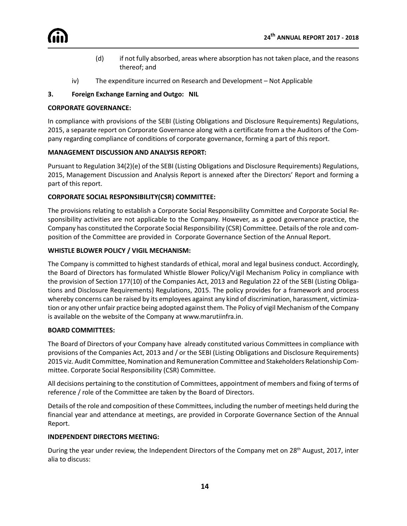

- (d) if not fully absorbed, areas where absorption has not taken place, and the reasons thereof; and
- iv) The expenditure incurred on Research and Development Not Applicable

#### **3. Foreign Exchange Earning and Outgo: NIL**

#### **CORPORATE GOVERNANCE:**

In compliance with provisions of the SEBI (Listing Obligations and Disclosure Requirements) Regulations, 2015, a separate report on Corporate Governance along with a certificate from a the Auditors of the Company regarding compliance of conditions of corporate governance, forming a part of this report.

#### **MANAGEMENT DISCUSSION AND ANALYSIS REPORT:**

Pursuant to Regulation 34(2)(e) of the SEBI (Listing Obligations and Disclosure Requirements) Regulations, 2015, Management Discussion and Analysis Report is annexed after the Directors' Report and forming a part of this report.

#### **CORPORATE SOCIAL RESPONSIBILITY(CSR) COMMITTEE:**

The provisions relating to establish a Corporate Social Responsibility Committee and Corporate Social Responsibility activities are not applicable to the Company. However, as a good governance practice, the Company has constituted the Corporate Social Responsibility (CSR) Committee. Details of the role and composition of the Committee are provided in Corporate Governance Section of the Annual Report.

#### **WHISTLE BLOWER POLICY / VIGIL MECHANISM:**

The Company is committed to highest standards of ethical, moral and legal business conduct. Accordingly, the Board of Directors has formulated Whistle Blower Policy/Vigil Mechanism Policy in compliance with the provision of Section 177(10) of the Companies Act, 2013 and Regulation 22 of the SEBI (Listing Obligations and Disclosure Requirements) Regulations, 2015. The policy provides for a framework and process whereby concerns can be raised by its employees against any kind of discrimination, harassment, victimization or any other unfair practice being adopted against them. The Policy of vigil Mechanism of the Company is available on the website of the Company at www.marutiinfra.in.

#### **BOARD COMMITTEES:**

The Board of Directors of your Company have already constituted various Committees in compliance with provisions of the Companies Act, 2013 and / or the SEBI (Listing Obligations and Disclosure Requirements) 2015 viz. Audit Committee, Nomination and Remuneration Committee and Stakeholders Relationship Committee. Corporate Social Responsibility (CSR) Committee.

All decisions pertaining to the constitution of Committees, appointment of members and fixing of terms of reference / role of the Committee are taken by the Board of Directors.

Details of the role and composition of these Committees, including the number of meetings held during the financial year and attendance at meetings, are provided in Corporate Governance Section of the Annual Report.

#### **INDEPENDENT DIRECTORS MEETING:**

During the year under review, the Independent Directors of the Company met on 28<sup>th</sup> August, 2017, inter alia to discuss: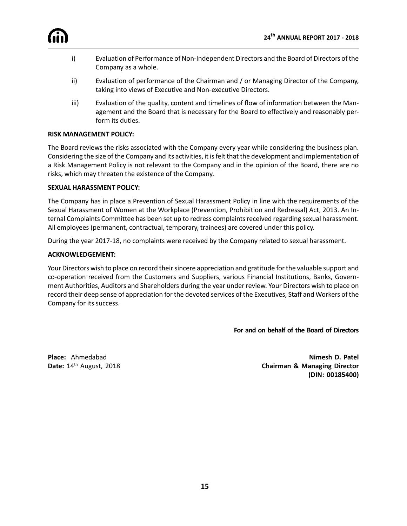

- i) Evaluation of Performance of Non-Independent Directors and the Board of Directors of the Company as a whole.
- ii) Evaluation of performance of the Chairman and / or Managing Director of the Company, taking into views of Executive and Non-executive Directors.
- iii) Evaluation of the quality, content and timelines of flow of information between the Management and the Board that is necessary for the Board to effectively and reasonably perform its duties.

#### **RISK MANAGEMENT POLICY:**

The Board reviews the risks associated with the Company every year while considering the business plan. Considering the size of the Company and its activities, it is felt that the development and implementation of a Risk Management Policy is not relevant to the Company and in the opinion of the Board, there are no risks, which may threaten the existence of the Company.

#### **SEXUAL HARASSMENT POLICY:**

The Company has in place a Prevention of Sexual Harassment Policy in line with the requirements of the Sexual Harassment of Women at the Workplace (Prevention, Prohibition and Redressal) Act, 2013. An Internal Complaints Committee has been set up to redress complaints received regarding sexual harassment. All employees (permanent, contractual, temporary, trainees) are covered under this policy.

During the year 2017-18, no complaints were received by the Company related to sexual harassment.

#### **ACKNOWLEDGEMENT:**

Your Directors wish to place on record their sincere appreciation and gratitude for the valuable support and co-operation received from the Customers and Suppliers, various Financial Institutions, Banks, Government Authorities, Auditors and Shareholders during the year under review. Your Directors wish to place on record their deep sense of appreciation for the devoted services of the Executives, Staff and Workers of the Company for its success.

 **For and on behalf of the Board of Directors**

**Place:** Ahmedabad **Nimesh D. Patel Date:** 14th August, 2018 **Chairman & Managing Director (DIN: 00185400)**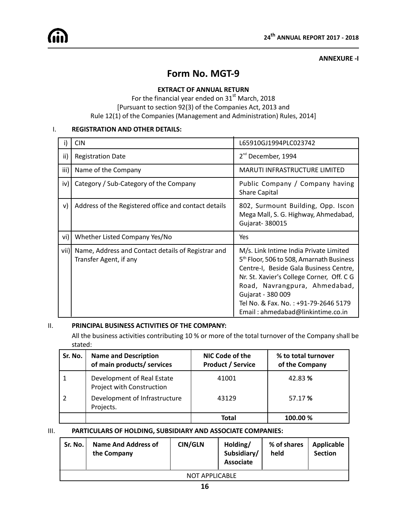#### **ANNEXURE -I**

### **Form No. MGT-9**

#### **EXTRACT OF ANNUAL RETURN**

For the financial year ended on 31<sup>st</sup> March, 2018 [Pursuant to section 92(3) of the Companies Act, 2013 and Rule 12(1) of the Companies (Management and Administration) Rules, 2014]

#### I. **REGISTRATION AND OTHER DETAILS:**

|      | <b>CIN</b>                                                                   | L65910GJ1994PLC023742                                                                                                                                                                                                                                                                                                    |  |  |
|------|------------------------------------------------------------------------------|--------------------------------------------------------------------------------------------------------------------------------------------------------------------------------------------------------------------------------------------------------------------------------------------------------------------------|--|--|
| ii)  | <b>Registration Date</b>                                                     | $2nd$ December, 1994                                                                                                                                                                                                                                                                                                     |  |  |
| iii) | Name of the Company                                                          | <b>MARUTI INFRASTRUCTURE LIMITED</b>                                                                                                                                                                                                                                                                                     |  |  |
| iv)  | Category / Sub-Category of the Company                                       | Public Company / Company having<br><b>Share Capital</b>                                                                                                                                                                                                                                                                  |  |  |
| v)   | Address of the Registered office and contact details                         | 802, Surmount Building, Opp. Iscon<br>Mega Mall, S. G. Highway, Ahmedabad,<br>Gujarat- 380015                                                                                                                                                                                                                            |  |  |
| vi)  | Whether Listed Company Yes/No                                                | Yes                                                                                                                                                                                                                                                                                                                      |  |  |
| vii) | Name, Address and Contact details of Registrar and<br>Transfer Agent, if any | M/s. Link Intime India Private Limited<br>5 <sup>th</sup> Floor, 506 to 508, Amarnath Business<br>Centre-I, Beside Gala Business Centre,<br>Nr. St. Xavier's College Corner, Off. C G<br>Road, Navrangpura, Ahmedabad,<br>Gujarat - 380 009<br>Tel No. & Fax. No.: +91-79-2646 5179<br>Email: ahmedabad@linkintime.co.in |  |  |

#### II. **PRINCIPAL BUSINESS ACTIVITIES OF THE COMPANY:**

All the business activities contributing 10 % or more of the total turnover of the Company shall be stated:

| Sr. No. | <b>Name and Description</b><br>of main products/ services | NIC Code of the<br><b>Product / Service</b> | % to total turnover<br>of the Company |
|---------|-----------------------------------------------------------|---------------------------------------------|---------------------------------------|
|         | Development of Real Estate<br>Project with Construction   | 41001                                       | 42.83%                                |
|         | Development of Infrastructure<br>Projects.                | 43129                                       | 57.17 %                               |
|         |                                                           | Total                                       | 100.00 %                              |

#### III. **PARTICULARS OF HOLDING, SUBSIDIARY AND ASSOCIATE COMPANIES:**

| Sr. No.               | <b>Name And Address of</b><br>the Company | <b>CIN/GLN</b> | Holding/<br>Subsidiary/<br><b>Associate</b> | % of shares<br>held | Applicable<br><b>Section</b> |  |  |  |
|-----------------------|-------------------------------------------|----------------|---------------------------------------------|---------------------|------------------------------|--|--|--|
| <b>NOT APPLICABLE</b> |                                           |                |                                             |                     |                              |  |  |  |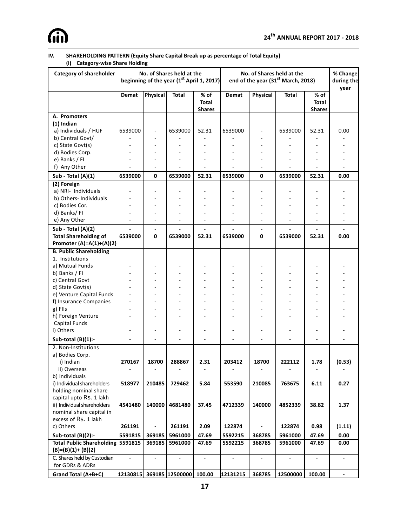

#### **IV. SHAREHOLDING PATTERN (Equity Share Capital Break up as percentage of Total Equity) (i) Catagory-wise Share Holding**

| Category of shareholder          | No. of Shares held at the<br>beginning of the year $(1^{\text{st}}$ April 1, 2017) |                              |                 |                                       | No. of Shares held at the<br>end of the year (31 <sup>st</sup> March, 2018) |                          |              | % Change<br>during the<br>year        |        |
|----------------------------------|------------------------------------------------------------------------------------|------------------------------|-----------------|---------------------------------------|-----------------------------------------------------------------------------|--------------------------|--------------|---------------------------------------|--------|
|                                  | Demat                                                                              | Physical                     | <b>Total</b>    | % of<br><b>Total</b><br><b>Shares</b> | Demat                                                                       | Physical                 | <b>Total</b> | % of<br><b>Total</b><br><b>Shares</b> |        |
| A. Promoters                     |                                                                                    |                              |                 |                                       |                                                                             |                          |              |                                       |        |
| $(1)$ Indian                     |                                                                                    |                              |                 |                                       |                                                                             |                          |              |                                       |        |
| a) Individuals / HUF             | 6539000                                                                            |                              | 6539000         | 52.31                                 | 6539000                                                                     |                          | 6539000      | 52.31                                 | 0.00   |
| b) Central Govt/                 |                                                                                    |                              |                 |                                       |                                                                             |                          |              |                                       |        |
| c) State Govt(s)                 |                                                                                    |                              |                 |                                       |                                                                             |                          |              |                                       |        |
| d) Bodies Corp.                  |                                                                                    |                              |                 |                                       |                                                                             |                          |              |                                       |        |
| e) Banks / FI                    |                                                                                    | $\overline{a}$               |                 |                                       |                                                                             |                          |              |                                       |        |
| f) Any Other                     |                                                                                    |                              |                 |                                       |                                                                             |                          |              |                                       |        |
| Sub - Total (A)(1)               | 6539000                                                                            | 0                            | 6539000         | 52.31                                 | 6539000                                                                     | 0                        | 6539000      | 52.31                                 | 0.00   |
| (2) Foreign                      |                                                                                    |                              |                 |                                       |                                                                             |                          |              |                                       |        |
| a) NRI- Individuals              |                                                                                    |                              |                 |                                       |                                                                             |                          |              |                                       |        |
| b) Others- Individuals           |                                                                                    |                              |                 |                                       |                                                                             |                          |              |                                       |        |
| c) Bodies Cor.                   |                                                                                    | $\overline{a}$               |                 |                                       |                                                                             |                          |              |                                       |        |
| d) Banks/FI                      |                                                                                    |                              |                 |                                       |                                                                             |                          |              |                                       |        |
| e) Any Other                     |                                                                                    |                              |                 |                                       |                                                                             |                          |              |                                       |        |
| Sub - Total (A)(2)               |                                                                                    | $\qquad \qquad \blacksquare$ |                 |                                       | $\overline{\phantom{a}}$                                                    | $\overline{\phantom{a}}$ |              |                                       |        |
| <b>Total Shareholding of</b>     | 6539000                                                                            | 0                            | 6539000         | 52.31                                 | 6539000                                                                     | 0                        | 6539000      | 52.31                                 | 0.00   |
| Promoter $(A)=A(1)+(A)(2)$       |                                                                                    |                              |                 |                                       |                                                                             |                          |              |                                       |        |
| <b>B. Public Shareholding</b>    |                                                                                    |                              |                 |                                       |                                                                             |                          |              |                                       |        |
| 1. Institutions                  |                                                                                    |                              |                 |                                       |                                                                             |                          |              |                                       |        |
| a) Mutual Funds                  |                                                                                    |                              |                 |                                       |                                                                             |                          |              |                                       |        |
| b) Banks / FI                    |                                                                                    |                              |                 |                                       |                                                                             |                          |              |                                       |        |
| c) Central Govt                  |                                                                                    |                              |                 |                                       |                                                                             |                          |              |                                       |        |
| d) State Govt(s)                 |                                                                                    |                              |                 |                                       |                                                                             |                          |              |                                       |        |
| e) Venture Capital Funds         |                                                                                    |                              |                 |                                       |                                                                             |                          |              |                                       |        |
| f) Insurance Companies           |                                                                                    |                              |                 |                                       |                                                                             |                          |              |                                       |        |
| g) Fils                          |                                                                                    |                              |                 |                                       |                                                                             |                          |              |                                       |        |
| h) Foreign Venture               |                                                                                    |                              |                 |                                       |                                                                             |                          |              |                                       |        |
| Capital Funds                    |                                                                                    |                              |                 |                                       |                                                                             |                          |              |                                       |        |
| i) Others                        |                                                                                    |                              |                 |                                       |                                                                             |                          |              |                                       |        |
| Sub-total (B)(1):-               |                                                                                    |                              |                 |                                       | $\overline{a}$                                                              |                          |              |                                       |        |
| 2. Non-Institutions              |                                                                                    |                              |                 |                                       |                                                                             |                          |              |                                       |        |
| a) Bodies Corp.                  |                                                                                    |                              |                 |                                       |                                                                             |                          |              |                                       |        |
| i) Indian                        | 270167                                                                             | 18700                        | 288867          | 2.31                                  | 203412                                                                      | 18700                    | 222112       | 1.78                                  | (0.53) |
| ii) Overseas                     |                                                                                    |                              |                 |                                       |                                                                             |                          |              |                                       |        |
| b) Individuals                   |                                                                                    |                              |                 |                                       |                                                                             |                          |              |                                       |        |
| i) Individual shareholders       | 518977                                                                             | 210485                       | 729462          | 5.84                                  | 553590                                                                      | 210085                   | 763675       | 6.11                                  | 0.27   |
| holding nominal share            |                                                                                    |                              |                 |                                       |                                                                             |                          |              |                                       |        |
| capital upto Rs. 1 lakh          |                                                                                    |                              |                 |                                       |                                                                             |                          |              |                                       |        |
| ii) Individual shareholders      | 4541480                                                                            | 140000                       | 4681480         | 37.45                                 | 4712339                                                                     | 140000                   | 4852339      | 38.82                                 | 1.37   |
| nominal share capital in         |                                                                                    |                              |                 |                                       |                                                                             |                          |              |                                       |        |
| excess of Rs. 1 lakh             |                                                                                    |                              |                 |                                       |                                                                             |                          |              |                                       |        |
| c) Others                        | 261191                                                                             |                              | 261191          | 2.09                                  | 122874                                                                      |                          | 122874       | 0.98                                  | (1.11) |
| Sub-total (B)(2):-               | 5591815                                                                            | 369185                       | 5961000         | 47.69                                 | 5592215                                                                     | 368785                   | 5961000      | 47.69                                 | 0.00   |
| <b>Total Public Shareholding</b> | 5591815                                                                            | 369185                       | 5961000         | 47.69                                 | 5592215                                                                     | 368785                   | 5961000      | 47.69                                 | 0.00   |
| $(B)=(B)(1)+(B)(2)$              |                                                                                    |                              |                 |                                       |                                                                             |                          |              |                                       |        |
| C. Shares held by Custodian      |                                                                                    |                              |                 |                                       |                                                                             |                          |              |                                       |        |
| for GDRs & ADRs                  |                                                                                    |                              |                 |                                       |                                                                             |                          |              |                                       |        |
| Grand Total (A+B+C)              | 12130815                                                                           |                              | 369185 12500000 | 100.00                                | 12131215                                                                    | 368785                   | 12500000     | 100.00                                |        |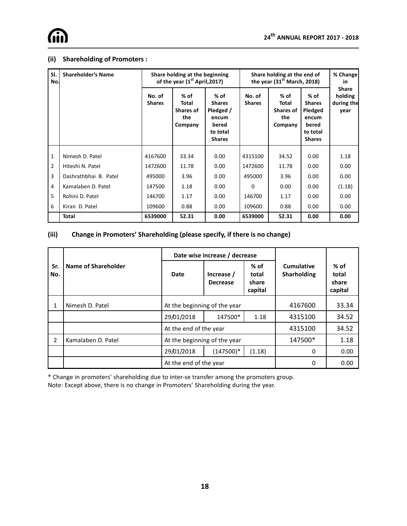#### **(ii) Shareholding of Promoters :**

| SI.<br>No.     | <b>Shareholder's Name</b> |                         | Share holding at the beginning<br>of the year (1 <sup>st</sup> April, 2017) |                                                                                   | Share holding at the end of<br>the year $(31st March, 2018)$ | % Change<br>in                                      |                                                                                 |                                               |
|----------------|---------------------------|-------------------------|-----------------------------------------------------------------------------|-----------------------------------------------------------------------------------|--------------------------------------------------------------|-----------------------------------------------------|---------------------------------------------------------------------------------|-----------------------------------------------|
|                |                           | No. of<br><b>Shares</b> | $%$ of<br>Total<br><b>Shares of</b><br>the<br>Company                       | % of<br><b>Shares</b><br>Pledged /<br>encum<br>bered<br>to total<br><b>Shares</b> | No. of<br><b>Shares</b>                                      | % of<br>Total<br><b>Shares of</b><br>the<br>Company | % of<br><b>Shares</b><br>Pledged<br>encum<br>bered<br>to total<br><b>Shares</b> | <b>Share</b><br>holding<br>during the<br>year |
| $\mathbf{1}$   | Nimesh D. Patel           | 4167600                 | 33.34                                                                       | 0.00                                                                              | 4315100                                                      | 34.52                                               | 0.00                                                                            | 1.18                                          |
| $\overline{2}$ | Hiteshi N. Patel          | 1472600                 | 11.78                                                                       | 0.00                                                                              | 1472600                                                      | 11.78                                               | 0.00                                                                            | 0.00                                          |
| 3              | Dashrathbhai B. Patel     | 495000                  | 3.96                                                                        | 0.00                                                                              | 495000                                                       | 3.96                                                | 0.00                                                                            | 0.00                                          |
| $\overline{4}$ | Kamalaben D. Patel        | 147500                  | 1.18                                                                        | 0.00                                                                              | $\Omega$                                                     | 0.00                                                | 0.00                                                                            | (1.18)                                        |
| 5              | Rohini D. Patel           | 146700                  | 1.17                                                                        | 0.00                                                                              | 146700                                                       | 1.17                                                | 0.00                                                                            | 0.00                                          |
| 6              | Kiran D. Patel            | 109600                  | 0.88                                                                        | 0.00                                                                              | 109600                                                       | 0.88                                                | 0.00                                                                            | 0.00                                          |
|                | Total                     | 6539000                 | 52.31                                                                       | 0.00                                                                              | 6539000                                                      | 52.31                                               | 0.00                                                                            | 0.00                                          |

#### **(iii) Change in Promoters' Shareholding (please specify, if there is no change)**

|            |                     |                               | Date wise increase / decrease |                                     |                                  |                                     |
|------------|---------------------|-------------------------------|-------------------------------|-------------------------------------|----------------------------------|-------------------------------------|
| Sr.<br>No. | Name of Shareholder | Date                          | Increase /<br><b>Decrease</b> | $%$ of<br>total<br>share<br>capital | Cumulative<br><b>Sharholding</b> | $%$ of<br>total<br>share<br>capital |
| 1          | Nimesh D. Patel     | At the beginning of the year  |                               | 4167600                             | 33.34                            |                                     |
|            |                     | 29/01/2018<br>147500*<br>1.18 |                               | 4315100                             | 34.52                            |                                     |
|            |                     | At the end of the year        |                               | 4315100                             | 34.52                            |                                     |
| 2          | Kamalaben D. Patel  | At the beginning of the year  |                               | 147500*                             | 1.18                             |                                     |
|            |                     | 29/01/2018                    | $(147500)^*$                  | (1.18)                              | $\Omega$                         | 0.00                                |
|            |                     | At the end of the year        |                               | 0                                   | 0.00                             |                                     |

\* Change in promoters' shareholding due to inter-se transfer among the promoters group.

Note: Except above, there is no change in Promoters' Shareholding during the year.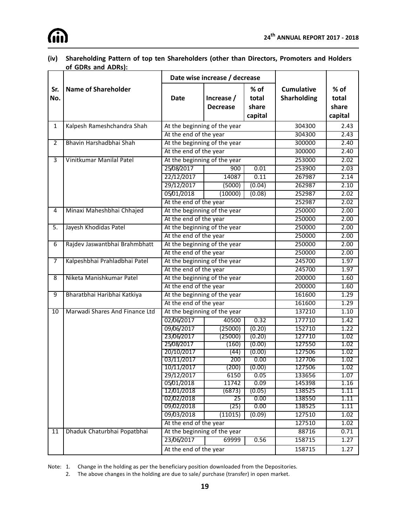

#### **(iv) Shareholding Pattern of top ten Shareholders (other than Directors, Promoters and Holders of GDRs and ADRs):**

|                |                                | Date wise increase / decrease |                               |                                     |                                         |                                     |
|----------------|--------------------------------|-------------------------------|-------------------------------|-------------------------------------|-----------------------------------------|-------------------------------------|
| Sr.<br>No.     | <b>Name of Shareholder</b>     | <b>Date</b>                   | Increase /<br><b>Decrease</b> | $%$ of<br>total<br>share<br>capital | <b>Cumulative</b><br><b>Sharholding</b> | $%$ of<br>total<br>share<br>capital |
| 1              | Kalpesh Rameshchandra Shah     |                               | At the beginning of the year  |                                     | 304300                                  | 2.43                                |
|                |                                | At the end of the year        |                               |                                     | 304300                                  | 2.43                                |
| $\overline{2}$ | Bhavin Harshadbhai Shah        | At the beginning of the year  |                               |                                     | 300000                                  | 2.40                                |
|                |                                | At the end of the year        |                               |                                     | 300000                                  | 2.40                                |
| $\overline{3}$ | Vinitkumar Manilal Patel       |                               | At the beginning of the year  |                                     | 253000                                  | 2.02                                |
|                |                                | 25/08/2017                    | 900                           | 0.01                                | 253900                                  | 2.03                                |
|                |                                | 22/12/2017                    | 14087                         | 0.11                                | 267987                                  | 2.14                                |
|                |                                | 29/12/2017                    | (5000)                        | (0.04)                              | 262987                                  | 2.10                                |
|                |                                | 05/01/2018                    | (10000)                       | (0.08)                              | 252987                                  | 2.02                                |
|                |                                | At the end of the year        |                               |                                     | 252987                                  | 2.02                                |
| 4              | Minaxi Maheshbhai Chhajed      |                               | At the beginning of the year  |                                     | 250000                                  | 2.00                                |
|                |                                | At the end of the year        |                               |                                     | 250000                                  | 2.00                                |
| 5.             | Jayesh Khodidas Patel          |                               | At the beginning of the year  |                                     | 250000                                  | 2.00                                |
|                |                                |                               | At the end of the year        |                                     | 250000                                  | 2.00                                |
| 6              | Rajdev Jaswantbhai Brahmbhatt  | At the beginning of the year  |                               |                                     | 250000                                  | 2.00                                |
|                |                                | At the end of the year        |                               |                                     | 250000                                  | 2.00                                |
| 7              | Kalpeshbhai Prahladbhai Patel  |                               | At the beginning of the year  |                                     | 245700                                  | 1.97                                |
|                |                                | At the end of the year        |                               |                                     | 245700                                  | 1.97                                |
| 8              | Niketa Manishkumar Patel       |                               | At the beginning of the year  |                                     | 200000                                  | 1.60                                |
|                |                                | At the end of the year        |                               |                                     | 200000                                  | 1.60                                |
| 9              | Bharatbhai Haribhai Katkiya    |                               | At the beginning of the year  |                                     | 161600                                  | 1.29                                |
|                |                                | At the end of the year        |                               |                                     | 161600                                  | 1.29                                |
| 10             | Marwadi Shares And Finance Ltd | At the beginning of the year  |                               |                                     | 137210                                  | 1.10                                |
|                |                                | 02/06/2017                    | 40500                         | 0.32                                | 177710                                  | 1.42                                |
|                |                                | 09/06/2017                    | (25000)                       | (0.20)                              | 152710                                  | 1.22                                |
|                |                                | 23/06/2017                    | (25000)                       | (0.20)                              | 127710                                  | 1.02                                |
|                |                                | 25/08/2017                    | (160)                         | (0.00)                              | 127550                                  | 1.02                                |
|                |                                | 20/10/2017                    | (44)                          | (0.00)<br>0.00                      | 127506<br>127706                        | 1.02                                |
|                |                                | 03/11/2017<br>10/11/2017      | 200<br>(200)                  | (0.00)                              | 127506                                  | 1.02<br>1.02                        |
|                |                                | 29/12/2017                    | 6150                          | 0.05                                | 133656                                  | 1.07                                |
|                |                                | 05/01/2018                    | 11742                         | 0.09                                | 145398                                  | 1.16                                |
|                |                                | 12/01/2018                    | (6873)                        | (0.05)                              | 138525                                  | 1.11                                |
|                |                                | 02/02/2018                    | $\overline{25}$               | 0.00                                | 138550                                  | 1.11                                |
|                |                                | 09/02/2018                    | (25)                          | 0.00                                | 138525                                  | 1.11                                |
|                |                                | 09/03/2018                    | (11015)                       | (0.09)                              | 127510                                  | 1.02                                |
|                |                                | At the end of the year        |                               |                                     | 127510                                  | 1.02                                |
| 11             | Dhaduk Chaturbhai Popatbhai    |                               | At the beginning of the year  |                                     | 88716                                   | 0.71                                |
|                |                                | 23/06/2017                    | 69999                         | 0.56                                | 158715                                  | 1.27                                |
|                |                                | At the end of the year        |                               |                                     | 158715                                  | 1.27                                |

Note: 1. Change in the holding as per the beneficiary position downloaded from the Depositories.

2. The above changes in the holding are due to sale/ purchase (transfer) in open market.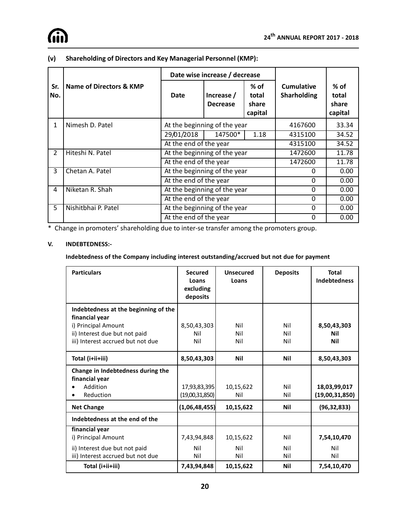

|                |                         | Date wise increase / decrease |                               |                                     |                                         |                                     |
|----------------|-------------------------|-------------------------------|-------------------------------|-------------------------------------|-----------------------------------------|-------------------------------------|
| Sr.<br>lNo.    | Name of Directors & KMP | Date                          | Increase /<br><b>Decrease</b> | $%$ of<br>total<br>share<br>capital | <b>Cumulative</b><br><b>Sharholding</b> | $%$ of<br>total<br>share<br>capital |
| 1              | Nimesh D. Patel         | At the beginning of the year  |                               |                                     | 4167600                                 | 33.34                               |
|                |                         | 29/01/2018                    | 147500*                       | 1.18                                | 4315100                                 | 34.52                               |
|                |                         | At the end of the year        |                               |                                     | 4315100                                 | 34.52                               |
| $\overline{2}$ | Hiteshi N. Patel        | At the beginning of the year  |                               |                                     | 1472600                                 | 11.78                               |
|                |                         | At the end of the year        |                               |                                     | 1472600                                 | 11.78                               |
| 3              | Chetan A. Patel         |                               | At the beginning of the year  |                                     | 0                                       | 0.00                                |
|                |                         | At the end of the year        |                               |                                     | $\Omega$                                | 0.00                                |
| 4              | Niketan R. Shah         | At the beginning of the year  |                               |                                     | $\Omega$                                | 0.00                                |
|                |                         | At the end of the year        |                               |                                     | $\Omega$                                | 0.00                                |
| 5              | Nishitbhai P. Patel     | At the beginning of the year  |                               |                                     | $\Omega$                                | 0.00                                |
|                |                         | At the end of the year        |                               |                                     | 0                                       | 0.00                                |

#### **(v) Shareholding of Directors and Key Managerial Personnel (KMP):**

\* Change in promoters' shareholding due to inter-se transfer among the promoters group.

#### **V. INDEBTEDNESS:-**

#### **Indebtedness of the Company including interest outstanding/accrued but not due for payment**

| <b>Particulars</b>                                                                                                                                  | <b>Secured</b><br>Loans<br>excluding<br>deposits | <b>Unsecured</b><br>Loans | <b>Deposits</b>   | <b>Total</b><br><b>Indebtedness</b> |
|-----------------------------------------------------------------------------------------------------------------------------------------------------|--------------------------------------------------|---------------------------|-------------------|-------------------------------------|
| Indebtedness at the beginning of the<br>financial year<br>i) Principal Amount<br>ii) Interest due but not paid<br>iii) Interest accrued but not due | 8,50,43,303<br>Nil<br>Nil                        | Nil<br>Nil<br>Nil         | Nil<br>Nil<br>Nil | 8,50,43,303<br>Nil<br>Nil           |
| Total (i+ii+iii)                                                                                                                                    | 8,50,43,303                                      | Nil                       | Nil               | 8,50,43,303                         |
| Change in Indebtedness during the<br>financial year<br>Addition<br>Reduction                                                                        | 17,93,83,395<br>(19,00,31,850)                   | 10,15,622<br>Nil          | Nil<br>Nil        | 18,03,99,017<br>(19,00,31,850)      |
| <b>Net Change</b>                                                                                                                                   | (1,06,48,455)                                    | 10,15,622                 | Nil               | (96, 32, 833)                       |
| Indebtedness at the end of the                                                                                                                      |                                                  |                           |                   |                                     |
| financial year<br>i) Principal Amount<br>ii) Interest due but not paid<br>iii) Interest accrued but not due                                         | 7,43,94,848<br>Nil<br>Nil                        | 10,15,622<br>Nil<br>Nil   | Nil<br>Nil<br>Nil | 7,54,10,470<br>Nil<br>Nil           |
| Total (i+ii+iii)                                                                                                                                    | 7,43,94,848                                      | 10,15,622                 | Nil               | 7,54,10,470                         |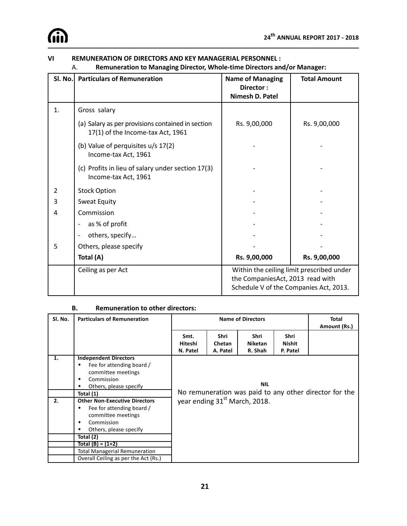|         | Remuneration to Managing Director, Whole-time Directors and/or Manager:<br>Α.          |                                                         |                                                                                     |  |  |  |
|---------|----------------------------------------------------------------------------------------|---------------------------------------------------------|-------------------------------------------------------------------------------------|--|--|--|
| Sl. No. | <b>Particulars of Remuneration</b>                                                     | <b>Name of Managing</b><br>Director:<br>Nimesh D. Patel | <b>Total Amount</b>                                                                 |  |  |  |
| 1.      | Gross salary                                                                           |                                                         |                                                                                     |  |  |  |
|         | (a) Salary as per provisions contained in section<br>17(1) of the Income-tax Act, 1961 | Rs. 9,00,000                                            | Rs. 9,00,000                                                                        |  |  |  |
|         | (b) Value of perquisites u/s 17(2)<br>Income-tax Act, 1961                             |                                                         |                                                                                     |  |  |  |
|         | (c) Profits in lieu of salary under section 17(3)<br>Income-tax Act, 1961              |                                                         |                                                                                     |  |  |  |
| 2       | <b>Stock Option</b>                                                                    |                                                         |                                                                                     |  |  |  |
| 3       | Sweat Equity                                                                           |                                                         |                                                                                     |  |  |  |
| 4       | Commission                                                                             |                                                         |                                                                                     |  |  |  |
|         | as % of profit                                                                         |                                                         |                                                                                     |  |  |  |
|         | others, specify                                                                        |                                                         |                                                                                     |  |  |  |
| 5       | Others, please specify                                                                 |                                                         |                                                                                     |  |  |  |
|         | Total (A)                                                                              | Rs. 9,00,000                                            | Rs. 9,00,000                                                                        |  |  |  |
|         | Ceiling as per Act                                                                     | the CompaniesAct, 2013 read with                        | Within the ceiling limit prescribed under<br>Schedule V of the Companies Act, 2013. |  |  |  |

#### **VI REMUNERATION OF DIRECTORS AND KEY MANAGERIAL PERSONNEL :**

#### A. **Remuneration to Managing Director, Whole-time Directors and/or Manager:**

#### **B. Remuneration to other directors:**

| SI. No. | <b>Particulars of Remuneration</b>                                                                                                                     | <b>Name of Directors</b>                                                                            |                                   |                                   |                                   | <b>Total</b><br>Amount (Rs.) |
|---------|--------------------------------------------------------------------------------------------------------------------------------------------------------|-----------------------------------------------------------------------------------------------------|-----------------------------------|-----------------------------------|-----------------------------------|------------------------------|
|         |                                                                                                                                                        | Smt.<br>Hiteshi<br>N. Patel                                                                         | Shri<br><b>Chetan</b><br>A. Patel | Shri<br><b>Niketan</b><br>R. Shah | Shri<br><b>Nishit</b><br>P. Patel |                              |
| 1.      | <b>Independent Directors</b><br>Fee for attending board /<br>committee meetings<br>Commission<br>٠<br>Others, please specify                           | <b>NIL</b>                                                                                          |                                   |                                   |                                   |                              |
| 2.      | Total (1)<br><b>Other Non-Executive Directors</b><br>Fee for attending board /<br>٠<br>committee meetings<br>Commission<br>٠<br>Others, please specify | No remuneration was paid to any other director for the<br>year ending 31 <sup>st</sup> March, 2018. |                                   |                                   |                                   |                              |
|         | Total (2)<br>Total (B) = (1+2)<br><b>Total Managerial Remuneration</b><br>Overall Ceiling as per the Act (Rs.)                                         |                                                                                                     |                                   |                                   |                                   |                              |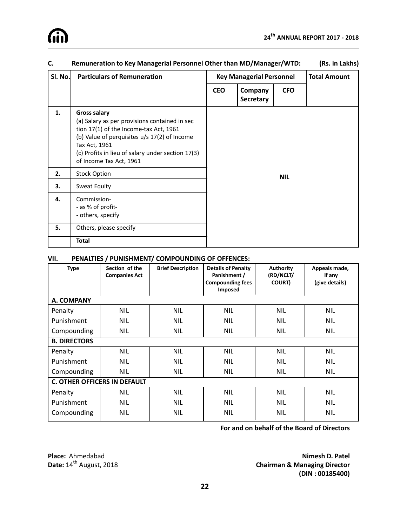| SI. No. | <b>Particulars of Remuneration</b>                                                                                                                                                                                                                              |            | <b>Key Managerial Personnel</b> |            | <b>Total Amount</b> |
|---------|-----------------------------------------------------------------------------------------------------------------------------------------------------------------------------------------------------------------------------------------------------------------|------------|---------------------------------|------------|---------------------|
|         |                                                                                                                                                                                                                                                                 | <b>CEO</b> | Company<br><b>Secretary</b>     | <b>CFO</b> |                     |
| 1.      | <b>Gross salary</b><br>(a) Salary as per provisions contained in sec<br>tion 17(1) of the Income-tax Act, 1961<br>(b) Value of perquisites u/s 17(2) of Income<br>Tax Act, 1961<br>(c) Profits in lieu of salary under section 17(3)<br>of Income Tax Act, 1961 |            |                                 |            |                     |
| 2.      | <b>Stock Option</b>                                                                                                                                                                                                                                             |            |                                 | <b>NIL</b> |                     |
| 3.      | Sweat Equity                                                                                                                                                                                                                                                    |            |                                 |            |                     |
| 4.      | Commission-<br>- as % of profit-<br>- others, specify                                                                                                                                                                                                           |            |                                 |            |                     |
| 5.      | Others, please specify                                                                                                                                                                                                                                          |            |                                 |            |                     |
|         | <b>Total</b>                                                                                                                                                                                                                                                    |            |                                 |            |                     |

#### **C. Remuneration to Key Managerial Personnel Other than MD/Manager/WTD: (Rs. in Lakhs)**

#### **VII. PENALTIES / PUNISHMENT/ COMPOUNDING OF OFFENCES:**

| <b>Type</b>                         | Section of the<br><b>Companies Act</b> | <b>Brief Description</b> | <b>Details of Penalty</b><br>Panishment /<br><b>Compounding fees</b><br><b>Imposed</b> | <b>Authority</b><br>(RD/NCLT/<br><b>COURT</b> ) | Appeals made,<br>if any<br>(give details) |  |
|-------------------------------------|----------------------------------------|--------------------------|----------------------------------------------------------------------------------------|-------------------------------------------------|-------------------------------------------|--|
| A. COMPANY                          |                                        |                          |                                                                                        |                                                 |                                           |  |
| Penalty                             | <b>NIL</b>                             | <b>NIL</b>               | <b>NIL</b>                                                                             | <b>NIL</b>                                      | <b>NIL</b>                                |  |
| Punishment                          | NIL                                    | <b>NIL</b>               | <b>NIL</b>                                                                             | <b>NIL</b>                                      | <b>NIL</b>                                |  |
| Compounding                         | NIL                                    | <b>NIL</b>               | <b>NIL</b>                                                                             | <b>NIL</b>                                      | <b>NIL</b>                                |  |
| <b>B. DIRECTORS</b>                 |                                        |                          |                                                                                        |                                                 |                                           |  |
| Penalty                             | <b>NIL</b>                             | <b>NIL</b>               | <b>NIL</b>                                                                             | <b>NIL</b>                                      | <b>NIL</b>                                |  |
| Punishment                          | <b>NIL</b>                             | <b>NIL</b>               | <b>NIL</b>                                                                             | <b>NIL</b>                                      | <b>NIL</b>                                |  |
| Compounding                         | NIL                                    | NIL                      | <b>NIL</b>                                                                             | <b>NIL</b>                                      | <b>NIL</b>                                |  |
| <b>C. OTHER OFFICERS IN DEFAULT</b> |                                        |                          |                                                                                        |                                                 |                                           |  |
| Penalty                             | NIL                                    | <b>NIL</b>               | <b>NIL</b>                                                                             | <b>NIL</b>                                      | <b>NIL</b>                                |  |
| Punishment                          | <b>NIL</b>                             | <b>NIL</b>               | <b>NIL</b>                                                                             | <b>NIL</b>                                      | <b>NIL</b>                                |  |
| Compounding                         | NIL                                    | <b>NIL</b>               | <b>NIL</b>                                                                             | NIL                                             | <b>NIL</b>                                |  |

**For and on behalf of the Board of Directors**

**Place:** Ahmedabad **Nimesh D. Patel Nimesh D. Patel Date:** 2018 **Date:** 14<sup>th</sup> August, 2018 **Chairman & Managing Director (DIN : 00185400)**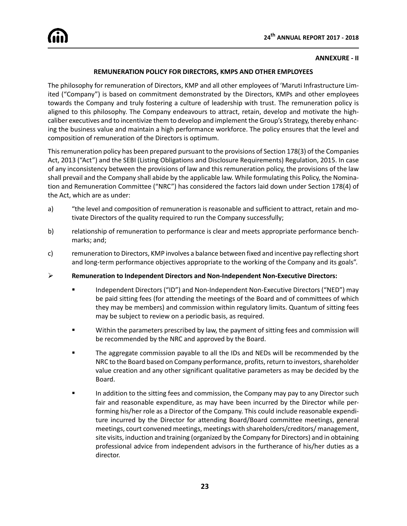#### **ANNEXURE - II**

#### **REMUNERATION POLICY FOR DIRECTORS, KMPS AND OTHER EMPLOYEES**

The philosophy for remuneration of Directors, KMP and all other employees of 'Maruti Infrastructure Limited ("Company") is based on commitment demonstrated by the Directors, KMPs and other employees towards the Company and truly fostering a culture of leadership with trust. The remuneration policy is aligned to this philosophy. The Company endeavours to attract, retain, develop and motivate the highcaliber executives and to incentivize them to develop and implement the Group's Strategy, thereby enhancing the business value and maintain a high performance workforce. The policy ensures that the level and composition of remuneration of the Directors is optimum.

This remuneration policy has been prepared pursuant to the provisions of Section 178(3) of the Companies Act, 2013 ("Act") and the SEBI (Listing Obligations and Disclosure Requirements) Regulation, 2015. In case of any inconsistency between the provisions of law and this remuneration policy, the provisions of the law shall prevail and the Company shall abide by the applicable law. While formulating this Policy, the Nomination and Remuneration Committee ("NRC") has considered the factors laid down under Section 178(4) of the Act, which are as under:

- a) "the level and composition of remuneration is reasonable and sufficient to attract, retain and motivate Directors of the quality required to run the Company successfully;
- b) relationship of remuneration to performance is clear and meets appropriate performance benchmarks; and;
- c) remuneration to Directors, KMP involves a balance between fixed and incentive pay reflecting short and long-term performance objectives appropriate to the working of the Company and its goals".
- ÿ **Remuneration to Independent Directors and Non-Independent Non-Executive Directors:**
	- ß Independent Directors ("ID") and Non-Independent Non-Executive Directors ("NED") may be paid sitting fees (for attending the meetings of the Board and of committees of which they may be members) and commission within regulatory limits. Quantum of sitting fees may be subject to review on a periodic basis, as required.
	- **EXECT** Within the parameters prescribed by law, the payment of sitting fees and commission will be recommended by the NRC and approved by the Board.
	- ß The aggregate commission payable to all the IDs and NEDs will be recommended by the NRC to the Board based on Company performance, profits, return to investors, shareholder value creation and any other significant qualitative parameters as may be decided by the Board.
	- In addition to the sitting fees and commission, the Company may pay to any Director such fair and reasonable expenditure, as may have been incurred by the Director while performing his/her role as a Director of the Company. This could include reasonable expenditure incurred by the Director for attending Board/Board committee meetings, general meetings, court convened meetings, meetings with shareholders/creditors/ management, site visits, induction and training (organized by the Company for Directors) and in obtaining professional advice from independent advisors in the furtherance of his/her duties as a director.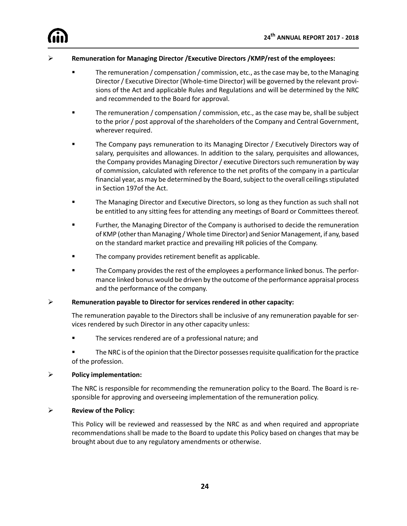

#### ÿ **Remuneration for Managing Director /Executive Directors /KMP/rest of the employees:**

- ß The remuneration / compensation / commission, etc., as the case may be, to the Managing Director / Executive Director (Whole-time Director) will be governed by the relevant provisions of the Act and applicable Rules and Regulations and will be determined by the NRC and recommended to the Board for approval.
- **Fack** The remuneration / compensation / commission, etc., as the case may be, shall be subject to the prior / post approval of the shareholders of the Company and Central Government, wherever required.
- ß The Company pays remuneration to its Managing Director / Executively Directors way of salary, perquisites and allowances. In addition to the salary, perquisites and allowances, the Company provides Managing Director / executive Directors such remuneration by way of commission, calculated with reference to the net profits of the company in a particular financial year, as may be determined by the Board, subject to the overall ceilings stipulated in Section 197of the Act.
- **The Managing Director and Executive Directors, so long as they function as such shall not** be entitled to any sitting fees for attending any meetings of Board or Committees thereof.
- **EXECT** Further, the Managing Director of the Company is authorised to decide the remuneration of KMP (other than Managing / Whole time Director) and Senior Management, if any, based on the standard market practice and prevailing HR policies of the Company.
- The company provides retirement benefit as applicable.
- ß The Company provides the rest of the employees a performance linked bonus. The performance linked bonus would be driven by the outcome of the performance appraisal process and the performance of the company.

#### **EXECT:** Remuneration payable to Director for services rendered in other capacity:

The remuneration payable to the Directors shall be inclusive of any remuneration payable for services rendered by such Director in any other capacity unless:

- **The services rendered are of a professional nature; and**
- **The NRC** is of the opinion that the Director possesses requisite qualification for the practice of the profession.

#### ÿ **Policy implementation:**

The NRC is responsible for recommending the remuneration policy to the Board. The Board is responsible for approving and overseeing implementation of the remuneration policy.

#### ÿ **Review of the Policy:**

This Policy will be reviewed and reassessed by the NRC as and when required and appropriate recommendations shall be made to the Board to update this Policy based on changes that may be brought about due to any regulatory amendments or otherwise.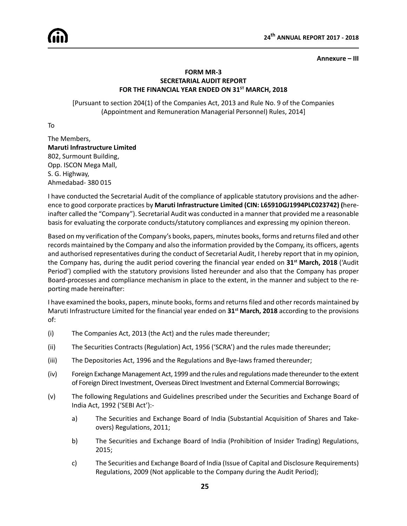#### **Annexure – III**

#### **FORM MR-3 SECRETARIAL AUDIT REPORT FOR THE FINANCIAL YEAR ENDED ON 31ST MARCH, 2018**

[Pursuant to section 204(1) of the Companies Act, 2013 and Rule No. 9 of the Companies (Appointment and Remuneration Managerial Personnel) Rules, 2014]

To

The Members, **Maruti Infrastructure Limited** 802, Surmount Building, Opp. ISCON Mega Mall, S. G. Highway, Ahmedabad- 380 015

I have conducted the Secretarial Audit of the compliance of applicable statutory provisions and the adherence to good corporate practices by **Maruti Infrastructure Limited (CIN: L65910GJ1994PLC023742) (**hereinafter called the "Company"). Secretarial Audit was conducted in a manner that provided me a reasonable basis for evaluating the corporate conducts/statutory compliances and expressing my opinion thereon.

Based on my verification of the Company's books, papers, minutes books, forms and returns filed and other records maintained by the Company and also the information provided by the Company, its officers, agents and authorised representatives during the conduct of Secretarial Audit, I hereby report that in my opinion, the Company has, during the audit period covering the financial year ended on **31st March, 2018** ('Audit Period') complied with the statutory provisions listed hereunder and also that the Company has proper Board-processes and compliance mechanism in place to the extent, in the manner and subject to the reporting made hereinafter:

I have examined the books, papers, minute books, forms and returns filed and other records maintained by Maruti Infrastructure Limited for the financial year ended on **31st March, 2018** according to the provisions of:

- (i) The Companies Act, 2013 (the Act) and the rules made thereunder;
- (ii) The Securities Contracts (Regulation) Act, 1956 ('SCRA') and the rules made thereunder;
- (iii) The Depositories Act, 1996 and the Regulations and Bye-laws framed thereunder;
- (iv) Foreign Exchange Management Act, 1999 and the rules and regulations made thereunder to the extent of Foreign Direct Investment, Overseas Direct Investment and External Commercial Borrowings;
- (v) The following Regulations and Guidelines prescribed under the Securities and Exchange Board of India Act, 1992 ('SEBI Act'):
	- a) The Securities and Exchange Board of India (Substantial Acquisition of Shares and Takeovers) Regulations, 2011;
	- b) The Securities and Exchange Board of India (Prohibition of Insider Trading) Regulations, 2015;
	- c) The Securities and Exchange Board of India (Issue of Capital and Disclosure Requirements) Regulations, 2009 (Not applicable to the Company during the Audit Period);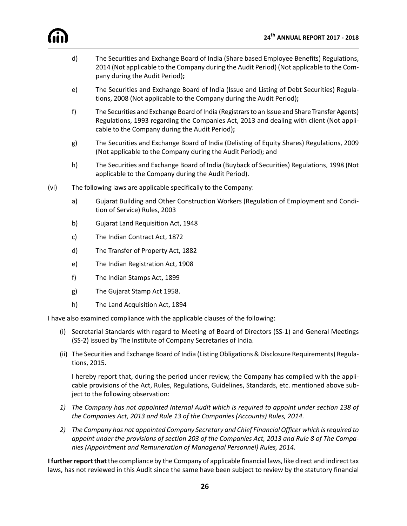

- d) The Securities and Exchange Board of India (Share based Employee Benefits) Regulations, 2014 (Not applicable to the Company during the Audit Period) (Not applicable to the Company during the Audit Period)**;**
- e) The Securities and Exchange Board of India (Issue and Listing of Debt Securities) Regulations, 2008 (Not applicable to the Company during the Audit Period)**;**
- f) The Securities and Exchange Board of India (Registrars to an Issue and Share Transfer Agents) Regulations, 1993 regarding the Companies Act, 2013 and dealing with client (Not applicable to the Company during the Audit Period)**;**
- g) The Securities and Exchange Board of India (Delisting of Equity Shares) Regulations, 2009 (Not applicable to the Company during the Audit Period); and
- h) The Securities and Exchange Board of India (Buyback of Securities) Regulations, 1998 (Not applicable to the Company during the Audit Period).
- (vi) The following laws are applicable specifically to the Company:
	- a) Gujarat Building and Other Construction Workers (Regulation of Employment and Condition of Service) Rules, 2003
	- b) Gujarat Land Requisition Act, 1948
	- c) The Indian Contract Act, 1872
	- d) The Transfer of Property Act, 1882
	- e) The Indian Registration Act, 1908
	- f) The Indian Stamps Act, 1899
	- g) The Gujarat Stamp Act 1958.
	- h) The Land Acquisition Act, 1894

I have also examined compliance with the applicable clauses of the following:

- (i) Secretarial Standards with regard to Meeting of Board of Directors (SS-1) and General Meetings (SS-2) issued by The Institute of Company Secretaries of India.
- (ii) The Securities and Exchange Board of India (Listing Obligations & Disclosure Requirements) Regulations, 2015.

I hereby report that, during the period under review, the Company has complied with the applicable provisions of the Act, Rules, Regulations, Guidelines, Standards, etc. mentioned above subject to the following observation:

- *1) The Company has not appointed Internal Audit which is required to appoint under section 138 of the Companies Act, 2013 and Rule 13 of the Companies (Accounts) Rules, 2014.*
- *2) The Company has not appointed Company Secretary and Chief Financial Officer which is required to appoint under the provisions of section 203 of the Companies Act, 2013 and Rule 8 of The Companies (Appointment and Remuneration of Managerial Personnel) Rules, 2014.*

**I further report that** the compliance by the Company of applicable financial laws, like direct and indirect tax laws, has not reviewed in this Audit since the same have been subject to review by the statutory financial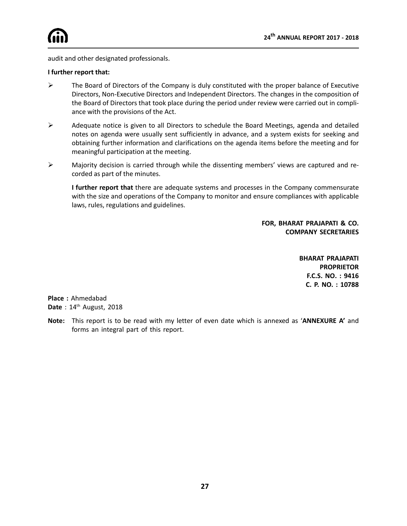audit and other designated professionals.

#### **I further report that:**

- $\triangleright$  The Board of Directors of the Company is duly constituted with the proper balance of Executive Directors, Non-Executive Directors and Independent Directors. The changes in the composition of the Board of Directors that took place during the period under review were carried out in compliance with the provisions of the Act.
- $\triangleright$  Adequate notice is given to all Directors to schedule the Board Meetings, agenda and detailed notes on agenda were usually sent sufficiently in advance, and a system exists for seeking and obtaining further information and clarifications on the agenda items before the meeting and for meaningful participation at the meeting.
- $\triangleright$  Majority decision is carried through while the dissenting members' views are captured and recorded as part of the minutes.

**I further report that** there are adequate systems and processes in the Company commensurate with the size and operations of the Company to monitor and ensure compliances with applicable laws, rules, regulations and guidelines.

> **FOR, BHARAT PRAJAPATI & CO. COMPANY SECRETARIES**

> > **BHARAT PRAJAPATI PROPRIETOR F.C.S. NO. : 9416 C. P. NO. : 10788**

**Place :** Ahmedabad **Date** : 14th August, 2018

**Note:** This report is to be read with my letter of even date which is annexed as '**ANNEXURE A'** and forms an integral part of this report.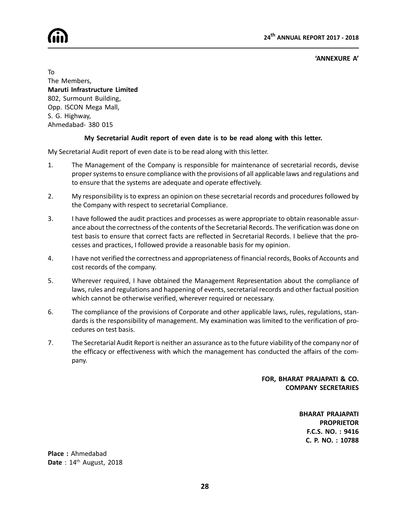

**'ANNEXURE A'**

To The Members, **Maruti Infrastructure Limited** 802, Surmount Building, Opp. ISCON Mega Mall, S. G. Highway, Ahmedabad- 380 015

#### **My Secretarial Audit report of even date is to be read along with this letter.**

My Secretarial Audit report of even date is to be read along with this letter.

- 1. The Management of the Company is responsible for maintenance of secretarial records, devise proper systems to ensure compliance with the provisions of all applicable laws and regulations and to ensure that the systems are adequate and operate effectively.
- 2. My responsibility is to express an opinion on these secretarial records and procedures followed by the Company with respect to secretarial Compliance.
- 3. I have followed the audit practices and processes as were appropriate to obtain reasonable assurance about the correctness of the contents of the Secretarial Records. The verification was done on test basis to ensure that correct facts are reflected in Secretarial Records. I believe that the processes and practices, I followed provide a reasonable basis for my opinion.
- 4. I have not verified the correctness and appropriateness of financial records, Books of Accounts and cost records of the company.
- 5. Wherever required, I have obtained the Management Representation about the compliance of laws, rules and regulations and happening of events, secretarial records and other factual position which cannot be otherwise verified, wherever required or necessary.
- 6. The compliance of the provisions of Corporate and other applicable laws, rules, regulations, standards is the responsibility of management. My examination was limited to the verification of procedures on test basis.
- 7. The Secretarial Audit Report is neither an assurance as to the future viability of the company nor of the efficacy or effectiveness with which the management has conducted the affairs of the company.

#### **FOR, BHARAT PRAJAPATI & CO. COMPANY SECRETARIES**

**BHARAT PRAJAPATI PROPRIETOR F.C.S. NO. : 9416 C. P. NO. : 10788**

**Place :** Ahmedabad **Date** : 14th August, 2018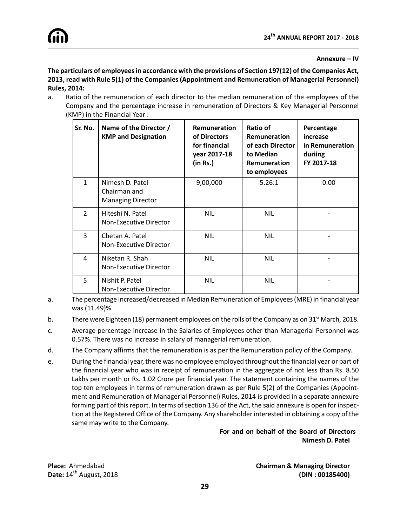#### **Annexure – IV**

**The particulars of employees in accordance with the provisions of Section 197(12) of the Companies Act, 2013, read with Rule 5(1) of the Companies (Appointment and Remuneration of Managerial Personnel) Rules, 2014:**

a. Ratio of the remuneration of each director to the median remuneration of the employees of the Company and the percentage increase in remuneration of Directors & Key Managerial Personnel (KMP) in the Financial Year :

| Sr. No.        | Name of the Director /<br><b>KMP and Designation</b>        | Remuneration<br>of Directors<br>for financial<br>year 2017-18<br>(in Rs.) | Ratio of<br>Remuneration<br>of each Director<br>to Median<br>Remuneration<br>to employees | Percentage<br>increase<br>in Remuneration<br>duriing<br>FY 2017-18 |
|----------------|-------------------------------------------------------------|---------------------------------------------------------------------------|-------------------------------------------------------------------------------------------|--------------------------------------------------------------------|
| $\mathbf{1}$   | Nimesh D. Patel<br>Chairman and<br><b>Managing Director</b> | 9,00,000                                                                  | 5.26:1                                                                                    | 0.00                                                               |
| $\overline{2}$ | Hiteshi N. Patel<br>Non-Executive Director                  | <b>NIL</b>                                                                | <b>NIL</b>                                                                                |                                                                    |
| 3              | Chetan A. Patel<br>Non-Executive Director                   | <b>NIL</b>                                                                | <b>NIL</b>                                                                                |                                                                    |
| 4              | Niketan R. Shah<br>Non-Executive Director                   | <b>NIL</b>                                                                | <b>NIL</b>                                                                                |                                                                    |
| 5              | Nishit P. Patel<br>Non-Executive Director                   | <b>NIL</b>                                                                | <b>NIL</b>                                                                                |                                                                    |

- a. The percentage increased/decreased in Median Remuneration of Employees (MRE) in financial year was (11.49)%
- b. There were Eighteen (18) permanent employees on the rolls of the Company as on 31<sup>st</sup> March, 2018.
- c. Average percentage increase in the Salaries of Employees other than Managerial Personnel was 0.57%. There was no increase in salary of managerial remuneration.
- d. The Company affirms that the remuneration is as per the Remuneration policy of the Company.
- e. During the financial year, there was no employee employed throughout the financial year or part of the financial year who was in receipt of remuneration in the aggregate of not less than Rs. 8.50 Lakhs per month or Rs. 1.02 Crore per financial year. The statement containing the names of the top ten employees in terms of remuneration drawn as per Rule 5(2) of the Companies (Appointment and Remuneration of Managerial Personnel) Rules, 2014 is provided in a separate annexure forming part of this report. In terms of section 136 of the Act, the said annexure is open for inspection at the Registered Office of the Company. Any shareholder interested in obtaining a copy of the same may write to the Company.

#### **For and on behalf of the Board of Directors Nimesh D. Patel**

**Place:** Ahmedabad **Chairman & Managing Director Date:**  $14^{th}$  August, 2018 **(DIN : 00185400)**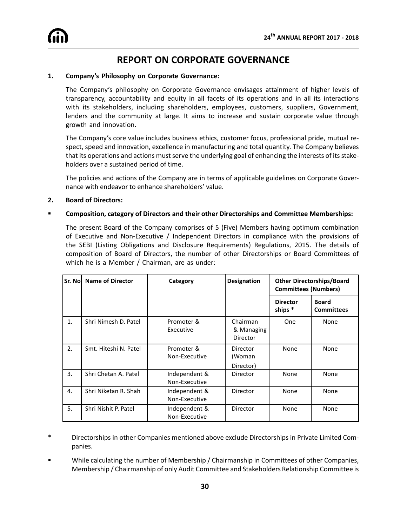## **REPORT ON CORPORATE GOVERNANCE**

#### **1. Company's Philosophy on Corporate Governance:**

The Company's philosophy on Corporate Governance envisages attainment of higher levels of transparency, accountability and equity in all facets of its operations and in all its interactions with its stakeholders, including shareholders, employees, customers, suppliers, Government, lenders and the community at large. It aims to increase and sustain corporate value through growth and innovation.

The Company's core value includes business ethics, customer focus, professional pride, mutual respect, speed and innovation, excellence in manufacturing and total quantity. The Company believes that its operations and actions must serve the underlying goal of enhancing the interests of its stakeholders over a sustained period of time.

The policies and actions of the Company are in terms of applicable guidelines on Corporate Governance with endeavor to enhance shareholders' value.

#### **2. Board of Directors:**

#### **EXECOMPOSITED, COMPOSITION, CATEGORY OF Directors and their other Directorships and Committee Memberships:**

The present Board of the Company comprises of 5 (Five) Members having optimum combination of Executive and Non-Executive / Independent Directors in compliance with the provisions of the SEBI (Listing Obligations and Disclosure Requirements) Regulations, 2015. The details of composition of Board of Directors, the number of other Directorships or Board Committees of which he is a Member / Chairman, are as under:

|    | Sr. Nol Name of Director | Category                       | <b>Designation</b>                        | <b>Other Directorships/Board</b><br><b>Committees (Numbers)</b> |                                   |
|----|--------------------------|--------------------------------|-------------------------------------------|-----------------------------------------------------------------|-----------------------------------|
|    |                          |                                |                                           | <b>Director</b><br>ships *                                      | <b>Board</b><br><b>Committees</b> |
| 1. | Shri Nimesh D. Patel     | Promoter &<br>Executive        | Chairman<br>& Managing<br><b>Director</b> | <b>One</b>                                                      | None                              |
| 2. | Smt. Hiteshi N. Patel    | Promoter &<br>Non-Executive    | Director<br>(Woman<br>Director)           | None                                                            | None                              |
| 3. | Shri Chetan A. Patel     | Independent &<br>Non-Executive | Director                                  | None                                                            | None                              |
| 4. | Shri Niketan R. Shah     | Independent &<br>Non-Executive | Director                                  | None                                                            | None                              |
| 5. | Shri Nishit P. Patel     | Independent &<br>Non-Executive | <b>Director</b>                           | <b>None</b>                                                     | None                              |

\* Directorships in other Companies mentioned above exclude Directorships in Private Limited Companies.

While calculating the number of Membership / Chairmanship in Committees of other Companies, Membership / Chairmanship of only Audit Committee and Stakeholders Relationship Committee is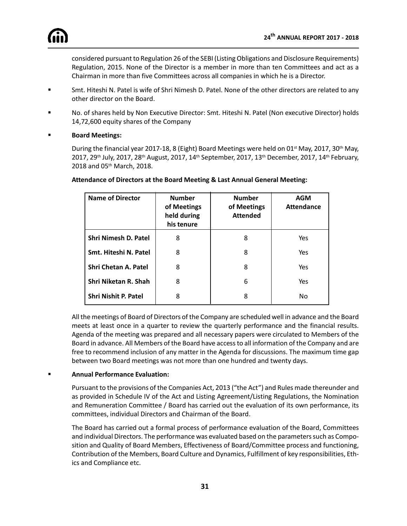considered pursuant to Regulation 26 of the SEBI (Listing Obligations and Disclosure Requirements) Regulation, 2015. None of the Director is a member in more than ten Committees and act as a Chairman in more than five Committees across all companies in which he is a Director.

- ß Smt. Hiteshi N. Patel is wife of Shri Nimesh D. Patel. None of the other directors are related to any other director on the Board.
- ß No. of shares held by Non Executive Director: Smt. Hiteshi N. Patel (Non executive Director) holds 14,72,600 equity shares of the Company
- ß **Board Meetings:**

During the financial year 2017-18, 8 (Eight) Board Meetings were held on 01<sup>st</sup> May, 2017, 30<sup>th</sup> May, 2017, 29<sup>th</sup> July, 2017, 28<sup>th</sup> August, 2017, 14<sup>th</sup> September, 2017, 13<sup>th</sup> December, 2017, 14<sup>th</sup> February, 2018 and 05th March, 2018.

| <b>Name of Director</b>     | <b>Number</b><br>of Meetings<br>held during<br>his tenure | <b>Number</b><br>of Meetings<br><b>Attended</b> | <b>AGM</b><br><b>Attendance</b> |
|-----------------------------|-----------------------------------------------------------|-------------------------------------------------|---------------------------------|
| <b>Shri Nimesh D. Patel</b> | 8                                                         | 8                                               | Yes                             |
| Smt. Hiteshi N. Patel       | 8                                                         | 8                                               | Yes                             |
| <b>Shri Chetan A. Patel</b> | 8                                                         | 8                                               | Yes                             |
| <b>Shri Niketan R. Shah</b> | 8                                                         | 6                                               | Yes                             |
| Shri Nishit P. Patel        | 8                                                         | 8                                               | No                              |

#### **Attendance of Directors at the Board Meeting & Last Annual General Meeting:**

All the meetings of Board of Directors of the Company are scheduled well in advance and the Board meets at least once in a quarter to review the quarterly performance and the financial results. Agenda of the meeting was prepared and all necessary papers were circulated to Members of the Board in advance. All Members of the Board have access to all information of the Company and are free to recommend inclusion of any matter in the Agenda for discussions. The maximum time gap between two Board meetings was not more than one hundred and twenty days.

#### ß **Annual Performance Evaluation:**

Pursuant to the provisions of the Companies Act, 2013 ("the Act") and Rules made thereunder and as provided in Schedule IV of the Act and Listing Agreement/Listing Regulations, the Nomination and Remuneration Committee / Board has carried out the evaluation of its own performance, its committees, individual Directors and Chairman of the Board.

The Board has carried out a formal process of performance evaluation of the Board, Committees and individual Directors. The performance was evaluated based on the parameters such as Composition and Quality of Board Members, Effectiveness of Board/Committee process and functioning, Contribution of the Members, Board Culture and Dynamics, Fulfillment of key responsibilities, Ethics and Compliance etc.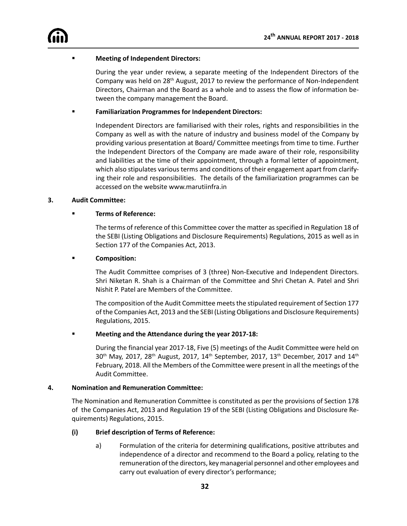

#### ß **Meeting of Independent Directors:**

During the year under review, a separate meeting of the Independent Directors of the Company was held on  $28<sup>th</sup>$  August, 2017 to review the performance of Non-Independent Directors, Chairman and the Board as a whole and to assess the flow of information between the company management the Board.

#### ß **Familiarization Programmes for Independent Directors:**

Independent Directors are familiarised with their roles, rights and responsibilities in the Company as well as with the nature of industry and business model of the Company by providing various presentation at Board/ Committee meetings from time to time. Further the Independent Directors of the Company are made aware of their role, responsibility and liabilities at the time of their appointment, through a formal letter of appointment, which also stipulates various terms and conditions of their engagement apart from clarifying their role and responsibilities. The details of the familiarization programmes can be accessed on the website www.marutiinfra.in

#### **3. Audit Committee:**

#### **Example 3 Terms of Reference:**

The terms of reference of this Committee cover the matter as specified in Regulation 18 of the SEBI (Listing Obligations and Disclosure Requirements) Regulations, 2015 as well as in Section 177 of the Companies Act, 2013.

#### **E** Composition:

The Audit Committee comprises of 3 (three) Non-Executive and Independent Directors. Shri Niketan R. Shah is a Chairman of the Committee and Shri Chetan A. Patel and Shri Nishit P. Patel are Members of the Committee.

The composition of the Audit Committee meets the stipulated requirement of Section 177 of the Companies Act, 2013 and the SEBI (Listing Obligations and Disclosure Requirements) Regulations, 2015.

#### ß **Meeting and the Attendance during the year 2017-18:**

During the financial year 2017-18, Five (5) meetings of the Audit Committee were held on  $30^{th}$  May, 2017, 28<sup>th</sup> August, 2017, 14<sup>th</sup> September, 2017, 13<sup>th</sup> December, 2017 and 14<sup>th</sup> February, 2018. All the Members of the Committee were present in all the meetings of the Audit Committee.

#### **4. Nomination and Remuneration Committee:**

The Nomination and Remuneration Committee is constituted as per the provisions of Section 178 of the Companies Act, 2013 and Regulation 19 of the SEBI (Listing Obligations and Disclosure Requirements) Regulations, 2015.

#### **(i) Brief description of Terms of Reference:**

a) Formulation of the criteria for determining qualifications, positive attributes and independence of a director and recommend to the Board a policy, relating to the remuneration of the directors, key managerial personnel and other employees and carry out evaluation of every director's performance;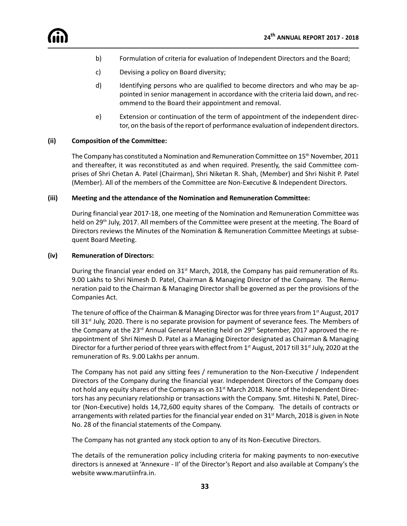- b) Formulation of criteria for evaluation of Independent Directors and the Board;
- c) Devising a policy on Board diversity;
- d) Identifying persons who are qualified to become directors and who may be appointed in senior management in accordance with the criteria laid down, and recommend to the Board their appointment and removal.
- e) Extension or continuation of the term of appointment of the independent director, on the basis of the report of performance evaluation of independent directors.

#### **(ii) Composition of the Committee:**

The Company has constituted a Nomination and Remuneration Committee on 15<sup>th</sup> November, 2011 and thereafter, it was reconstituted as and when required. Presently, the said Committee comprises of Shri Chetan A. Patel (Chairman), Shri Niketan R. Shah, (Member) and Shri Nishit P. Patel (Member). All of the members of the Committee are Non-Executive & Independent Directors.

#### **(iii) Meeting and the attendance of the Nomination and Remuneration Committee:**

During financial year 2017-18, one meeting of the Nomination and Remuneration Committee was held on 29<sup>th</sup> July, 2017. All members of the Committee were present at the meeting. The Board of Directors reviews the Minutes of the Nomination & Remuneration Committee Meetings at subsequent Board Meeting.

#### **(iv) Remuneration of Directors:**

During the financial year ended on  $31<sup>st</sup>$  March, 2018, the Company has paid remuneration of Rs. 9.00 Lakhs to Shri Nimesh D. Patel, Chairman & Managing Director of the Company. The Remuneration paid to the Chairman & Managing Director shall be governed as per the provisions of the Companies Act.

The tenure of office of the Chairman & Managing Director was for three years from 1<sup>st</sup> August, 2017 till 31<sup>st</sup> July, 2020. There is no separate provision for payment of severance fees. The Members of the Company at the 23<sup>rd</sup> Annual General Meeting held on 29<sup>th</sup> September, 2017 approved the reappointment of Shri Nimesh D. Patel as a Managing Director designated as Chairman & Managing Director for a further period of three years with effect from 1st August, 2017 till 31st July, 2020 at the remuneration of Rs. 9.00 Lakhs per annum.

The Company has not paid any sitting fees / remuneration to the Non-Executive / Independent Directors of the Company during the financial year. Independent Directors of the Company does not hold any equity shares of the Company as on 31<sup>st</sup> March 2018. None of the Independent Directors has any pecuniary relationship or transactions with the Company. Smt. Hiteshi N. Patel, Director (Non-Executive) holds 14,72,600 equity shares of the Company. The details of contracts or arrangements with related parties for the financial year ended on 31<sup>st</sup> March, 2018 is given in Note No. 28 of the financial statements of the Company.

The Company has not granted any stock option to any of its Non-Executive Directors.

The details of the remuneration policy including criteria for making payments to non-executive directors is annexed at 'Annexure - II' of the Director's Report and also available at Company's the website www.marutiinfra.in.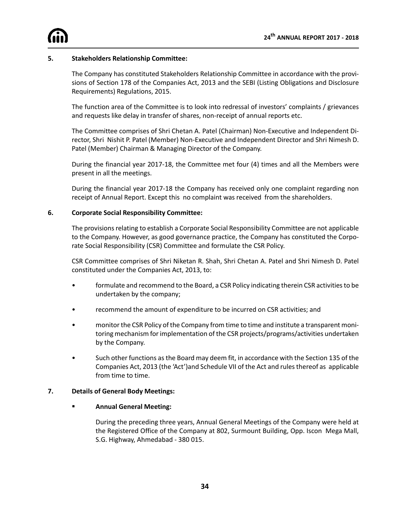#### **5. Stakeholders Relationship Committee:**

The Company has constituted Stakeholders Relationship Committee in accordance with the provisions of Section 178 of the Companies Act, 2013 and the SEBI (Listing Obligations and Disclosure Requirements) Regulations, 2015.

The function area of the Committee is to look into redressal of investors' complaints / grievances and requests like delay in transfer of shares, non-receipt of annual reports etc.

The Committee comprises of Shri Chetan A. Patel (Chairman) Non-Executive and Independent Director, Shri Nishit P. Patel (Member) Non-Executive and Independent Director and Shri Nimesh D. Patel (Member) Chairman & Managing Director of the Company.

During the financial year 2017-18, the Committee met four (4) times and all the Members were present in all the meetings.

During the financial year 2017-18 the Company has received only one complaint regarding non receipt of Annual Report. Except this no complaint was received from the shareholders.

#### **6. Corporate Social Responsibility Committee:**

The provisions relating to establish a Corporate Social Responsibility Committee are not applicable to the Company. However, as good governance practice, the Company has constituted the Corporate Social Responsibility (CSR) Committee and formulate the CSR Policy.

CSR Committee comprises of Shri Niketan R. Shah, Shri Chetan A. Patel and Shri Nimesh D. Patel constituted under the Companies Act, 2013, to:

- formulate and recommend to the Board, a CSR Policy indicating therein CSR activities to be undertaken by the company;
- recommend the amount of expenditure to be incurred on CSR activities; and
- monitor the CSR Policy of the Company from time to time and institute a transparent monitoring mechanism for implementation of the CSR projects/programs/activities undertaken by the Company.
- Such other functions as the Board may deem fit, in accordance with the Section 135 of the Companies Act, 2013 (the 'Act')and Schedule VII of the Act and rules thereof as applicable from time to time.

#### **7. Details of General Body Meetings:**

#### **Example 2 Annual General Meeting:**

During the preceding three years, Annual General Meetings of the Company were held at the Registered Office of the Company at 802, Surmount Building, Opp. Iscon Mega Mall, S.G. Highway, Ahmedabad - 380 015.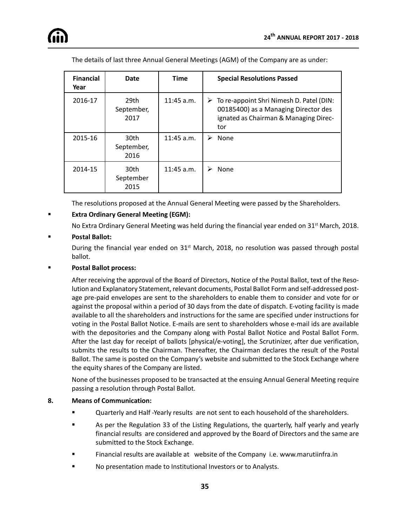| <b>Financial</b><br>Year | Date                       | <b>Time</b>  | <b>Special Resolutions Passed</b>                                                                                                                 |
|--------------------------|----------------------------|--------------|---------------------------------------------------------------------------------------------------------------------------------------------------|
| 2016-17                  | 29th<br>September,<br>2017 | $11:45$ a.m. | $\triangleright$ To re-appoint Shri Nimesh D. Patel (DIN:<br>00185400) as a Managing Director des<br>ignated as Chairman & Managing Direc-<br>tor |
| 2015-16                  | 30th<br>September,<br>2016 | $11:45$ a.m. | None<br>⋗                                                                                                                                         |
| 2014-15                  | 30th<br>September<br>2015  | $11:45$ a.m. | <b>None</b>                                                                                                                                       |

The details of last three Annual General Meetings (AGM) of the Company are as under:

The resolutions proposed at the Annual General Meeting were passed by the Shareholders.

#### ß **Extra Ordinary General Meeting (EGM):**

No Extra Ordinary General Meeting was held during the financial year ended on 31<sup>st</sup> March, 2018.

#### ß **Postal Ballot:**

During the financial year ended on 31<sup>st</sup> March, 2018, no resolution was passed through postal ballot.

#### ß **Postal Ballot process:**

After receiving the approval of the Board of Directors, Notice of the Postal Ballot, text of the Resolution and Explanatory Statement, relevant documents, Postal Ballot Form and self-addressed postage pre-paid envelopes are sent to the shareholders to enable them to consider and vote for or against the proposal within a period of 30 days from the date of dispatch. E-voting facility is made available to all the shareholders and instructions for the same are specified under instructions for voting in the Postal Ballot Notice. E-mails are sent to shareholders whose e-mail ids are available with the depositories and the Company along with Postal Ballot Notice and Postal Ballot Form. After the last day for receipt of ballots [physical/e-voting], the Scrutinizer, after due verification, submits the results to the Chairman. Thereafter, the Chairman declares the result of the Postal Ballot. The same is posted on the Company's website and submitted to the Stock Exchange where the equity shares of the Company are listed.

None of the businesses proposed to be transacted at the ensuing Annual General Meeting require passing a resolution through Postal Ballot.

#### **8. Means of Communication:**

- ß Quarterly and Half -Yearly results are not sent to each household of the shareholders.
- ß As per the Regulation 33 of the Listing Regulations, the quarterly, half yearly and yearly financial results are considered and approved by the Board of Directors and the same are submitted to the Stock Exchange.
- ß Financial results are available at website of the Company i.e. www.marutiinfra.in
- ß No presentation made to Institutional Investors or to Analysts.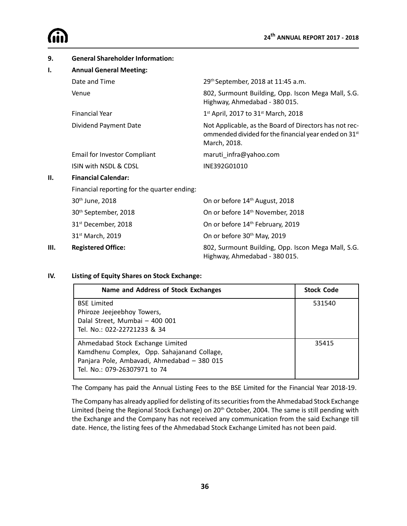| 9.   | <b>General Shareholder Information:</b>     |                                                                                                                                 |  |  |  |
|------|---------------------------------------------|---------------------------------------------------------------------------------------------------------------------------------|--|--|--|
| Ι.   | <b>Annual General Meeting:</b>              |                                                                                                                                 |  |  |  |
|      | Date and Time                               | 29th September, 2018 at 11:45 a.m.                                                                                              |  |  |  |
|      | Venue                                       | 802, Surmount Building, Opp. Iscon Mega Mall, S.G.<br>Highway, Ahmedabad - 380 015.                                             |  |  |  |
|      | <b>Financial Year</b>                       | $1^{st}$ April, 2017 to 31 <sup>st</sup> March, 2018                                                                            |  |  |  |
|      | Dividend Payment Date                       | Not Applicable, as the Board of Directors has not rec-<br>ommended divided for the financial year ended on 31st<br>March, 2018. |  |  |  |
|      | <b>Email for Investor Compliant</b>         | maruti_infra@yahoo.com                                                                                                          |  |  |  |
|      | ISIN with NSDL & CDSL                       | INE392G01010                                                                                                                    |  |  |  |
| П.   | <b>Financial Calendar:</b>                  |                                                                                                                                 |  |  |  |
|      | Financial reporting for the quarter ending: |                                                                                                                                 |  |  |  |
|      | 30th June, 2018                             | On or before 14th August, 2018                                                                                                  |  |  |  |
|      | 30 <sup>th</sup> September, 2018            | On or before 14 <sup>th</sup> November, 2018                                                                                    |  |  |  |
|      | 31 <sup>st</sup> December, 2018             | On or before 14 <sup>th</sup> February, 2019                                                                                    |  |  |  |
|      | 31st March, 2019                            | On or before 30 <sup>th</sup> May, 2019                                                                                         |  |  |  |
| III. | <b>Registered Office:</b>                   | 802, Surmount Building, Opp. Iscon Mega Mall, S.G.<br>Highway, Ahmedabad - 380 015.                                             |  |  |  |

#### **IV. Listing of Equity Shares on Stock Exchange:**

| Name and Address of Stock Exchanges         | <b>Stock Code</b> |
|---------------------------------------------|-------------------|
| <b>BSE Limited</b>                          | 531540            |
| Phiroze Jeejeebhoy Towers,                  |                   |
| Dalal Street, Mumbai - 400 001              |                   |
| Tel. No.: 022-22721233 & 34                 |                   |
| Ahmedabad Stock Exchange Limited            | 35415             |
| Kamdhenu Complex, Opp. Sahajanand Collage,  |                   |
| Panjara Pole, Ambavadi, Ahmedabad - 380 015 |                   |
| Tel. No.: 079-26307971 to 74                |                   |

The Company has paid the Annual Listing Fees to the BSE Limited for the Financial Year 2018-19.

The Company has already applied for delisting of its securities from the Ahmedabad Stock Exchange Limited (being the Regional Stock Exchange) on 20<sup>th</sup> October, 2004. The same is still pending with the Exchange and the Company has not received any communication from the said Exchange till date. Hence, the listing fees of the Ahmedabad Stock Exchange Limited has not been paid.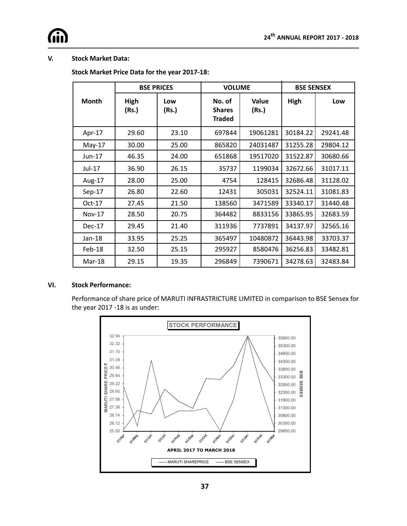#### **V. Stock Market Data:**

#### **Stock Market Price Data for the year 2017-18:**

|               |               | <b>VOLUME</b><br><b>BSE PRICES</b> |                                          |                |          | <b>BSE SENSEX</b> |  |
|---------------|---------------|------------------------------------|------------------------------------------|----------------|----------|-------------------|--|
| <b>Month</b>  | High<br>(Rs.) | Low<br>(Rs.)                       | No. of<br><b>Shares</b><br><b>Traded</b> | Value<br>(Rs.) | High     | Low               |  |
| Apr-17        | 29.60         | 23.10                              | 697844                                   | 19061281       | 30184.22 | 29241.48          |  |
| $May-17$      | 30.00         | 25.00                              | 865820                                   | 24031487       | 31255.28 | 29804.12          |  |
| $Jun-17$      | 46.35         | 24.00                              | 651868                                   | 19517020       | 31522.87 | 30680.66          |  |
| Jul-17        | 36.90         | 26.15                              | 35737                                    | 1199034        | 32672.66 | 31017.11          |  |
| Aug-17        | 28.00         | 25.00                              | 4754                                     | 128415         | 32686.48 | 31128.02          |  |
| $Sep-17$      | 26.80         | 22.60                              | 12431                                    | 305031         | 32524.11 | 31081.83          |  |
| $Oct-17$      | 27.45         | 21.50                              | 138560                                   | 3471589        | 33340.17 | 31440.48          |  |
| <b>Nov-17</b> | 28.50         | 20.75                              | 364482                                   | 8833156        | 33865.95 | 32683.59          |  |
| $Dec-17$      | 29.45         | 21.40                              | 311936                                   | 7737891        | 34137.97 | 32565.16          |  |
| $Jan-18$      | 33.95         | 25.25                              | 365497                                   | 10480872       | 36443.98 | 33703.37          |  |
| Feb-18        | 32.50         | 25.15                              | 295927                                   | 8580476        | 36256.83 | 33482.81          |  |
| Mar-18        | 29.15         | 19.35                              | 296849                                   | 7390671        | 34278.63 | 32483.84          |  |

#### **VI. Stock Performance:**

Performance of share price of MARUTI INFRASTRICTURE LIMITED in comparison to BSE Sensex for the year 2017 -18 is as under:

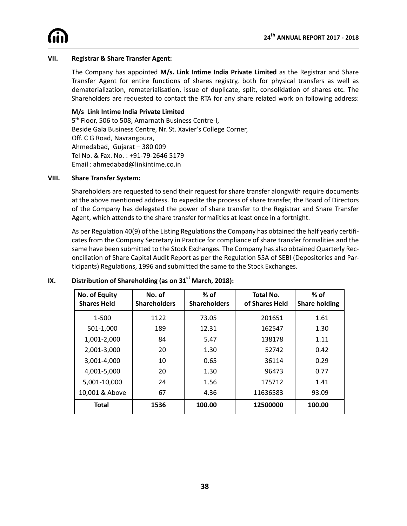#### **VII. Registrar & Share Transfer Agent:**

The Company has appointed **M/s. Link Intime India Private Limited** as the Registrar and Share Transfer Agent for entire functions of shares registry, both for physical transfers as well as dematerialization, rematerialisation, issue of duplicate, split, consolidation of shares etc. The Shareholders are requested to contact the RTA for any share related work on following address:

#### **M/s Link Intime India Private Limited**

5<sup>th</sup> Floor, 506 to 508, Amarnath Business Centre-I, Beside Gala Business Centre, Nr. St. Xavier's College Corner, Off. C G Road, Navrangpura, Ahmedabad, Gujarat – 380 009 Tel No. & Fax. No. : +91-79-2646 5179 Email : ahmedabad@linkintime.co.in

#### **VIII. Share Transfer System:**

Shareholders are requested to send their request for share transfer alongwith require documents at the above mentioned address. To expedite the process of share transfer, the Board of Directors of the Company has delegated the power of share transfer to the Registrar and Share Transfer Agent, which attends to the share transfer formalities at least once in a fortnight.

As per Regulation 40(9) of the Listing Regulations the Company has obtained the half yearly certificates from the Company Secretary in Practice for compliance of share transfer formalities and the same have been submitted to the Stock Exchanges. The Company has also obtained Quarterly Reconciliation of Share Capital Audit Report as per the Regulation 55A of SEBI (Depositories and Participants) Regulations, 1996 and submitted the same to the Stock Exchanges.

| No. of Equity<br><b>Shares Held</b> | No. of<br><b>Shareholders</b> | $%$ of<br><b>Shareholders</b> | <b>Total No.</b><br>of Shares Held | $%$ of<br><b>Share holding</b> |
|-------------------------------------|-------------------------------|-------------------------------|------------------------------------|--------------------------------|
| 1-500                               | 1122                          | 73.05                         | 201651                             | 1.61                           |
| 501-1,000                           | 189                           | 12.31                         | 162547                             | 1.30                           |
| 1,001-2,000                         | 84                            | 5.47                          | 138178                             | 1.11                           |
| 2,001-3,000                         | 20                            | 1.30                          | 52742                              | 0.42                           |
| 3,001-4,000                         | 10                            | 0.65                          | 36114                              | 0.29                           |
| 4,001-5,000                         | 20                            | 1.30                          | 96473                              | 0.77                           |
| 5,001-10,000                        | 24                            | 1.56                          | 175712                             | 1.41                           |
| 10,001 & Above                      | 67                            | 4.36                          | 11636583                           | 93.09                          |
| <b>Total</b>                        | 1536                          | 100.00                        | 12500000                           | 100.00                         |

### **IX. Distribution of Shareholding (as on 31st March, 2018):**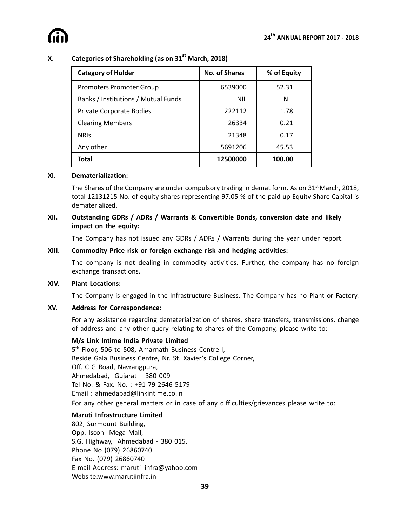

### **X. Categories of Shareholding (as on 31st March, 2018)**

| <b>Category of Holder</b>           | <b>No. of Shares</b> | % of Equity |
|-------------------------------------|----------------------|-------------|
| <b>Promoters Promoter Group</b>     | 6539000              | 52.31       |
| Banks / Institutions / Mutual Funds | <b>NIL</b>           | <b>NIL</b>  |
| Private Corporate Bodies            | 222112               | 1.78        |
| <b>Clearing Members</b>             | 26334                | 0.21        |
| <b>NRIS</b>                         | 21348                | 0.17        |
| Any other                           | 5691206              | 45.53       |
| <b>Total</b>                        | 12500000             | 100.00      |

#### **XI. Dematerialization:**

The Shares of the Company are under compulsory trading in demat form. As on 31<sup>st</sup> March, 2018, total 12131215 No. of equity shares representing 97.05 % of the paid up Equity Share Capital is dematerialized.

#### **XII. Outstanding GDRs / ADRs / Warrants & Convertible Bonds, conversion date and likely impact on the equity:**

The Company has not issued any GDRs / ADRs / Warrants during the year under report.

#### **XIII. Commodity Price risk or foreign exchange risk and hedging activities:**

The company is not dealing in commodity activities. Further, the company has no foreign exchange transactions.

#### **XIV. Plant Locations:**

The Company is engaged in the Infrastructure Business. The Company has no Plant or Factory.

#### **XV. Address for Correspondence:**

For any assistance regarding dematerialization of shares, share transfers, transmissions, change of address and any other query relating to shares of the Company, please write to:

### **M/s Link Intime India Private Limited**

5<sup>th</sup> Floor, 506 to 508, Amarnath Business Centre-I, Beside Gala Business Centre, Nr. St. Xavier's College Corner, Off. C G Road, Navrangpura, Ahmedabad, Gujarat – 380 009 Tel No. & Fax. No. : +91-79-2646 5179 Email : ahmedabad@linkintime.co.in For any other general matters or in case of any difficulties/grievances please write to:

#### **Maruti Infrastructure Limited**

802, Surmount Building, Opp. Iscon Mega Mall, S.G. Highway, Ahmedabad - 380 015. Phone No (079) 26860740 Fax No. (079) 26860740 E-mail Address: maruti\_infra@yahoo.com Website:www.marutiinfra.in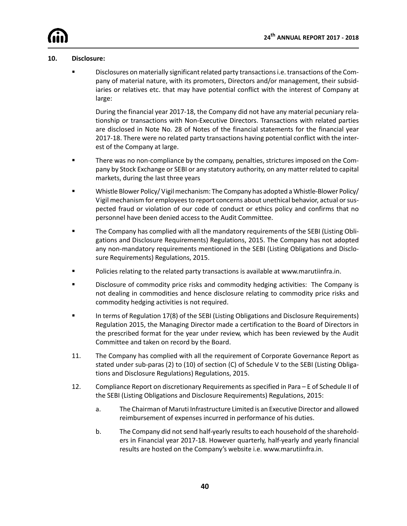#### **10. Disclosure:**

ß Disclosures on materially significant related party transactions i.e. transactions of the Company of material nature, with its promoters, Directors and/or management, their subsidiaries or relatives etc. that may have potential conflict with the interest of Company at large:

During the financial year 2017-18, the Company did not have any material pecuniary relationship or transactions with Non-Executive Directors. Transactions with related parties are disclosed in Note No. 28 of Notes of the financial statements for the financial year 2017-18. There were no related party transactions having potential conflict with the interest of the Company at large.

- **Fack** There was no non-compliance by the company, penalties, strictures imposed on the Company by Stock Exchange or SEBI or any statutory authority, on any matter related to capital markets, during the last three years
- ß Whistle Blower Policy/ Vigil mechanism: The Company has adopted a Whistle-Blower Policy/ Vigil mechanism for employees to report concerns about unethical behavior, actual or suspected fraud or violation of our code of conduct or ethics policy and confirms that no personnel have been denied access to the Audit Committee.
- **The Company has complied with all the mandatory requirements of the SEBI (Listing Obli**gations and Disclosure Requirements) Regulations, 2015. The Company has not adopted any non-mandatory requirements mentioned in the SEBI (Listing Obligations and Disclosure Requirements) Regulations, 2015.
- **Policies relating to the related party transactions is available at www.marutiinfra.in.**
- ß Disclosure of commodity price risks and commodity hedging activities: The Company is not dealing in commodities and hence disclosure relating to commodity price risks and commodity hedging activities is not required.
- ß In terms of Regulation 17(8) of the SEBI (Listing Obligations and Disclosure Requirements) Regulation 2015, the Managing Director made a certification to the Board of Directors in the prescribed format for the year under review, which has been reviewed by the Audit Committee and taken on record by the Board.
- 11. The Company has complied with all the requirement of Corporate Governance Report as stated under sub-paras (2) to (10) of section (C) of Schedule V to the SEBI (Listing Obligations and Disclosure Regulations) Regulations, 2015.
- 12. Compliance Report on discretionary Requirements as specified in Para E of Schedule II of the SEBI (Listing Obligations and Disclosure Requirements) Regulations, 2015:
	- a. The Chairman of Maruti Infrastructure Limited is an Executive Director and allowed reimbursement of expenses incurred in performance of his duties.
	- b. The Company did not send half-yearly results to each household of the shareholders in Financial year 2017-18. However quarterly, half-yearly and yearly financial results are hosted on the Company's website i.e. www.marutiinfra.in.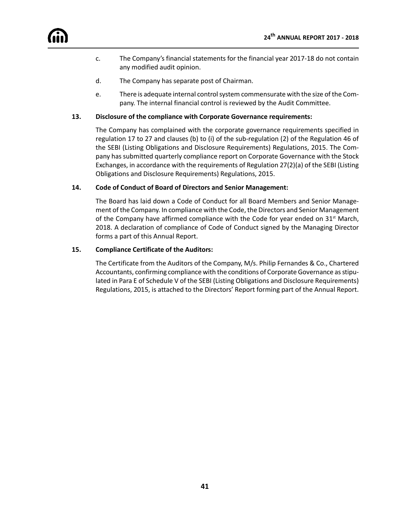- c. The Company's financial statements for the financial year 2017-18 do not contain any modified audit opinion.
- d. The Company has separate post of Chairman.
- e. There is adequate internal control system commensurate with the size of the Company. The internal financial control is reviewed by the Audit Committee.

#### **13. Disclosure of the compliance with Corporate Governance requirements:**

The Company has complained with the corporate governance requirements specified in regulation 17 to 27 and clauses (b) to (i) of the sub-regulation (2) of the Regulation 46 of the SEBI (Listing Obligations and Disclosure Requirements) Regulations, 2015. The Company has submitted quarterly compliance report on Corporate Governance with the Stock Exchanges, in accordance with the requirements of Regulation 27(2)(a) of the SEBI (Listing Obligations and Disclosure Requirements) Regulations, 2015.

#### **14. Code of Conduct of Board of Directors and Senior Management:**

The Board has laid down a Code of Conduct for all Board Members and Senior Management of the Company. In compliance with the Code, the Directors and Senior Management of the Company have affirmed compliance with the Code for year ended on 31<sup>st</sup> March, 2018. A declaration of compliance of Code of Conduct signed by the Managing Director forms a part of this Annual Report.

#### **15. Compliance Certificate of the Auditors:**

The Certificate from the Auditors of the Company, M/s. Philip Fernandes & Co., Chartered Accountants, confirming compliance with the conditions of Corporate Governance as stipulated in Para E of Schedule V of the SEBI (Listing Obligations and Disclosure Requirements) Regulations, 2015, is attached to the Directors' Report forming part of the Annual Report.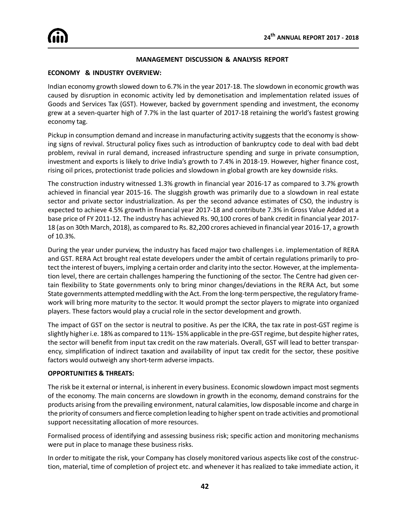#### **MANAGEMENT DISCUSSION & ANALYSIS REPORT**

#### **ECONOMY & INDUSTRY OVERVIEW:**

Indian economy growth slowed down to 6.7% in the year 2017-18. The slowdown in economic growth was caused by disruption in economic activity led by demonetisation and implementation related issues of Goods and Services Tax (GST). However, backed by government spending and investment, the economy grew at a seven-quarter high of 7.7% in the last quarter of 2017-18 retaining the world's fastest growing economy tag.

Pickup in consumption demand and increase in manufacturing activity suggests that the economy is showing signs of revival. Structural policy fixes such as introduction of bankruptcy code to deal with bad debt problem, revival in rural demand, increased infrastructure spending and surge in private consumption, investment and exports is likely to drive India's growth to 7.4% in 2018-19. However, higher finance cost, rising oil prices, protectionist trade policies and slowdown in global growth are key downside risks.

The construction industry witnessed 1.3% growth in financial year 2016-17 as compared to 3.7% growth achieved in financial year 2015-16. The sluggish growth was primarily due to a slowdown in real estate sector and private sector industrialization. As per the second advance estimates of CSO, the industry is expected to achieve 4.5% growth in financial year 2017-18 and contribute 7.3% in Gross Value Added at a base price of FY 2011-12. The industry has achieved Rs. 90,100 crores of bank credit in financial year 2017- 18 (as on 30th March, 2018), as compared to Rs. 82,200 crores achieved in financial year 2016-17, a growth of 10.3%.

During the year under purview, the industry has faced major two challenges i.e. implementation of RERA and GST. RERA Act brought real estate developers under the ambit of certain regulations primarily to protect the interest of buyers, implying a certain order and clarity into the sector. However, at the implementation level, there are certain challenges hampering the functioning of the sector. The Centre had given certain flexibility to State governments only to bring minor changes/deviations in the RERA Act, but some State governments attempted meddling with the Act. From the long-term perspective, the regulatory framework will bring more maturity to the sector. It would prompt the sector players to migrate into organized players. These factors would play a crucial role in the sector development and growth.

The impact of GST on the sector is neutral to positive. As per the ICRA, the tax rate in post-GST regime is slightly higher i.e. 18% as compared to 11%- 15% applicable in the pre-GST regime, but despite higher rates, the sector will benefit from input tax credit on the raw materials. Overall, GST will lead to better transparency, simplification of indirect taxation and availability of input tax credit for the sector, these positive factors would outweigh any short-term adverse impacts.

#### **OPPORTUNITIES & THREATS:**

The risk be it external or internal, is inherent in every business. Economic slowdown impact most segments of the economy. The main concerns are slowdown in growth in the economy, demand constrains for the products arising from the prevailing environment, natural calamities, low disposable income and charge in the priority of consumers and fierce completion leading to higher spent on trade activities and promotional support necessitating allocation of more resources.

Formalised process of identifying and assessing business risk; specific action and monitoring mechanisms were put in place to manage these business risks.

In order to mitigate the risk, your Company has closely monitored various aspects like cost of the construction, material, time of completion of project etc. and whenever it has realized to take immediate action, it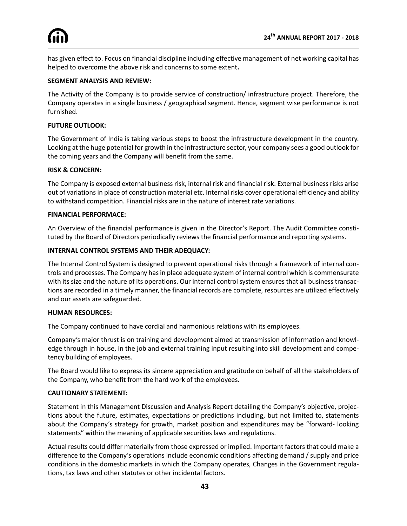has given effect to. Focus on financial discipline including effective management of net working capital has helped to overcome the above risk and concerns to some extent**.**

#### **SEGMENT ANALYSIS AND REVIEW:**

The Activity of the Company is to provide service of construction/ infrastructure project. Therefore, the Company operates in a single business / geographical segment. Hence, segment wise performance is not furnished.

#### **FUTURE OUTLOOK:**

The Government of India is taking various steps to boost the infrastructure development in the country. Looking at the huge potential for growth in the infrastructure sector, your company sees a good outlook for the coming years and the Company will benefit from the same.

#### **RISK & CONCERN:**

The Company is exposed external business risk, internal risk and financial risk. External business risks arise out of variations in place of construction material etc. Internal risks cover operational efficiency and ability to withstand competition. Financial risks are in the nature of interest rate variations.

#### **FINANCIAL PERFORMACE:**

An Overview of the financial performance is given in the Director's Report. The Audit Committee constituted by the Board of Directors periodically reviews the financial performance and reporting systems.

#### **INTERNAL CONTROL SYSTEMS AND THEIR ADEQUACY:**

The Internal Control System is designed to prevent operational risks through a framework of internal controls and processes. The Company has in place adequate system of internal control which is commensurate with its size and the nature of its operations. Our internal control system ensures that all business transactions are recorded in a timely manner, the financial records are complete, resources are utilized effectively and our assets are safeguarded.

#### **HUMAN RESOURCES:**

The Company continued to have cordial and harmonious relations with its employees.

Company's major thrust is on training and development aimed at transmission of information and knowledge through in house, in the job and external training input resulting into skill development and competency building of employees.

The Board would like to express its sincere appreciation and gratitude on behalf of all the stakeholders of the Company, who benefit from the hard work of the employees.

#### **CAUTIONARY STATEMENT:**

Statement in this Management Discussion and Analysis Report detailing the Company's objective, projections about the future, estimates, expectations or predictions including, but not limited to, statements about the Company's strategy for growth, market position and expenditures may be "forward- looking statements" within the meaning of applicable securities laws and regulations.

Actual results could differ materially from those expressed or implied. Important factors that could make a difference to the Company's operations include economic conditions affecting demand / supply and price conditions in the domestic markets in which the Company operates, Changes in the Government regulations, tax laws and other statutes or other incidental factors.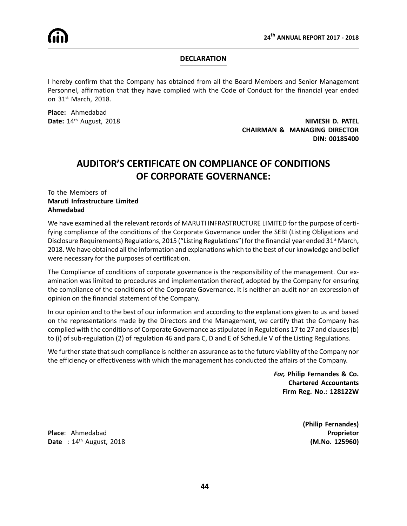

#### **DECLARATION**

I hereby confirm that the Company has obtained from all the Board Members and Senior Management Personnel, affirmation that they have complied with the Code of Conduct for the financial year ended on 31st March, 2018.

**Place:** Ahmedabad

**Date:**  $14^{\text{th}}$  August, 2018 **NIMESH D. PATEL CHAIRMAN & MANAGING DIRECTOR DIN: 00185400**

## **AUDITOR'S CERTIFICATE ON COMPLIANCE OF CONDITIONS OF CORPORATE GOVERNANCE:**

#### To the Members of **Maruti Infrastructure Limited Ahmedabad**

We have examined all the relevant records of MARUTI INFRASTRUCTURE LIMITED for the purpose of certifying compliance of the conditions of the Corporate Governance under the SEBI (Listing Obligations and Disclosure Requirements) Regulations, 2015 ("Listing Regulations") for the financial year ended 31<sup>st</sup> March, 2018. We have obtained all the information and explanations which to the best of our knowledge and belief were necessary for the purposes of certification.

The Compliance of conditions of corporate governance is the responsibility of the management. Our examination was limited to procedures and implementation thereof, adopted by the Company for ensuring the compliance of the conditions of the Corporate Governance. It is neither an audit nor an expression of opinion on the financial statement of the Company.

In our opinion and to the best of our information and according to the explanations given to us and based on the representations made by the Directors and the Management, we certify that the Company has complied with the conditions of Corporate Governance as stipulated in Regulations 17 to 27 and clauses (b) to (i) of sub-regulation (2) of regulation 46 and para C, D and E of Schedule V of the Listing Regulations.

We further state that such compliance is neither an assurance as to the future viability of the Company nor the efficiency or effectiveness with which the management has conducted the affairs of the Company.

> *For,* **Philip Fernandes & Co. Chartered Accountants Firm Reg. No.: 128122W**

**Place**: Ahmedabad **Proprietor Date** : 14<sup>th</sup> August, 2018 **(M.No. 125960)** 

**(Philip Fernandes)**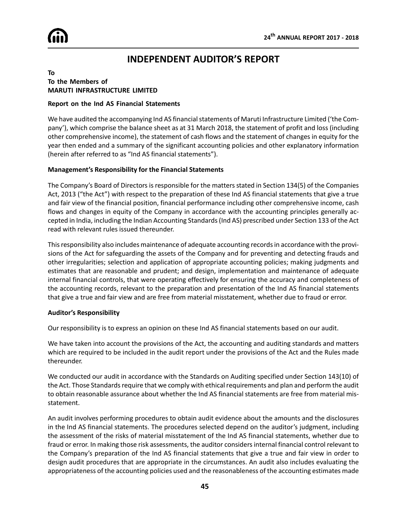

## **INDEPENDENT AUDITOR'S REPORT**

#### **To To the Members of MARUTI INFRASTRUCTURE LIMITED**

#### **Report on the Ind AS Financial Statements**

We have audited the accompanying Ind AS financial statements of Maruti Infrastructure Limited ('the Company'), which comprise the balance sheet as at 31 March 2018, the statement of profit and loss (including other comprehensive income), the statement of cash flows and the statement of changes in equity for the year then ended and a summary of the significant accounting policies and other explanatory information (herein after referred to as "Ind AS financial statements").

#### **Management's Responsibility for the Financial Statements**

The Company's Board of Directors is responsible for the matters stated in Section 134(5) of the Companies Act, 2013 ("the Act") with respect to the preparation of these Ind AS financial statements that give a true and fair view of the financial position, financial performance including other comprehensive income, cash flows and changes in equity of the Company in accordance with the accounting principles generally accepted in India, including the Indian Accounting Standards (Ind AS) prescribed under Section 133 of the Act read with relevant rules issued thereunder.

This responsibility also includes maintenance of adequate accounting records in accordance with the provisions of the Act for safeguarding the assets of the Company and for preventing and detecting frauds and other irregularities; selection and application of appropriate accounting policies; making judgments and estimates that are reasonable and prudent; and design, implementation and maintenance of adequate internal financial controls, that were operating effectively for ensuring the accuracy and completeness of the accounting records, relevant to the preparation and presentation of the Ind AS financial statements that give a true and fair view and are free from material misstatement, whether due to fraud or error.

#### **Auditor's Responsibility**

Our responsibility is to express an opinion on these Ind AS financial statements based on our audit.

We have taken into account the provisions of the Act, the accounting and auditing standards and matters which are required to be included in the audit report under the provisions of the Act and the Rules made thereunder.

We conducted our audit in accordance with the Standards on Auditing specified under Section 143(10) of the Act. Those Standards require that we comply with ethical requirements and plan and perform the audit to obtain reasonable assurance about whether the Ind AS financial statements are free from material misstatement.

An audit involves performing procedures to obtain audit evidence about the amounts and the disclosures in the Ind AS financial statements. The procedures selected depend on the auditor's judgment, including the assessment of the risks of material misstatement of the Ind AS financial statements, whether due to fraud or error. In making those risk assessments, the auditor considers internal financial control relevant to the Company's preparation of the Ind AS financial statements that give a true and fair view in order to design audit procedures that are appropriate in the circumstances. An audit also includes evaluating the appropriateness of the accounting policies used and the reasonableness of the accounting estimates made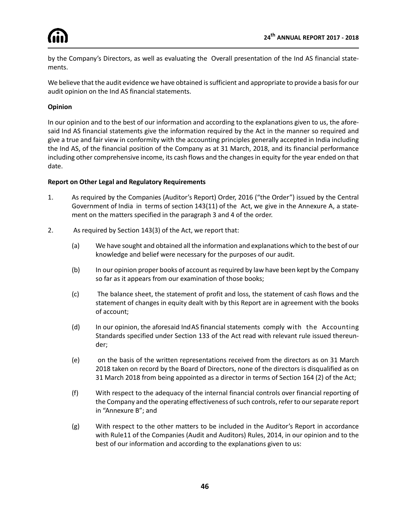

by the Company's Directors, as well as evaluating the Overall presentation of the Ind AS financial statements.

We believe that the audit evidence we have obtained is sufficient and appropriate to provide a basis for our audit opinion on the Ind AS financial statements.

### **Opinion**

In our opinion and to the best of our information and according to the explanations given to us, the aforesaid Ind AS financial statements give the information required by the Act in the manner so required and give a true and fair view in conformity with the accounting principles generally accepted in India including the Ind AS, of the financial position of the Company as at 31 March, 2018, and its financial performance including other comprehensive income, its cash flows and the changes in equity for the year ended on that date.

#### **Report on Other Legal and Regulatory Requirements**

- 1. As required by the Companies (Auditor's Report) Order, 2016 ("the Order") issued by the Central Government of India in terms of section 143(11) of the Act, we give in the Annexure A, a statement on the matters specified in the paragraph 3 and 4 of the order.
- 2. As required by Section 143(3) of the Act, we report that:
	- (a) We have sought and obtained all the information and explanations which to the best of our knowledge and belief were necessary for the purposes of our audit.
	- (b) In our opinion proper books of account as required by law have been kept by the Company so far as it appears from our examination of those books;
	- (c) The balance sheet, the statement of profit and loss, the statement of cash flows and the statement of changes in equity dealt with by this Report are in agreement with the books of account;
	- (d) In our opinion, the aforesaid IndAS financial statements comply with the Accounting Standards specified under Section 133 of the Act read with relevant rule issued thereunder;
	- (e) on the basis of the written representations received from the directors as on 31 March 2018 taken on record by the Board of Directors, none of the directors is disqualified as on 31 March 2018 from being appointed as a director in terms of Section 164 (2) of the Act;
	- (f) With respect to the adequacy of the internal financial controls over financial reporting of the Company and the operating effectiveness of such controls, refer to our separate report in "Annexure B"; and
	- (g) With respect to the other matters to be included in the Auditor's Report in accordance with Rule11 of the Companies (Audit and Auditors) Rules, 2014, in our opinion and to the best of our information and according to the explanations given to us: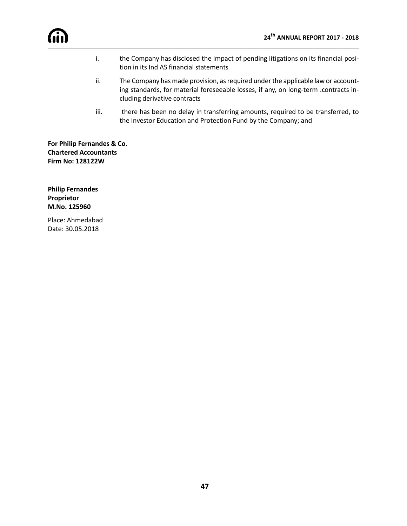- i. the Company has disclosed the impact of pending litigations on its financial position in its Ind AS financial statements
- ii. The Company has made provision, as required under the applicable law or accounting standards, for material foreseeable losses, if any, on long-term .contracts including derivative contracts
- iii. there has been no delay in transferring amounts, required to be transferred, to the Investor Education and Protection Fund by the Company; and

**For Philip Fernandes & Co. Chartered Accountants Firm No: 128122W**

**Philip Fernandes Proprietor M.No. 125960**

Place: Ahmedabad Date: 30.05.2018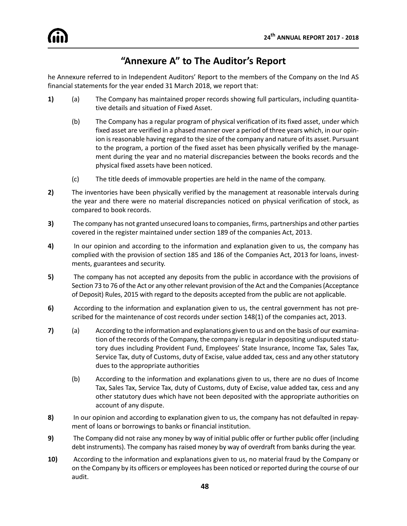## **"Annexure A" to The Auditor's Report**

he Annexure referred to in Independent Auditors' Report to the members of the Company on the Ind AS financial statements for the year ended 31 March 2018, we report that:

- **1)** (a) The Company has maintained proper records showing full particulars, including quantitative details and situation of Fixed Asset.
	- (b) The Company has a regular program of physical verification of its fixed asset, under which fixed asset are verified in a phased manner over a period of three years which, in our opinion is reasonable having regard to the size of the company and nature of its asset. Pursuant to the program, a portion of the fixed asset has been physically verified by the management during the year and no material discrepancies between the books records and the physical fixed assets have been noticed.
	- (c) The title deeds of immovable properties are held in the name of the company.
- **2)** The inventories have been physically verified by the management at reasonable intervals during the year and there were no material discrepancies noticed on physical verification of stock, as compared to book records.
- **3)** The company has not granted unsecured loans to companies, firms, partnerships and other parties covered in the register maintained under section 189 of the companies Act, 2013.
- **4)** In our opinion and according to the information and explanation given to us, the company has complied with the provision of section 185 and 186 of the Companies Act, 2013 for loans, investments, guarantees and security.
- **5)** The company has not accepted any deposits from the public in accordance with the provisions of Section 73 to 76 of the Act or any other relevant provision of the Act and the Companies (Acceptance of Deposit) Rules, 2015 with regard to the deposits accepted from the public are not applicable.
- **6)** According to the information and explanation given to us, the central government has not prescribed for the maintenance of cost records under section 148(1) of the companies act, 2013.
- **7)** (a) According to the information and explanations given to us and on the basis of our examination of the records of the Company, the company is regular in depositing undisputed statutory dues including Provident Fund, Employees' State Insurance, Income Tax, Sales Tax, Service Tax, duty of Customs, duty of Excise, value added tax, cess and any other statutory dues to the appropriate authorities
	- (b) According to the information and explanations given to us, there are no dues of Income Tax, Sales Tax, Service Tax, duty of Customs, duty of Excise, value added tax, cess and any other statutory dues which have not been deposited with the appropriate authorities on account of any dispute.
- **8)** In our opinion and according to explanation given to us, the company has not defaulted in repayment of loans or borrowings to banks or financial institution.
- **9)** The Company did not raise any money by way of initial public offer or further public offer (including debt instruments). The company has raised money by way of overdraft from banks during the year.
- **10)** According to the information and explanations given to us, no material fraud by the Company or on the Company by its officers or employees has been noticed or reported during the course of our audit.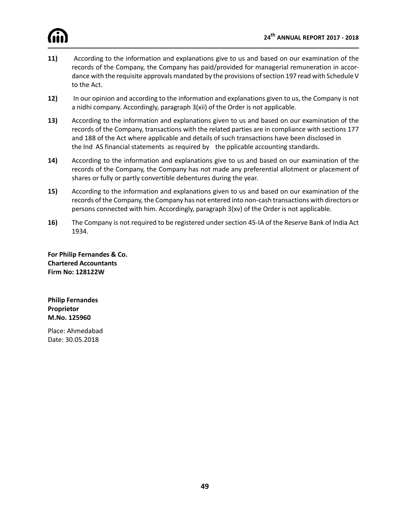

- **11)** According to the information and explanations give to us and based on our examination of the records of the Company, the Company has paid/provided for managerial remuneration in accordance with the requisite approvals mandated by the provisions of section 197 read with Schedule V to the Act.
- **12)** In our opinion and according to the information and explanations given to us, the Company is not a nidhi company. Accordingly, paragraph 3(xii) of the Order is not applicable.
- **13)** According to the information and explanations given to us and based on our examination of the records of the Company, transactions with the related parties are in compliance with sections 177 and 188 of the Act where applicable and details of such transactions have been disclosed in the Ind AS financial statements as required by the pplicable accounting standards.
- **14)** According to the information and explanations give to us and based on our examination of the records of the Company, the Company has not made any preferential allotment or placement of shares or fully or partly convertible debentures during the year.
- **15)** According to the information and explanations given to us and based on our examination of the records of the Company, the Company has not entered into non-cash transactions with directors or persons connected with him. Accordingly, paragraph 3(xv) of the Order is not applicable.
- **16)** The Company is not required to be registered under section 45-IA of the Reserve Bank of India Act 1934.

**For Philip Fernandes & Co. Chartered Accountants Firm No: 128122W**

**Philip Fernandes Proprietor M.No. 125960**

Place: Ahmedabad Date: 30.05.2018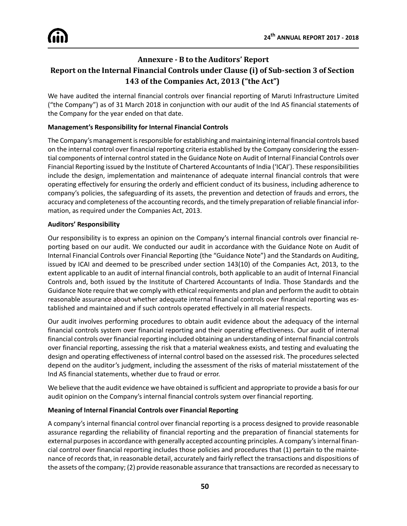## **Annexure - B to the Auditors' Report Report on the Internal Financial Controls under Clause (i) of Sub-section 3 of Section 143 of the Companies Act, 2013 ("the Act")**

We have audited the internal financial controls over financial reporting of Maruti Infrastructure Limited ("the Company") as of 31 March 2018 in conjunction with our audit of the Ind AS financial statements of the Company for the year ended on that date.

### **Management's Responsibility for Internal Financial Controls**

The Company's management is responsible for establishing and maintaining internal financial controls based on the internal control over financial reporting criteria established by the Company considering the essential components of internal control stated in the Guidance Note on Audit of Internal Financial Controls over Financial Reporting issued by the Institute of Chartered Accountants of India ('ICAI'). These responsibilities include the design, implementation and maintenance of adequate internal financial controls that were operating effectively for ensuring the orderly and efficient conduct of its business, including adherence to company's policies, the safeguarding of its assets, the prevention and detection of frauds and errors, the accuracy and completeness of the accounting records, and the timely preparation of reliable financial information, as required under the Companies Act, 2013.

#### **Auditors' Responsibility**

Our responsibility is to express an opinion on the Company's internal financial controls over financial reporting based on our audit. We conducted our audit in accordance with the Guidance Note on Audit of Internal Financial Controls over Financial Reporting (the "Guidance Note") and the Standards on Auditing, issued by ICAI and deemed to be prescribed under section 143(10) of the Companies Act, 2013, to the extent applicable to an audit of internal financial controls, both applicable to an audit of Internal Financial Controls and, both issued by the Institute of Chartered Accountants of India. Those Standards and the Guidance Note require that we comply with ethical requirements and plan and perform the audit to obtain reasonable assurance about whether adequate internal financial controls over financial reporting was established and maintained and if such controls operated effectively in all material respects.

Our audit involves performing procedures to obtain audit evidence about the adequacy of the internal financial controls system over financial reporting and their operating effectiveness. Our audit of internal financial controls over financial reporting included obtaining an understanding of internal financial controls over financial reporting, assessing the risk that a material weakness exists, and testing and evaluating the design and operating effectiveness of internal control based on the assessed risk. The procedures selected depend on the auditor's judgment, including the assessment of the risks of material misstatement of the Ind AS financial statements, whether due to fraud or error.

We believe that the audit evidence we have obtained is sufficient and appropriate to provide a basis for our audit opinion on the Company's internal financial controls system over financial reporting.

### **Meaning of Internal Financial Controls over Financial Reporting**

A company's internal financial control over financial reporting is a process designed to provide reasonable assurance regarding the reliability of financial reporting and the preparation of financial statements for external purposes in accordance with generally accepted accounting principles. A company's internal financial control over financial reporting includes those policies and procedures that (1) pertain to the maintenance of records that, in reasonable detail, accurately and fairly reflect the transactions and dispositions of the assets of the company; (2) provide reasonable assurance that transactions are recorded as necessary to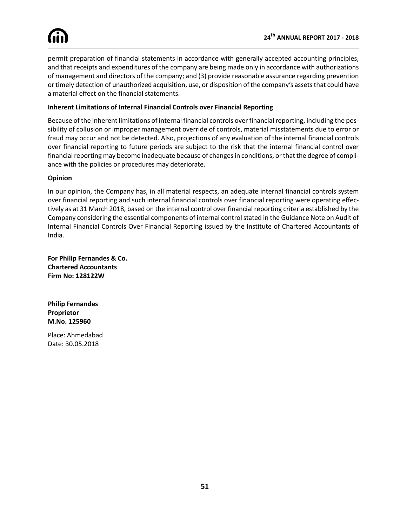permit preparation of financial statements in accordance with generally accepted accounting principles, and that receipts and expenditures of the company are being made only in accordance with authorizations of management and directors of the company; and (3) provide reasonable assurance regarding prevention or timely detection of unauthorized acquisition, use, or disposition of the company's assets that could have a material effect on the financial statements.

#### **Inherent Limitations of Internal Financial Controls over Financial Reporting**

Because of the inherent limitations of internal financial controls over financial reporting, including the possibility of collusion or improper management override of controls, material misstatements due to error or fraud may occur and not be detected. Also, projections of any evaluation of the internal financial controls over financial reporting to future periods are subject to the risk that the internal financial control over financial reporting may become inadequate because of changes in conditions, or that the degree of compliance with the policies or procedures may deteriorate.

#### **Opinion**

In our opinion, the Company has, in all material respects, an adequate internal financial controls system over financial reporting and such internal financial controls over financial reporting were operating effectively as at 31 March 2018, based on the internal control over financial reporting criteria established by the Company considering the essential components of internal control stated in the Guidance Note on Audit of Internal Financial Controls Over Financial Reporting issued by the Institute of Chartered Accountants of India.

**For Philip Fernandes & Co. Chartered Accountants Firm No: 128122W**

**Philip Fernandes Proprietor M.No. 125960**

Place: Ahmedabad Date: 30.05.2018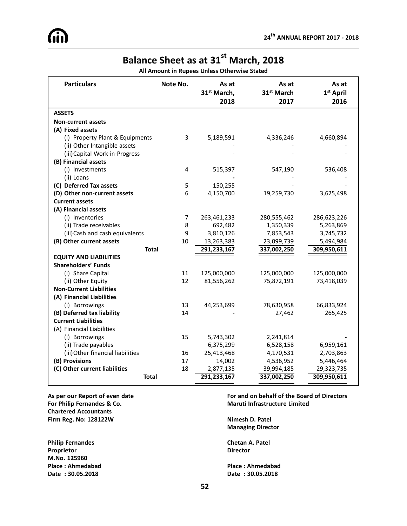# **Balance Sheet as at 31st March, 2018**

**All Amount in Rupees Unless Otherwise Stated**

| <b>Particulars</b>                | Note No. | As at<br>31 <sup>st</sup> March,<br>2018 | As at<br>31 <sup>st</sup> March<br>2017 | As at<br>1 <sup>st</sup> April<br>2016 |
|-----------------------------------|----------|------------------------------------------|-----------------------------------------|----------------------------------------|
| <b>ASSETS</b>                     |          |                                          |                                         |                                        |
| <b>Non-current assets</b>         |          |                                          |                                         |                                        |
| (A) Fixed assets                  |          |                                          |                                         |                                        |
| (i) Property Plant & Equipments   | 3        | 5,189,591                                | 4,336,246                               | 4,660,894                              |
| (ii) Other Intangible assets      |          |                                          |                                         |                                        |
| (iii) Capital Work-in-Progress    |          |                                          |                                         |                                        |
| (B) Financial assets              |          |                                          |                                         |                                        |
| (i) Investments                   | 4        | 515,397                                  | 547,190                                 | 536,408                                |
| (ii) Loans                        |          |                                          |                                         |                                        |
| (C) Deferred Tax assets           | 5        | 150,255                                  |                                         |                                        |
| (D) Other non-current assets      | 6        | 4,150,700                                | 19,259,730                              | 3,625,498                              |
| <b>Current assets</b>             |          |                                          |                                         |                                        |
| (A) Financial assets              |          |                                          |                                         |                                        |
| (i) Inventories                   | 7        | 263,461,233                              | 280,555,462                             | 286,623,226                            |
| (ii) Trade receivables            | 8        | 692,482                                  | 1,350,339                               | 5,263,869                              |
| (iii) Cash and cash equivalents   | 9        | 3,810,126                                | 7,853,543                               | 3,745,732                              |
| (B) Other current assets          | 10       | 13,263,383                               | 23,099,739                              | 5,494,984                              |
| <b>Total</b>                      |          | 291,233,167                              | 337,002,250                             | 309,950,611                            |
| <b>EQUITY AND LIABILITIES</b>     |          |                                          |                                         |                                        |
| <b>Shareholders' Funds</b>        |          |                                          |                                         |                                        |
| (i) Share Capital                 | 11       | 125,000,000                              | 125,000,000                             | 125,000,000                            |
| (ii) Other Equity                 | 12       | 81,556,262                               | 75,872,191                              | 73,418,039                             |
| <b>Non-Current Liabilities</b>    |          |                                          |                                         |                                        |
| (A) Financial Liabilities         |          |                                          |                                         |                                        |
| (i) Borrowings                    | 13       | 44,253,699                               | 78,630,958                              | 66,833,924                             |
| (B) Deferred tax liability        | 14       |                                          | 27,462                                  | 265,425                                |
| <b>Current Liabilities</b>        |          |                                          |                                         |                                        |
| (A) Financial Liabilities         |          |                                          |                                         |                                        |
| (i) Borrowings                    | 15       | 5,743,302                                | 2,241,814                               |                                        |
| (ii) Trade payables               |          | 6,375,299                                | 6,528,158                               | 6,959,161                              |
| (iii) Other financial liabilities | 16       | 25,413,468                               | 4,170,531                               | 2,703,863                              |
| (B) Provisions                    | 17       | 14,002                                   | 4,536,952                               | 5,446,464                              |
| (C) Other current liabilities     | 18       | 2,877,135                                | 39,994,185                              | 29,323,735                             |
| <b>Total</b>                      |          | 291,233,167                              | 337,002,250                             | 309,950,611                            |

**For Philip Fernandes & Co. Maruti Infrastructure Limited Chartered Accountants Firm Reg. No: 128122W Nimesh D. Patel**

**Philip Fernandes Chetan A. Patel Proprietor Director M.No. 125960 Place : Ahmedabad Place : Ahmedabad Date : 30.05.2018 Date : 30.05.2018**

**As per our Report of even date For and on behalf of the Board of Directors**

**Managing Director**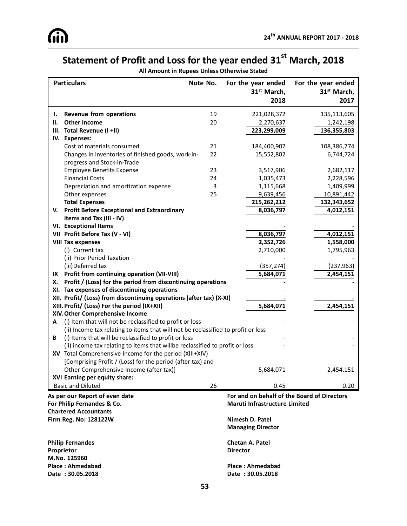# **Statement of Profit and Loss for the year ended 31st March, 2018**

**All Amount in Rupees Unless Otherwise Stated**

| <b>Particulars</b>                                                                | Note No. | For the year ended<br>31 <sup>st</sup> March,<br>2018 | For the year ended<br>31 <sup>st</sup> March,<br>2017 |
|-----------------------------------------------------------------------------------|----------|-------------------------------------------------------|-------------------------------------------------------|
| Revenue from operations<br>ı.                                                     | 19       | 221,028,372                                           | 135,113,605                                           |
| <b>Other Income</b><br>Н.                                                         | 20       | 2,270,637                                             | 1,242,198                                             |
| Total Revenue (I +II)<br>Ш.                                                       |          | 223,299,009                                           | 136,355,803                                           |
| IV. Expenses:                                                                     |          |                                                       |                                                       |
| Cost of materials consumed                                                        | 21       | 184,400,907                                           | 108,386,774                                           |
| Changes in inventories of finished goods, work-in-                                | 22       | 15,552,802                                            | 6,744,724                                             |
| progress and Stock-in-Trade                                                       |          |                                                       |                                                       |
| <b>Employee Benefits Expense</b>                                                  | 23       | 3,517,906                                             | 2,682,117                                             |
| <b>Financial Costs</b>                                                            | 24       | 1,035,473                                             | 2,228,596                                             |
| Depreciation and amortization expense                                             | 3        | 1,115,668                                             | 1,409,999                                             |
| Other expenses                                                                    | 25       | 9,639,456                                             | 10,891,442                                            |
| <b>Total Expenses</b>                                                             |          | 215,262,212                                           | 132,343,652                                           |
| <b>Profit Before Exceptional and Extraordinary</b><br>V.                          |          | 8,036,797                                             | 4,012,151                                             |
| items and Tax (III - IV)                                                          |          |                                                       |                                                       |
| VI. Exceptional Items                                                             |          |                                                       |                                                       |
| VII Profit Before Tax (V - VI)                                                    |          | 8,036,797                                             | 4,012,151                                             |
| <b>VIII Tax expenses</b>                                                          |          | 2,352,726                                             | 1,558,000                                             |
| (i) Current tax                                                                   |          | 2,710,000                                             | 1,795,963                                             |
| (ii) Prior Period Taxation                                                        |          |                                                       |                                                       |
| (iii) Deferred tax                                                                |          | (357, 274)                                            | (237, 963)                                            |
| Profit from continuing operation (VII-VIII)<br>IX                                 |          | 5,684,071                                             | 2,454,151                                             |
| Profit / (Loss) for the period from discontinuing operations<br>х.                |          |                                                       |                                                       |
| XI. Tax expenses of discontinuing operations                                      |          |                                                       |                                                       |
| XII. Profit/ (Loss) from discontinuing operations (after tax) (X-XI)              |          |                                                       |                                                       |
| XIII. Profit/ (Loss) For the period (IX+XII)                                      |          | 5,684,071                                             | 2,454,151                                             |
| XIV. Other Comprehensive Income                                                   |          |                                                       |                                                       |
| (i) Item that will not be reclassified to profit or loss<br>А                     |          |                                                       |                                                       |
| (ii) Income tax relating to items that will not be reclassified to profit or loss |          |                                                       |                                                       |
| (i) Items that will be reclassified to profit or loss<br>В                        |          |                                                       |                                                       |
| (ii) income tax relating to items that willbe reclassified to profit or loss      |          |                                                       |                                                       |
| XV Total Comprehensive Income for the period (XIII+XIV)                           |          |                                                       |                                                       |
| [Comprising Profit / (Loss) for the period (after tax) and                        |          |                                                       |                                                       |
| Other Comprehensive Income (after tax)]                                           |          | 5,684,071                                             | 2,454,151                                             |
| XVI Earning per equity share:                                                     |          |                                                       |                                                       |
| <b>Basic and Diluted</b>                                                          | 26       | 0.45                                                  | 0.20                                                  |
| As per our Report of even date                                                    |          | For and on behalf of the Board of Directors           |                                                       |
| For Philip Fernandes & Co.                                                        |          | Maruti Infrastructure Limited                         |                                                       |
| <b>Chartered Accountants</b>                                                      |          |                                                       |                                                       |
| <b>Firm Reg. No: 128122W</b>                                                      |          | Nimesh D. Patel                                       |                                                       |
|                                                                                   |          | <b>Managing Director</b>                              |                                                       |
| <b>Philip Fernandes</b>                                                           |          | <b>Chetan A. Patel</b>                                |                                                       |
| Proprietor                                                                        |          | <b>Director</b>                                       |                                                       |
| M.No. 125960                                                                      |          |                                                       |                                                       |
| <b>Place: Ahmedabad</b>                                                           |          | <b>Place: Ahmedabad</b>                               |                                                       |

**Date : 30.05.2018 Date : 30.05.2018**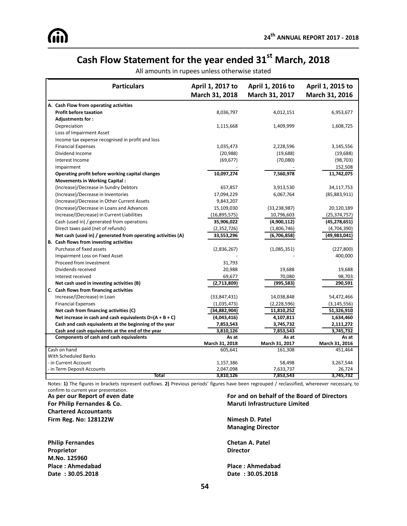# **Cash Flow Statement for the year ended 31st March, 2018**

| All amounts in rupees unless otherwise stated |  |  |  |  |
|-----------------------------------------------|--|--|--|--|
|-----------------------------------------------|--|--|--|--|

| <b>Particulars</b>                                           | April 1, 2017 to<br>March 31, 2018 | April 1, 2016 to<br>March 31, 2017 | April 1, 2015 to<br>March 31, 2016 |
|--------------------------------------------------------------|------------------------------------|------------------------------------|------------------------------------|
| A. Cash Flow from operating activities                       |                                    |                                    |                                    |
| <b>Profit before taxation</b>                                | 8,036,797                          | 4,012,151                          | 6,953,677                          |
| Adjustments for:                                             |                                    |                                    |                                    |
| Depreciation                                                 | 1,115,668                          | 1,409,999                          | 1,608,725                          |
| Loss of Impairment Asset                                     |                                    |                                    |                                    |
| Income tax expense recognised in profit and loss             |                                    |                                    |                                    |
| <b>Financial Expenses</b>                                    | 1,035,473                          | 2,228,596                          | 3,145,556                          |
| Dividend Income                                              | (20, 988)                          | (19, 688)                          | (19,688)                           |
| Interest Income                                              | (69, 677)                          | (70,080)                           | (98, 703)                          |
| Impairment                                                   |                                    |                                    | 152,508                            |
| Operating profit before working capital changes              | 10,097,274                         | 7,560,978                          | 11,742,075                         |
| <b>Movements in Working Capital:</b>                         |                                    |                                    |                                    |
| (Increase)/Decrease in Sundry Debtors                        | 657,857                            | 3,913,530                          | 34,117,753                         |
| (Increase)/Decrease in Inventories                           | 17,094,229                         | 6,067,764                          | (85, 883, 911)                     |
| (Increase)/Decrease in Other Current Assets                  | 9,843,207                          |                                    |                                    |
| (Increase)/Decrease in Loans and Advances                    | 15,109,030                         | (33, 238, 987)                     | 20,120,189                         |
| Increase/(Decrease) in Current Liabilities                   | (16,895,575)                       | 10,796,603                         | (25, 374, 757)                     |
| Cash (used in) / generated from operations                   | 35,906,022                         | (4,900,112)                        | (45, 278, 651)                     |
| Direct taxes paid (net of refunds)                           | (2,352,726)                        | (1,806,746)                        | (4,704,390)                        |
| Net cash (used in) / generated from operating activities (A) | 33,553,296                         | (6,706,858)                        | (49,983,041)                       |
| B. Cash flows from investing activities                      |                                    |                                    |                                    |
| Purchase of fixed assets                                     | (2,836,267)                        | (1,085,351)                        | (227, 800)                         |
| Impairment Loss on Fixed Asset                               |                                    |                                    | 400,000                            |
| Proceed from Investment                                      | 31,793                             |                                    |                                    |
| Dividends received                                           | 20,988                             | 19,688                             | 19,688                             |
| Interest received                                            | 69,677                             | 70,080                             | 98,703                             |
| Net cash used in investing activities (B)                    | (2,713,809)                        | (995, 583)                         | 290,591                            |
| C. Cash flows from financing activities                      |                                    |                                    |                                    |
| Increase/(Decrease) in Loan                                  | (33, 847, 431)                     | 14,038,848                         | 54,472,466                         |
| <b>Financial Expenses</b>                                    | (1,035,473)                        | (2,228,596)                        | (3, 145, 556)                      |
| Net cash from financing activities (C)                       | (34,882,904)                       | 11,810,252                         | 51,326,910                         |
| Net increase in cash and cash equivalents $D=(A + B + C)$    | (4,043,416)                        | 4,107,811                          | 1,634,460                          |
| Cash and cash equivalents at the beginning of the year       | 7,853,543                          | 3,745,732                          | 2,111,272                          |
| Cash and cash equivalents at the end of the year             | 3,810,126                          | 7,853,543                          | 3,745,732                          |
| Components of cash and cash equivalents                      | As at                              | As at                              | As at                              |
| Cash on hand                                                 | March 31, 2018<br>605,641          | March 31, 2017<br>161,308          | March 31, 2016<br>451,464          |
| <b>With Scheduled Banks</b>                                  |                                    |                                    |                                    |
| - in Current Account                                         | 1,157,386                          | 58,498                             | 3,267,544                          |
| - in Term Deposit Accounts                                   | 2,047,098                          | 7,633,737                          | 26,724                             |
| Total                                                        | 3,810,126                          | 7,853,543                          | 3,745,732                          |

Notes: **1)** The figures in brackets represent outflows. **2)** Previous periods' figures have been regrouped / reclassified, whereever necessary, to confirm to current year presentation.<br>As per our Report of even date

**For Philip Fernandes & Co. Maruti Infrastructure Limited Chartered Accountants Firm Reg. No: 128122W Nimesh D. Patel**

**Proprietor Director M.No. 125960 Place : Ahmedabad Place : Ahmedabad Date : 30.05.2018 Date : 30.05.2018**

# **For and on behalf of the Board of Directors**

**Managing Director**

**Philip Fernandes Chetan A. Patel**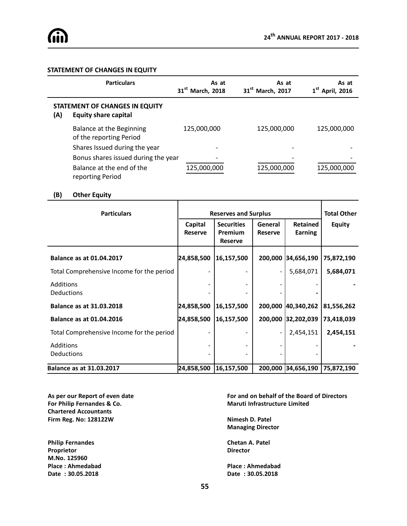#### **STATEMENT OF CHANGES IN EQUITY**

|     | <b>Particulars</b>                                            | As at<br>31 <sup>st</sup> March, 2018 | As at<br>31 <sup>st</sup> March, 2017 | As at<br>$1st$ April, 2016 |
|-----|---------------------------------------------------------------|---------------------------------------|---------------------------------------|----------------------------|
| (A) | STATEMENT OF CHANGES IN EQUITY<br><b>Equity share capital</b> |                                       |                                       |                            |
|     | Balance at the Beginning<br>of the reporting Period           | 125,000,000                           | 125,000,000                           | 125,000,000                |
|     | Shares Issued during the year                                 |                                       |                                       |                            |
|     | Bonus shares issued during the year                           |                                       |                                       |                            |
|     | Balance at the end of the<br>reporting Period                 | 125,000,000                           | 125,000,000                           | 125,000,000                |

#### **(B) Other Equity**

| <b>Particulars</b>                        | <b>Reserves and Surplus</b> |                                                |                           |                                   | <b>Total Other</b> |
|-------------------------------------------|-----------------------------|------------------------------------------------|---------------------------|-----------------------------------|--------------------|
|                                           | Capital<br><b>Reserve</b>   | <b>Securities</b><br>Premium<br><b>Reserve</b> | General<br><b>Reserve</b> | <b>Retained</b><br><b>Earning</b> | <b>Equity</b>      |
| <b>Balance as at 01.04.2017</b>           | 24,858,500                  | 16,157,500                                     |                           | 200,000 34,656,190                | 75,872,190         |
| Total Comprehensive Income for the period |                             |                                                |                           | 5,684,071                         | 5,684,071          |
| <b>Additions</b><br>Deductions            |                             |                                                |                           |                                   |                    |
| <b>Balance as at 31.03.2018</b>           | 24,858,500                  | 16,157,500                                     |                           | 200,000 40,340,262                | 81,556,262         |
| <b>Balance as at 01.04.2016</b>           | 24,858,500                  | 16,157,500                                     |                           | 200,000 32,202,039                | 73,418,039         |
| Total Comprehensive Income for the period |                             |                                                |                           | 2,454,151                         | 2,454,151          |
| Additions<br><b>Deductions</b>            |                             |                                                |                           |                                   |                    |
| <b>Balance as at 31.03.2017</b>           | 24,858,500                  | 16,157,500                                     |                           | 200,000 34,656,190 75,872,190     |                    |

**For Philip Fernandes & Co. Maruti Infrastructure Limited Chartered Accountants Firm Reg. No: 128122W Nimesh D. Patel**

**Philip Fernandes Chetan A. Patel Proprietor Director M.No. 125960 Place : Ahmedabad Place : Ahmedabad Date : 30.05.2018 Date : 30.05.2018**

**As per our Report of even date For and on behalf of the Board of Directors**

**Managing Director**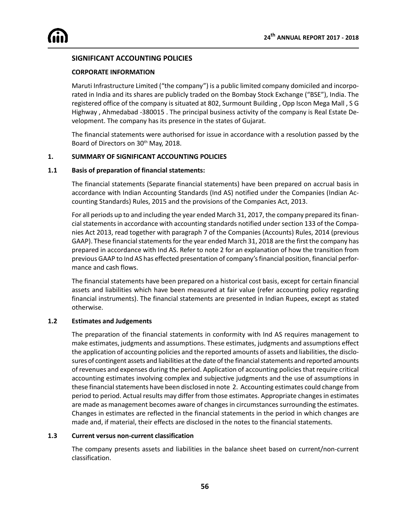### **SIGNIFICANT ACCOUNTING POLICIES**

#### **CORPORATE INFORMATION**

Maruti Infrastructure Limited ("the company") is a public limited company domiciled and incorporated in India and its shares are publicly traded on the Bombay Stock Exchange ("BSE"), India. The registered office of the company is situated at 802, Surmount Building , Opp Iscon Mega Mall , S G Highway , Ahmedabad -380015 . The principal business activity of the company is Real Estate Development. The company has its presence in the states of Gujarat.

The financial statements were authorised for issue in accordance with a resolution passed by the Board of Directors on 30<sup>th</sup> May, 2018.

#### **1. SUMMARY OF SIGNIFICANT ACCOUNTING POLICIES**

#### **1.1 Basis of preparation of financial statements:**

The financial statements (Separate financial statements) have been prepared on accrual basis in accordance with Indian Accounting Standards (Ind AS) notified under the Companies (Indian Accounting Standards) Rules, 2015 and the provisions of the Companies Act, 2013.

For all periods up to and including the year ended March 31, 2017, the company prepared its financial statements in accordance with accounting standards notified under section 133 of the Companies Act 2013, read together with paragraph 7 of the Companies (Accounts) Rules, 2014 (previous GAAP). These financial statements for the year ended March 31, 2018 are the first the company has prepared in accordance with Ind AS. Refer to note 2 for an explanation of how the transition from previous GAAP to Ind AS has effected presentation of company's financial position, financial performance and cash flows.

The financial statements have been prepared on a historical cost basis, except for certain financial assets and liabilities which have been measured at fair value (refer accounting policy regarding financial instruments). The financial statements are presented in Indian Rupees, except as stated otherwise.

#### **1.2 Estimates and Judgements**

The preparation of the financial statements in conformity with Ind AS requires management to make estimates, judgments and assumptions. These estimates, judgments and assumptions effect the application of accounting policies and the reported amounts of assets and liabilities, the disclosures of contingent assets and liabilities at the date of the financial statements and reported amounts of revenues and expenses during the period. Application of accounting policies that require critical accounting estimates involving complex and subjective judgments and the use of assumptions in these financial statements have been disclosed in note 2. Accounting estimates could change from period to period. Actual results may differ from those estimates. Appropriate changes in estimates are made as management becomes aware of changes in circumstances surrounding the estimates. Changes in estimates are reflected in the financial statements in the period in which changes are made and, if material, their effects are disclosed in the notes to the financial statements.

#### **1.3 Current versus non-current classification**

The company presents assets and liabilities in the balance sheet based on current/non-current classification.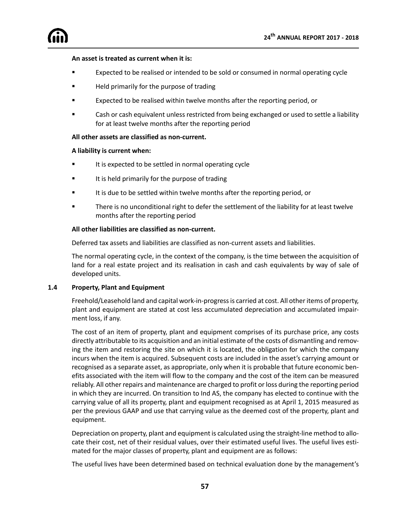#### **An asset is treated as current when it is:**

- ß Expected to be realised or intended to be sold or consumed in normal operating cycle
- ß Held primarily for the purpose of trading
- ß Expected to be realised within twelve months after the reporting period, or
- Cash or cash equivalent unless restricted from being exchanged or used to settle a liability for at least twelve months after the reporting period

#### **All other assets are classified as non-current.**

#### **A liability is current when:**

- It is expected to be settled in normal operating cycle
- It is held primarily for the purpose of trading
- It is due to be settled within twelve months after the reporting period, or
- ß There is no unconditional right to defer the settlement of the liability for at least twelve months after the reporting period

#### **All other liabilities are classified as non-current.**

Deferred tax assets and liabilities are classified as non-current assets and liabilities.

The normal operating cycle, in the context of the company, is the time between the acquisition of land for a real estate project and its realisation in cash and cash equivalents by way of sale of developed units.

#### **1.4 Property, Plant and Equipment**

Freehold/Leasehold land and capital work-in-progress is carried at cost. All other items of property, plant and equipment are stated at cost less accumulated depreciation and accumulated impairment loss, if any.

The cost of an item of property, plant and equipment comprises of its purchase price, any costs directly attributable to its acquisition and an initial estimate of the costs of dismantling and removing the item and restoring the site on which it is located, the obligation for which the company incurs when the item is acquired. Subsequent costs are included in the asset's carrying amount or recognised as a separate asset, as appropriate, only when it is probable that future economic benefits associated with the item will flow to the company and the cost of the item can be measured reliably. All other repairs and maintenance are charged to profit or loss during the reporting period in which they are incurred. On transition to Ind AS, the company has elected to continue with the carrying value of all its property, plant and equipment recognised as at April 1, 2015 measured as per the previous GAAP and use that carrying value as the deemed cost of the property, plant and equipment.

Depreciation on property, plant and equipment is calculated using the straight-line method to allocate their cost, net of their residual values, over their estimated useful lives. The useful lives estimated for the major classes of property, plant and equipment are as follows:

The useful lives have been determined based on technical evaluation done by the management's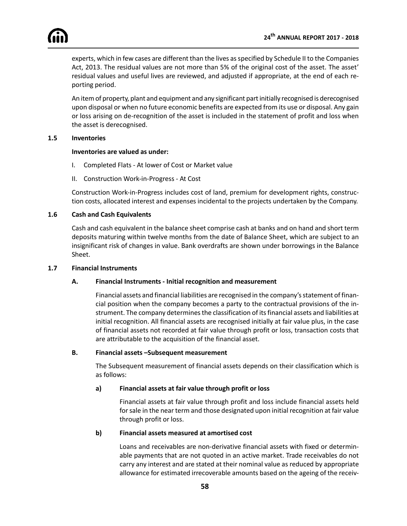

experts, which in few cases are different than the lives as specified by Schedule II to the Companies Act, 2013. The residual values are not more than 5% of the original cost of the asset. The asset' residual values and useful lives are reviewed, and adjusted if appropriate, at the end of each reporting period.

An item of property, plant and equipment and any significant part initially recognised is derecognised upon disposal or when no future economic benefits are expected from its use or disposal. Any gain or loss arising on de-recognition of the asset is included in the statement of profit and loss when the asset is derecognised.

#### **1.5 Inventories**

#### **Inventories are valued as under:**

- I. Completed Flats At lower of Cost or Market value
- II. Construction Work-in-Progress At Cost

Construction Work-in-Progress includes cost of land, premium for development rights, construction costs, allocated interest and expenses incidental to the projects undertaken by the Company.

#### **1.6 Cash and Cash Equivalents**

Cash and cash equivalent in the balance sheet comprise cash at banks and on hand and short term deposits maturing within twelve months from the date of Balance Sheet, which are subject to an insignificant risk of changes in value. Bank overdrafts are shown under borrowings in the Balance Sheet.

#### **1.7 Financial Instruments**

#### **A. Financial Instruments - Initial recognition and measurement**

Financial assets and financial liabilities are recognised in the company's statement of financial position when the company becomes a party to the contractual provisions of the instrument. The company determines the classification of its financial assets and liabilities at initial recognition. All financial assets are recognised initially at fair value plus, in the case of financial assets not recorded at fair value through profit or loss, transaction costs that are attributable to the acquisition of the financial asset.

#### **B. Financial assets –Subsequent measurement**

The Subsequent measurement of financial assets depends on their classification which is as follows:

#### **a) Financial assets at fair value through profit or loss**

Financial assets at fair value through profit and loss include financial assets held for sale in the near term and those designated upon initial recognition at fair value through profit or loss.

#### **b) Financial assets measured at amortised cost**

Loans and receivables are non-derivative financial assets with fixed or determinable payments that are not quoted in an active market. Trade receivables do not carry any interest and are stated at their nominal value as reduced by appropriate allowance for estimated irrecoverable amounts based on the ageing of the receiv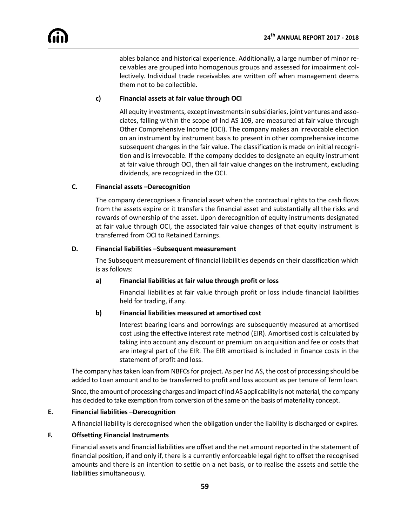ables balance and historical experience. Additionally, a large number of minor receivables are grouped into homogenous groups and assessed for impairment collectively. Individual trade receivables are written off when management deems them not to be collectible.

### **c) Financial assets at fair value through OCI**

All equity investments, except investments in subsidiaries, joint ventures and associates, falling within the scope of Ind AS 109, are measured at fair value through Other Comprehensive Income (OCI). The company makes an irrevocable election on an instrument by instrument basis to present in other comprehensive income subsequent changes in the fair value. The classification is made on initial recognition and is irrevocable. If the company decides to designate an equity instrument at fair value through OCI, then all fair value changes on the instrument, excluding dividends, are recognized in the OCI.

#### **C. Financial assets –Derecognition**

The company derecognises a financial asset when the contractual rights to the cash flows from the assets expire or it transfers the financial asset and substantially all the risks and rewards of ownership of the asset. Upon derecognition of equity instruments designated at fair value through OCI, the associated fair value changes of that equity instrument is transferred from OCI to Retained Earnings.

#### **D. Financial liabilities –Subsequent measurement**

The Subsequent measurement of financial liabilities depends on their classification which is as follows:

#### **a) Financial liabilities at fair value through profit or loss**

Financial liabilities at fair value through profit or loss include financial liabilities held for trading, if any.

#### **b) Financial liabilities measured at amortised cost**

Interest bearing loans and borrowings are subsequently measured at amortised cost using the effective interest rate method (EIR). Amortised cost is calculated by taking into account any discount or premium on acquisition and fee or costs that are integral part of the EIR. The EIR amortised is included in finance costs in the statement of profit and loss.

The company has taken loan from NBFCs for project. As per Ind AS, the cost of processing should be added to Loan amount and to be transferred to profit and loss account as per tenure of Term loan.

Since, the amount of processing charges and impact of Ind AS applicability is not material, the company has decided to take exemption from conversion of the same on the basis of materiality concept.

#### **E. Financial liabilities –Derecognition**

A financial liability is derecognised when the obligation under the liability is discharged or expires.

#### **F. Offsetting Financial Instruments**

Financial assets and financial liabilities are offset and the net amount reported in the statement of financial position, if and only if, there is a currently enforceable legal right to offset the recognised amounts and there is an intention to settle on a net basis, or to realise the assets and settle the liabilities simultaneously.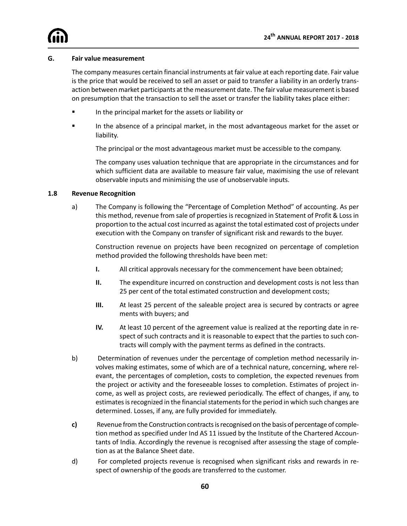#### **G. Fair value measurement**

The company measures certain financial instruments at fair value at each reporting date. Fair value is the price that would be received to sell an asset or paid to transfer a liability in an orderly transaction between market participants at the measurement date. The fair value measurement is based on presumption that the transaction to sell the asset or transfer the liability takes place either:

- **F** In the principal market for the assets or liability or
- **Fall in the absence of a principal market, in the most advantageous market for the asset or** liability.

The principal or the most advantageous market must be accessible to the company.

The company uses valuation technique that are appropriate in the circumstances and for which sufficient data are available to measure fair value, maximising the use of relevant observable inputs and minimising the use of unobservable inputs.

#### **1.8 Revenue Recognition**

a) The Company is following the "Percentage of Completion Method" of accounting. As per this method, revenue from sale of properties is recognized in Statement of Profit & Loss in proportion to the actual cost incurred as against the total estimated cost of projects under execution with the Company on transfer of significant risk and rewards to the buyer.

Construction revenue on projects have been recognized on percentage of completion method provided the following thresholds have been met:

- **I.** All critical approvals necessary for the commencement have been obtained;
- **II.** The expenditure incurred on construction and development costs is not less than 25 per cent of the total estimated construction and development costs;
- **III.** At least 25 percent of the saleable project area is secured by contracts or agree ments with buyers; and
- **IV.** At least 10 percent of the agreement value is realized at the reporting date in respect of such contracts and it is reasonable to expect that the parties to such contracts will comply with the payment terms as defined in the contracts.
- b) Determination of revenues under the percentage of completion method necessarily involves making estimates, some of which are of a technical nature, concerning, where relevant, the percentages of completion, costs to completion, the expected revenues from the project or activity and the foreseeable losses to completion. Estimates of project income, as well as project costs, are reviewed periodically. The effect of changes, if any, to estimates is recognized in the financial statements for the period in which such changes are determined. Losses, if any, are fully provided for immediately.
- **c)** Revenue from the Construction contracts is recognised on the basis of percentage of completion method as specified under Ind AS 11 issued by the Institute of the Chartered Accountants of India. Accordingly the revenue is recognised after assessing the stage of completion as at the Balance Sheet date.
- d) For completed projects revenue is recognised when significant risks and rewards in respect of ownership of the goods are transferred to the customer.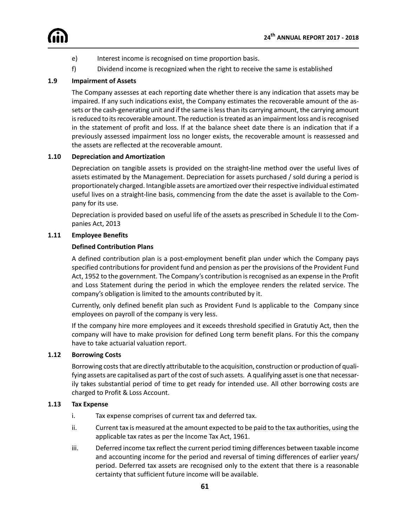

- e) Interest income is recognised on time proportion basis.
- f) Dividend income is recognized when the right to receive the same is established

#### **1.9 Impairment of Assets**

The Company assesses at each reporting date whether there is any indication that assets may be impaired. If any such indications exist, the Company estimates the recoverable amount of the assets or the cash-generating unit and if the same is less than its carrying amount, the carrying amount is reduced to its recoverable amount. The reduction is treated as an impairment loss and is recognised in the statement of profit and loss. If at the balance sheet date there is an indication that if a previously assessed impairment loss no longer exists, the recoverable amount is reassessed and the assets are reflected at the recoverable amount.

#### **1.10 Depreciation and Amortization**

Depreciation on tangible assets is provided on the straight-line method over the useful lives of assets estimated by the Management. Depreciation for assets purchased / sold during a period is proportionately charged. Intangible assets are amortized over their respective individual estimated useful lives on a straight-line basis, commencing from the date the asset is available to the Company for its use.

Depreciation is provided based on useful life of the assets as prescribed in Schedule II to the Companies Act, 2013

#### **1.11 Employee Benefits**

#### **Defined Contribution Plans**

A defined contribution plan is a post-employment benefit plan under which the Company pays specified contributions for provident fund and pension as per the provisions of the Provident Fund Act, 1952 to the government. The Company's contribution is recognised as an expense in the Profit and Loss Statement during the period in which the employee renders the related service. The company's obligation is limited to the amounts contributed by it.

Currently, only defined benefit plan such as Provident Fund Is applicable to the Company since employees on payroll of the company is very less.

If the company hire more employees and it exceeds threshold specified in Gratutiy Act, then the company will have to make provision for defined Long term benefit plans. For this the company have to take actuarial valuation report.

#### **1.12 Borrowing Costs**

Borrowing costs that are directly attributable to the acquisition, construction or production of qualifying assets are capitalised as part of the cost of such assets. A qualifying asset is one that necessarily takes substantial period of time to get ready for intended use. All other borrowing costs are charged to Profit & Loss Account.

#### **1.13 Tax Expense**

- i. Tax expense comprises of current tax and deferred tax.
- ii. Current tax is measured at the amount expected to be paid to the tax authorities, using the applicable tax rates as per the Income Tax Act, 1961.
- iii. Deferred income tax reflect the current period timing differences between taxable income and accounting income for the period and reversal of timing differences of earlier years/ period. Deferred tax assets are recognised only to the extent that there is a reasonable certainty that sufficient future income will be available.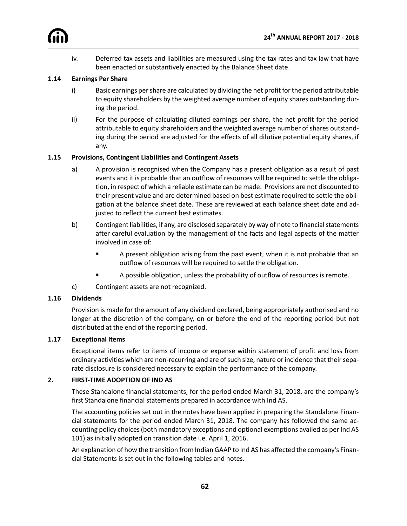iv. Deferred tax assets and liabilities are measured using the tax rates and tax law that have been enacted or substantively enacted by the Balance Sheet date.

#### **1.14 Earnings Per Share**

- i) Basic earnings per share are calculated by dividing the net profit for the period attributable to equity shareholders by the weighted average number of equity shares outstanding during the period.
- ii) For the purpose of calculating diluted earnings per share, the net profit for the period attributable to equity shareholders and the weighted average number of shares outstanding during the period are adjusted for the effects of all dilutive potential equity shares, if any.

#### **1.15 Provisions, Contingent Liabilities and Contingent Assets**

- a) A provision is recognised when the Company has a present obligation as a result of past events and it is probable that an outflow of resources will be required to settle the obligation, in respect of which a reliable estimate can be made. Provisions are not discounted to their present value and are determined based on best estimate required to settle the obligation at the balance sheet date. These are reviewed at each balance sheet date and adjusted to reflect the current best estimates.
- b) Contingent liabilities, if any, are disclosed separately by way of note to financial statements after careful evaluation by the management of the facts and legal aspects of the matter involved in case of:
	- **EXECT** A present obligation arising from the past event, when it is not probable that an outflow of resources will be required to settle the obligation.
	- ß A possible obligation, unless the probability of outflow of resources is remote.
- c) Contingent assets are not recognized.

#### **1.16 Dividends**

Provision is made for the amount of any dividend declared, being appropriately authorised and no longer at the discretion of the company, on or before the end of the reporting period but not distributed at the end of the reporting period.

#### **1.17 Exceptional Items**

Exceptional items refer to items of income or expense within statement of profit and loss from ordinary activities which are non-recurring and are of such size, nature or incidence that their separate disclosure is considered necessary to explain the performance of the company.

#### **2. FIRST-TIME ADOPTION OF IND AS**

These Standalone financial statements, for the period ended March 31, 2018, are the company's first Standalone financial statements prepared in accordance with Ind AS.

The accounting policies set out in the notes have been applied in preparing the Standalone Financial statements for the period ended March 31, 2018. The company has followed the same accounting policy choices (both mandatory exceptions and optional exemptions availed as per Ind AS 101) as initially adopted on transition date i.e. April 1, 2016.

An explanation of how the transition from Indian GAAP to Ind AS has affected the company's Financial Statements is set out in the following tables and notes.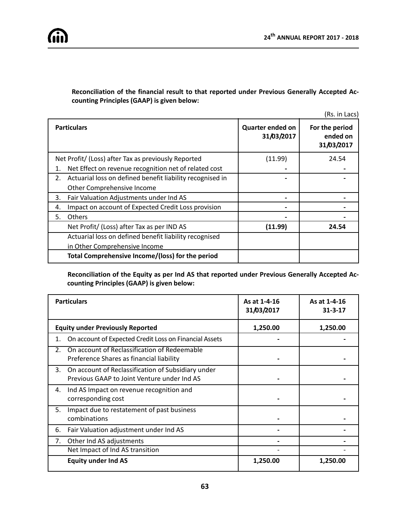### **Reconciliation of the financial result to that reported under Previous Generally Accepted Accounting Principles (GAAP) is given below:**

(Rs. in Lacs)

| <b>Particulars</b>                                              | <b>Quarter ended on</b><br>31/03/2017 | For the period<br>ended on<br>31/03/2017 |
|-----------------------------------------------------------------|---------------------------------------|------------------------------------------|
| Net Profit/ (Loss) after Tax as previously Reported             | (11.99)                               | 24.54                                    |
| Net Effect on revenue recognition net of related cost<br>1.     |                                       |                                          |
| Actuarial loss on defined benefit liability recognised in<br>2. |                                       |                                          |
| Other Comprehensive Income                                      |                                       |                                          |
| Fair Valuation Adjustments under Ind AS<br>3.                   |                                       |                                          |
| Impact on account of Expected Credit Loss provision<br>4.       |                                       |                                          |
| <b>Others</b><br>5.                                             |                                       |                                          |
| Net Profit/ (Loss) after Tax as per IND AS                      | (11.99)                               | 24.54                                    |
| Actuarial loss on defined benefit liability recognised          |                                       |                                          |
| in Other Comprehensive Income                                   |                                       |                                          |
| Total Comprehensive Income/(loss) for the period                |                                       |                                          |

**Reconciliation of the Equity as per Ind AS that reported under Previous Generally Accepted Accounting Principles (GAAP) is given below:**

|    | <b>Particulars</b>                                                                                | As at 1-4-16<br>31/03/2017 | As at 1-4-16<br>$31 - 3 - 17$ |
|----|---------------------------------------------------------------------------------------------------|----------------------------|-------------------------------|
|    | <b>Equity under Previously Reported</b>                                                           | 1,250.00                   | 1,250.00                      |
| 1. | On account of Expected Credit Loss on Financial Assets                                            |                            |                               |
| 2. | On account of Reclassification of Redeemable<br>Preference Shares as financial liability          |                            |                               |
| 3. | On account of Reclassification of Subsidiary under<br>Previous GAAP to Joint Venture under Ind AS |                            |                               |
| 4. | Ind AS Impact on revenue recognition and<br>corresponding cost                                    |                            |                               |
| 5. | Impact due to restatement of past business<br>combinations                                        |                            |                               |
| 6. | Fair Valuation adjustment under Ind AS                                                            |                            |                               |
| 7. | Other Ind AS adjustments                                                                          |                            |                               |
|    | Net Impact of Ind AS transition                                                                   |                            |                               |
|    | <b>Equity under Ind AS</b>                                                                        | 1,250.00                   | 1,250.00                      |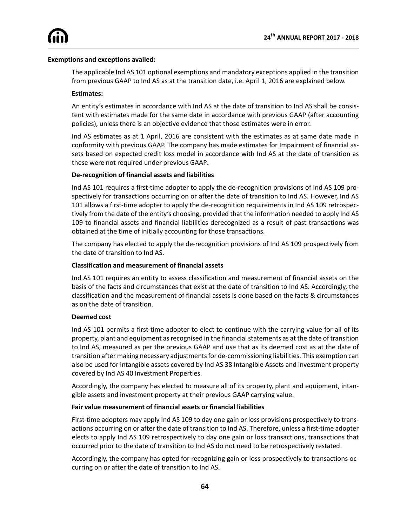#### **Exemptions and exceptions availed:**

The applicable Ind AS 101 optional exemptions and mandatory exceptions applied in the transition from previous GAAP to Ind AS as at the transition date, i.e. April 1, 2016 are explained below.

#### **Estimates:**

An entity's estimates in accordance with Ind AS at the date of transition to Ind AS shall be consistent with estimates made for the same date in accordance with previous GAAP (after accounting policies), unless there is an objective evidence that those estimates were in error.

Ind AS estimates as at 1 April, 2016 are consistent with the estimates as at same date made in conformity with previous GAAP. The company has made estimates for Impairment of financial assets based on expected credit loss model in accordance with Ind AS at the date of transition as these were not required under previous GAAP**.**

#### **De-recognition of financial assets and liabilities**

Ind AS 101 requires a first-time adopter to apply the de-recognition provisions of Ind AS 109 prospectively for transactions occurring on or after the date of transition to Ind AS. However, Ind AS 101 allows a first-time adopter to apply the de-recognition requirements in Ind AS 109 retrospectively from the date of the entity's choosing, provided that the information needed to apply Ind AS 109 to financial assets and financial liabilities derecognized as a result of past transactions was obtained at the time of initially accounting for those transactions.

The company has elected to apply the de-recognition provisions of Ind AS 109 prospectively from the date of transition to Ind AS.

#### **Classification and measurement of financial assets**

Ind AS 101 requires an entity to assess classification and measurement of financial assets on the basis of the facts and circumstances that exist at the date of transition to Ind AS. Accordingly, the classification and the measurement of financial assets is done based on the facts & circumstances as on the date of transition.

#### **Deemed cost**

Ind AS 101 permits a first-time adopter to elect to continue with the carrying value for all of its property, plant and equipment as recognised in the financial statements as at the date of transition to Ind AS, measured as per the previous GAAP and use that as its deemed cost as at the date of transition after making necessary adjustments for de-commissioning liabilities. This exemption can also be used for intangible assets covered by Ind AS 38 Intangible Assets and investment property covered by Ind AS 40 Investment Properties.

Accordingly, the company has elected to measure all of its property, plant and equipment, intangible assets and investment property at their previous GAAP carrying value.

#### **Fair value measurement of financial assets or financial liabilities**

First-time adopters may apply Ind AS 109 to day one gain or loss provisions prospectively to transactions occurring on or after the date of transition to Ind AS. Therefore, unless a first-time adopter elects to apply Ind AS 109 retrospectively to day one gain or loss transactions, transactions that occurred prior to the date of transition to Ind AS do not need to be retrospectively restated.

Accordingly, the company has opted for recognizing gain or loss prospectively to transactions occurring on or after the date of transition to Ind AS.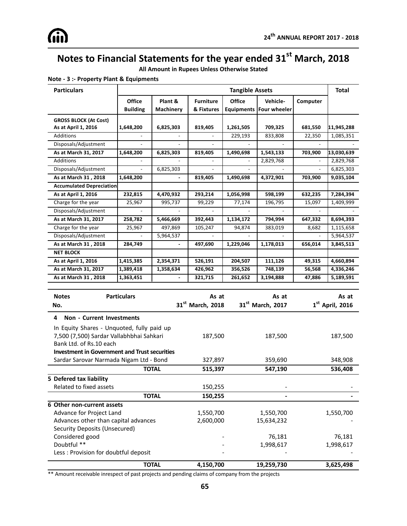**All Amount in Rupees Unless Otherwise Stated**

| <b>Particulars</b>                                   |                    |                | <b>Tangible Assets</b>       |           |                              |          | <b>Total</b>      |
|------------------------------------------------------|--------------------|----------------|------------------------------|-----------|------------------------------|----------|-------------------|
|                                                      | <b>Office</b>      | Plant &        | <b>Furniture</b>             | Office    | Vehicle-                     | Computer |                   |
|                                                      | <b>Building</b>    | Machinery      | & Fixtures                   |           | Equipments   Four wheeler    |          |                   |
| <b>GROSS BLOCK (At Cost)</b><br>As at April 1, 2016  | 1,648,200          | 6,825,303      | 819,405                      | 1,261,505 | 709,325                      | 681,550  | 11,945,288        |
| <b>Additions</b>                                     |                    |                |                              | 229,193   | 833,808                      | 22,350   | 1,085,351         |
| Disposals/Adjustment                                 |                    | $\overline{a}$ |                              |           |                              |          |                   |
| As at March 31, 2017                                 | 1,648,200          | 6,825,303      | 819,405                      | 1,490,698 | 1,543,133                    | 703,900  | 13,030,639        |
| <b>Additions</b>                                     |                    |                |                              |           | 2,829,768                    |          | 2,829,768         |
| Disposals/Adjustment                                 |                    | 6,825,303      |                              |           |                              |          | 6,825,303         |
| As at March 31, 2018                                 | 1,648,200          |                | 819,405                      | 1,490,698 | 4,372,901                    | 703,900  | 9,035,104         |
| <b>Accumulated Depreciation</b>                      |                    |                |                              |           |                              |          |                   |
| As at April 1, 2016                                  | 232,815            | 4,470,932      | 293,214                      | 1,056,998 | 598,199                      | 632,235  | 7,284,394         |
| Charge for the year                                  | 25,967             | 995,737        | 99,229                       | 77,174    | 196,795                      | 15,097   | 1,409,999         |
| Disposals/Adjustment                                 |                    |                |                              |           |                              |          |                   |
| As at March 31, 2017                                 | 258,782            | 5,466,669      | 392,443                      | 1,134,172 | 794,994                      | 647,332  | 8,694,393         |
| Charge for the year                                  | 25,967             | 497,869        | 105,247                      | 94,874    | 383,019                      | 8,682    | 1,115,658         |
| Disposals/Adjustment                                 |                    | 5,964,537      |                              |           |                              |          | 5,964,537         |
| As at March 31, 2018                                 | 284,749            |                | 497,690                      | 1,229,046 | 1,178,013                    | 656,014  | 3,845,513         |
| <b>NET BLOCK</b>                                     |                    |                |                              |           |                              |          |                   |
| As at April 1, 2016                                  | 1,415,385          | 2,354,371      | 526,191                      | 204,507   | 111,126                      | 49,315   | 4,660,894         |
| As at March 31, 2017                                 | 1,389,418          | 1,358,634      | 426,962                      | 356,526   | 748,139                      | 56,568   | 4,336,246         |
| As at March 31, 2018                                 | 1,363,451          |                | 321,715                      | 261,652   | 3,194,888                    | 47,886   | 5,189,591         |
|                                                      |                    |                |                              |           |                              |          |                   |
| <b>Notes</b>                                         | <b>Particulars</b> |                | As at                        |           | As at                        |          | As at             |
| No.                                                  |                    |                | 31 <sup>st</sup> March, 2018 |           | 31 <sup>st</sup> March, 2017 |          | $1st$ April, 2016 |
| 4 Non - Current Investments                          |                    |                |                              |           |                              |          |                   |
| In Equity Shares - Unquoted, fully paid up           |                    |                |                              |           |                              |          |                   |
| 7,500 (7,500) Sardar Vallabhbhai Sahkari             |                    |                | 187,500<br>187,500           |           | 187,500                      |          |                   |
| Bank Ltd. of Rs.10 each                              |                    |                |                              |           |                              |          |                   |
| <b>Investment in Government and Trust securities</b> |                    |                |                              |           |                              |          |                   |
| Sardar Sarovar Narmada Nigam Ltd - Bond              |                    |                | 327,897                      |           | 359,690                      |          | 348,908           |
|                                                      |                    | <b>TOTAL</b>   | 515,397                      |           | 547,190                      |          | 536,408           |
| 5 Defered tax liability                              |                    |                |                              |           |                              |          |                   |
| Related to fixed assets                              |                    |                | 150,255                      |           |                              |          |                   |
|                                                      |                    | <b>TOTAL</b>   | 150,255                      |           |                              |          |                   |
| 6 Other non-current assets                           |                    |                |                              |           |                              |          |                   |
| Advance for Project Land                             |                    |                | 1,550,700                    |           | 1,550,700                    |          | 1,550,700         |
| Advances other than capital advances                 |                    |                | 2,600,000                    |           | 15,634,232                   |          |                   |
| Security Deposits (Unsecured)                        |                    |                |                              |           |                              |          |                   |
| Considered good                                      |                    |                |                              |           | 76,181                       |          | 76,181            |
| Doubtful **                                          |                    |                |                              |           | 1,998,617                    |          | 1,998,617         |
| Less : Provision for doubtful deposit                |                    |                |                              |           |                              |          |                   |
|                                                      |                    | <b>TOTAL</b>   | 4,150,700                    |           | 19,259,730                   |          | 3,625,498         |

#### **Note - 3 :- Property Plant & Equipments**

\*\* Amount receivable inrespect of past projects and pending claims of company from the projects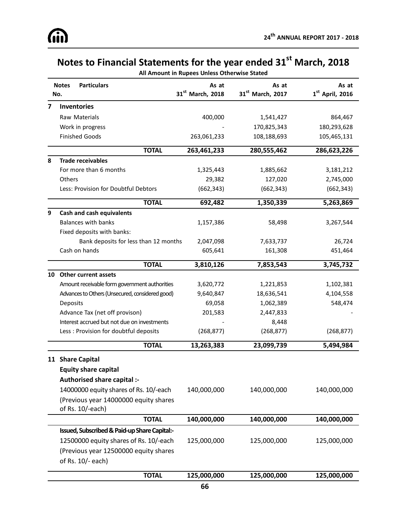**All Amount in Rupees Unless Otherwise Stated**

|                         | <b>Particulars</b><br><b>Notes</b><br>No.       | As at<br>31 <sup>st</sup> March, 2018 | As at<br>$31st$ March, 2017 | As at<br>$1st$ April, 2016 |
|-------------------------|-------------------------------------------------|---------------------------------------|-----------------------------|----------------------------|
| $\overline{\mathbf{z}}$ | <b>Inventories</b>                              |                                       |                             |                            |
|                         | Raw Materials                                   | 400,000                               | 1,541,427                   | 864,467                    |
|                         | Work in progress                                |                                       | 170,825,343                 | 180,293,628                |
|                         | <b>Finished Goods</b>                           | 263,061,233                           | 108,188,693                 | 105,465,131                |
|                         | <b>TOTAL</b>                                    | 263,461,233                           | 280,555,462                 | 286,623,226                |
| 8                       | <b>Trade receivables</b>                        |                                       |                             |                            |
|                         | For more than 6 months                          | 1,325,443                             | 1,885,662                   | 3,181,212                  |
|                         | Others                                          | 29,382                                | 127,020                     | 2,745,000                  |
|                         | Less: Provision for Doubtful Debtors            | (662, 343)                            | (662, 343)                  | (662, 343)                 |
|                         | <b>TOTAL</b>                                    | 692,482                               | 1,350,339                   | 5,263,869                  |
| 9                       | <b>Cash and cash equivalents</b>                |                                       |                             |                            |
|                         | <b>Balances with banks</b>                      | 1,157,386                             | 58,498                      | 3,267,544                  |
|                         | Fixed deposits with banks:                      |                                       |                             |                            |
|                         | Bank deposits for less than 12 months           | 2,047,098                             | 7,633,737                   | 26,724                     |
|                         | Cash on hands                                   | 605,641                               | 161,308                     | 451,464                    |
|                         | <b>TOTAL</b>                                    | 3,810,126                             | 7,853,543                   | 3,745,732                  |
|                         | 10 Other current assets                         |                                       |                             |                            |
|                         | Amount receivable form government authorities   | 3,620,772                             | 1,221,853                   | 1,102,381                  |
|                         | Advances to Others (Unsecured, considered good) | 9,640,847                             | 18,636,541                  | 4,104,558                  |
|                         | Deposits                                        | 69,058                                | 1,062,389                   | 548,474                    |
|                         | Advance Tax (net off provison)                  | 201,583                               | 2,447,833                   |                            |
|                         | Interest accrued but not due on investments     |                                       | 8,448                       |                            |
|                         | Less : Provision for doubtful deposits          | (268, 877)                            | (268, 877)                  | (268, 877)                 |
|                         | <b>TOTAL</b>                                    | 13,263,383                            | 23,099,739                  | 5,494,984                  |
|                         | 11 Share Capital                                |                                       |                             |                            |
|                         | <b>Equity share capital</b>                     |                                       |                             |                            |
|                         | Authorised share capital :-                     |                                       |                             |                            |
|                         | 14000000 equity shares of Rs. 10/-each          | 140,000,000                           | 140,000,000                 | 140,000,000                |
|                         | (Previous year 14000000 equity shares           |                                       |                             |                            |
|                         | of Rs. 10/-each)                                |                                       |                             |                            |
|                         | <b>TOTAL</b>                                    | 140,000,000                           | 140,000,000                 | 140,000,000                |
|                         | Issued, Subscribed & Paid-up Share Capital:-    |                                       |                             |                            |
|                         | 12500000 equity shares of Rs. 10/-each          | 125,000,000                           | 125,000,000                 | 125,000,000                |
|                         | (Previous year 12500000 equity shares           |                                       |                             |                            |
|                         | of Rs. 10/- each)                               |                                       |                             |                            |
|                         | <b>TOTAL</b>                                    | 125,000,000                           | 125,000,000                 | 125,000,000                |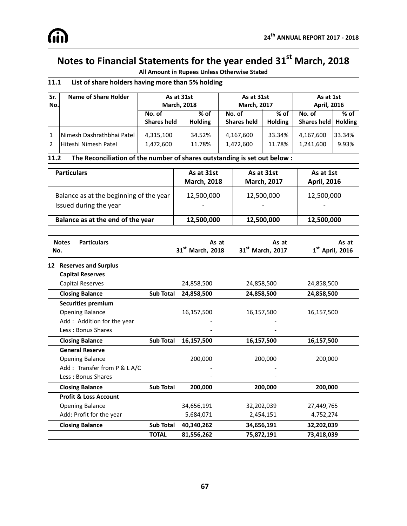**All Amount in Rupees Unless Otherwise Stated**

### **11.1 List of share holders having more than 5% holding**

| Sr.            | Name of Share Holder      | As at 31st                   |                        | As at 31st                   |                          | As at 1st                       |        |
|----------------|---------------------------|------------------------------|------------------------|------------------------------|--------------------------|---------------------------------|--------|
| No.            |                           | <b>March, 2018</b>           |                        | <b>March, 2017</b>           |                          | <b>April, 2016</b>              |        |
|                |                           | No. of<br><b>Shares held</b> | % of<br><b>Holding</b> | No. of<br><b>Shares held</b> | $%$ of<br><b>Holding</b> | No. of<br>Shares held   Holding | $%$ of |
| $\overline{2}$ | Nimesh Dashrathbhai Patel | 4,315,100                    | 34.52%                 | 4,167,600                    | 33.34%                   | 4,167,600                       | 33.34% |
|                | Hiteshi Nimesh Patel      | 1,472,600                    | 11.78%                 | 1,472,600                    | 11.78%                   | 1,241,600                       | 9.93%  |

#### **11.2 The Reconciliation of the number of shares outstanding is set out below :**

| <b>Particulars</b>                                                | As at 31st<br><b>March, 2018</b> | As at 31st<br><b>March, 2017</b> | As at 1st<br><b>April, 2016</b>        |
|-------------------------------------------------------------------|----------------------------------|----------------------------------|----------------------------------------|
| Balance as at the beginning of the year<br>Issued during the year | 12,500,000                       | 12,500,000                       | 12,500,000<br>$\overline{\phantom{a}}$ |
| Balance as at the end of the year                                 | 12,500,000                       | 12,500,000                       | 12,500,000                             |

|    | <b>Notes</b><br>No. | <b>Particulars</b>               |                  | As at<br>31 <sup>st</sup> March, 2018 | As at<br>31 <sup>st</sup> March, 2017 | As at<br>$1st$ April, 2016 |
|----|---------------------|----------------------------------|------------------|---------------------------------------|---------------------------------------|----------------------------|
| 12 |                     | <b>Reserves and Surplus</b>      |                  |                                       |                                       |                            |
|    |                     | <b>Capital Reserves</b>          |                  |                                       |                                       |                            |
|    |                     | Capital Reserves                 |                  | 24,858,500                            | 24,858,500                            | 24,858,500                 |
|    |                     | <b>Closing Balance</b>           | <b>Sub Total</b> | 24,858,500                            | 24,858,500                            | 24,858,500                 |
|    |                     | <b>Securities premium</b>        |                  |                                       |                                       |                            |
|    |                     | <b>Opening Balance</b>           |                  | 16,157,500                            | 16,157,500                            | 16,157,500                 |
|    |                     | Add: Addition for the year       |                  |                                       |                                       |                            |
|    |                     | Less: Bonus Shares               |                  |                                       |                                       |                            |
|    |                     | <b>Closing Balance</b>           | <b>Sub Total</b> | 16,157,500                            | 16,157,500                            | 16,157,500                 |
|    |                     | <b>General Reserve</b>           |                  |                                       |                                       |                            |
|    |                     | <b>Opening Balance</b>           |                  | 200,000                               | 200,000                               | 200,000                    |
|    |                     | Add: Transfer from P & L A/C     |                  |                                       |                                       |                            |
|    |                     | Less: Bonus Shares               |                  |                                       |                                       |                            |
|    |                     | <b>Closing Balance</b>           | Sub Total        | 200,000                               | 200,000                               | 200,000                    |
|    |                     | <b>Profit &amp; Loss Account</b> |                  |                                       |                                       |                            |
|    |                     | <b>Opening Balance</b>           |                  | 34,656,191                            | 32,202,039                            | 27,449,765                 |
|    |                     | Add: Profit for the year         |                  | 5,684,071                             | 2,454,151                             | 4,752,274                  |
|    |                     | <b>Closing Balance</b>           | Sub Total        | 40,340,262                            | 34,656,191                            | 32,202,039                 |
|    |                     |                                  | <b>TOTAL</b>     | 81,556,262                            | 75,872,191                            | 73,418,039                 |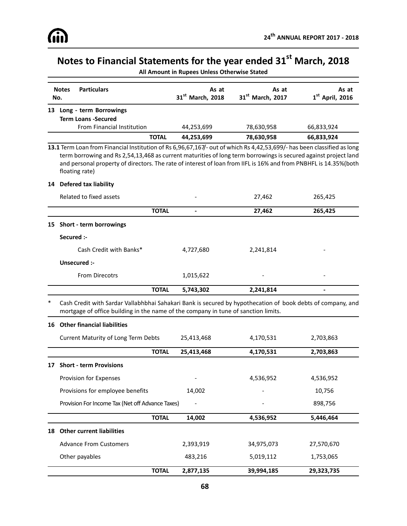|    | <b>Particulars</b><br><b>Notes</b>                                                                                                                                                                                                                                                                                                                                               | As at                                    | As at                        | As at             |
|----|----------------------------------------------------------------------------------------------------------------------------------------------------------------------------------------------------------------------------------------------------------------------------------------------------------------------------------------------------------------------------------|------------------------------------------|------------------------------|-------------------|
|    | No.                                                                                                                                                                                                                                                                                                                                                                              | 31st March, 2018                         | 31 <sup>st</sup> March, 2017 | $1st$ April, 2016 |
|    | 13 Long - term Borrowings                                                                                                                                                                                                                                                                                                                                                        |                                          |                              |                   |
|    | <b>Term Loans -Secured</b>                                                                                                                                                                                                                                                                                                                                                       |                                          |                              |                   |
|    | <b>From Financial Institution</b>                                                                                                                                                                                                                                                                                                                                                | 44,253,699                               | 78,630,958                   | 66,833,924        |
|    | <b>TOTAL</b>                                                                                                                                                                                                                                                                                                                                                                     | 44,253,699                               | 78,630,958                   | 66,833,924        |
|    | 13.1 Term Loan from Financial Institution of Rs 6,96,67,167/- out of which Rs 4,42,53,699/- has been classified as long<br>term borrowing and Rs 2,54,13,468 as current maturities of long term borrowings is secured against project land<br>and personal property of directors. The rate of interest of loan from IIFL is 16% and from PNBHFL is 14.35%(both<br>floating rate) |                                          |                              |                   |
| 14 | <b>Defered tax liability</b>                                                                                                                                                                                                                                                                                                                                                     |                                          |                              |                   |
|    | Related to fixed assets                                                                                                                                                                                                                                                                                                                                                          |                                          | 27,462                       | 265,425           |
|    |                                                                                                                                                                                                                                                                                                                                                                                  | <b>TOTAL</b><br>$\overline{\phantom{0}}$ | 27,462                       | 265,425           |
| 15 | Short - term borrowings                                                                                                                                                                                                                                                                                                                                                          |                                          |                              |                   |
|    | Secured :-                                                                                                                                                                                                                                                                                                                                                                       |                                          |                              |                   |
|    | Cash Credit with Banks*                                                                                                                                                                                                                                                                                                                                                          | 4,727,680                                | 2,241,814                    |                   |
|    |                                                                                                                                                                                                                                                                                                                                                                                  |                                          |                              |                   |
|    | Unsecured :-                                                                                                                                                                                                                                                                                                                                                                     |                                          |                              |                   |
|    | <b>From Direcotrs</b>                                                                                                                                                                                                                                                                                                                                                            | 1,015,622                                |                              |                   |

**All Amount in Rupees Unless Otherwise Stated**

\* Cash Credit with Sardar Vallabhbhai Sahakari Bank is secured by hypothecation of book debts of company, and mortgage of office building in the name of the company in tune of sanction limits.

# **16 Other financial liabilities** Current Maturity of Long Term Debts 25,413,468 4,170,531 2,703,863 **TOTAL 25,413,468 4,170,531 2,703,863 17 Short - term Provisions** Provision for Expenses and the contract of the contract of the 4,536,952 degree 4,536,952 Provisions for employee benefits 14,002 - 10,756 Provision For Income Tax (Net off Advance Taxes) - - - - - - - - - - - - - - - - 898,756

|                               | <b>TOTAL</b> | 14,002    | 4,536,952  | 5,446,464  |
|-------------------------------|--------------|-----------|------------|------------|
| 18 Other current liabilities  |              |           |            |            |
| <b>Advance From Customers</b> |              | 2,393,919 | 34,975,073 | 27,570,670 |
| Other payables                |              | 483,216   | 5,019,112  | 1,753,065  |
|                               | <b>TOTAL</b> | 2,877,135 | 39,994,185 | 29,323,735 |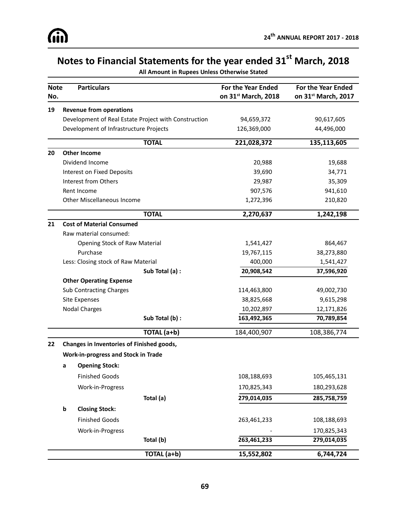| All Amount in Rupees Unless Otherwise Stated |  |  |  |
|----------------------------------------------|--|--|--|
|----------------------------------------------|--|--|--|

| <b>Note</b><br>No. |                               | <b>Particulars</b>                         |                                                      | <b>For the Year Ended</b><br>on 31st March, 2018 | <b>For the Year Ended</b><br>on 31 <sup>st</sup> March, 2017 |
|--------------------|-------------------------------|--------------------------------------------|------------------------------------------------------|--------------------------------------------------|--------------------------------------------------------------|
| 19                 |                               | <b>Revenue from operations</b>             |                                                      |                                                  |                                                              |
|                    |                               |                                            | Development of Real Estate Project with Construction | 94,659,372                                       | 90,617,605                                                   |
|                    |                               | Development of Infrastructure Projects     |                                                      | 126,369,000                                      | 44,496,000                                                   |
|                    |                               |                                            | <b>TOTAL</b>                                         | 221,028,372                                      | 135,113,605                                                  |
| 20                 |                               | <b>Other Income</b>                        |                                                      |                                                  |                                                              |
|                    |                               | Dividend Income                            |                                                      | 20,988                                           | 19,688                                                       |
|                    |                               | Interest on Fixed Deposits                 |                                                      | 39,690                                           | 34,771                                                       |
|                    |                               | Interest from Others                       |                                                      | 29,987                                           | 35,309                                                       |
|                    |                               | Rent Income                                |                                                      | 907,576                                          | 941,610                                                      |
|                    |                               | Other Miscellaneous Income                 |                                                      | 1,272,396                                        | 210,820                                                      |
|                    |                               |                                            | <b>TOTAL</b>                                         | 2,270,637                                        | 1,242,198                                                    |
| 21                 |                               | <b>Cost of Material Consumed</b>           |                                                      |                                                  |                                                              |
|                    |                               | Raw material consumed:                     |                                                      |                                                  |                                                              |
|                    | Opening Stock of Raw Material |                                            |                                                      | 1,541,427                                        | 864,467                                                      |
|                    |                               | Purchase                                   |                                                      | 19,767,115                                       | 38,273,880                                                   |
|                    |                               | Less: Closing stock of Raw Material        |                                                      | 400,000                                          | 1,541,427                                                    |
|                    |                               |                                            | Sub Total (a) :                                      | 20,908,542                                       | 37,596,920                                                   |
|                    |                               | <b>Other Operating Expense</b>             |                                                      |                                                  |                                                              |
|                    |                               | <b>Sub Contracting Charges</b>             |                                                      | 114,463,800                                      | 49,002,730                                                   |
|                    |                               | Site Expenses                              |                                                      | 38,825,668                                       | 9,615,298                                                    |
|                    |                               | <b>Nodal Charges</b>                       |                                                      | 10,202,897                                       | 12,171,826                                                   |
|                    |                               |                                            | Sub Total (b) :                                      | 163,492,365                                      | 70,789,854                                                   |
|                    |                               |                                            | TOTAL (a+b)                                          | 184,400,907                                      | 108,386,774                                                  |
| 22                 |                               | Changes in Inventories of Finished goods,  |                                                      |                                                  |                                                              |
|                    |                               | <b>Work-in-progress and Stock in Trade</b> |                                                      |                                                  |                                                              |
|                    | a                             | <b>Opening Stock:</b>                      |                                                      |                                                  |                                                              |
|                    |                               | <b>Finished Goods</b>                      |                                                      | 108,188,693                                      | 105,465,131                                                  |
|                    |                               | Work-in-Progress                           |                                                      | 170,825,343                                      | 180,293,628                                                  |
|                    |                               |                                            | Total (a)                                            | 279,014,035                                      | 285,758,759                                                  |
|                    | b                             | <b>Closing Stock:</b>                      |                                                      |                                                  |                                                              |
|                    |                               | <b>Finished Goods</b>                      |                                                      | 263,461,233                                      | 108,188,693                                                  |
|                    |                               | Work-in-Progress                           |                                                      |                                                  | 170,825,343                                                  |
|                    |                               |                                            | Total (b)                                            | 263,461,233                                      | 279,014,035                                                  |
|                    |                               |                                            | TOTAL (a+b)                                          | 15,552,802                                       | 6,744,724                                                    |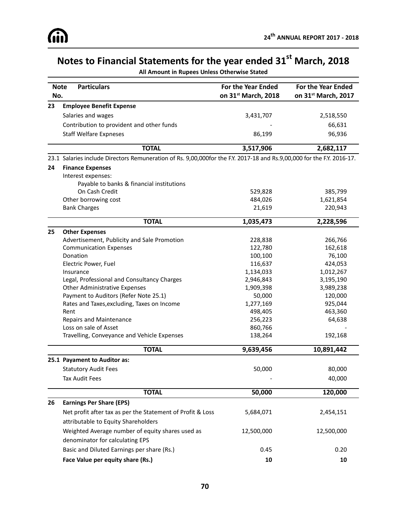**All Amount in Rupees Unless Otherwise Stated**

| <b>Note</b> | <b>Particulars</b>                                                                                                     | <b>For the Year Ended</b> | <b>For the Year Ended</b> |  |
|-------------|------------------------------------------------------------------------------------------------------------------------|---------------------------|---------------------------|--|
| No.         |                                                                                                                        | on 31st March, 2018       | on 31st March, 2017       |  |
| 23          | <b>Employee Benefit Expense</b>                                                                                        |                           |                           |  |
|             | Salaries and wages                                                                                                     | 3,431,707                 | 2,518,550                 |  |
|             | Contribution to provident and other funds                                                                              |                           | 66,631                    |  |
|             | <b>Staff Welfare Expneses</b>                                                                                          | 86,199                    | 96,936                    |  |
|             | <b>TOTAL</b>                                                                                                           | 3,517,906                 | 2,682,117                 |  |
|             | 23.1 Salaries include Directors Remuneration of Rs. 9,00,000for the F.Y. 2017-18 and Rs.9,00,000 for the F.Y. 2016-17. |                           |                           |  |
| 24          | <b>Finance Expenses</b>                                                                                                |                           |                           |  |
|             | Interest expenses:                                                                                                     |                           |                           |  |
|             | Payable to banks & financial institutions                                                                              |                           |                           |  |
|             | On Cash Credit                                                                                                         | 529,828                   | 385,799                   |  |
|             | Other borrowing cost                                                                                                   | 484,026                   | 1,621,854                 |  |
|             | <b>Bank Charges</b>                                                                                                    | 21,619                    | 220,943                   |  |
|             | <b>TOTAL</b>                                                                                                           | 1,035,473                 | 2,228,596                 |  |
| 25          | <b>Other Expenses</b>                                                                                                  |                           |                           |  |
|             | Advertisement, Publicity and Sale Promotion                                                                            | 228,838                   | 266,766                   |  |
|             | <b>Communication Expenses</b>                                                                                          | 122,780                   | 162,618                   |  |
|             | Donation                                                                                                               | 100,100                   | 76,100                    |  |
|             | Electric Power, Fuel                                                                                                   | 116,637                   | 424,053                   |  |
|             | Insurance                                                                                                              | 1,134,033                 | 1,012,267                 |  |
|             | Legal, Professional and Consultancy Charges                                                                            | 2,946,843                 | 3,195,190                 |  |
|             | <b>Other Administrative Expenses</b>                                                                                   | 1,909,398                 | 3,989,238                 |  |
|             | Payment to Auditors (Refer Note 25.1)                                                                                  | 50,000                    | 120,000                   |  |
|             | Rates and Taxes, excluding, Taxes on Income                                                                            | 1,277,169                 | 925,044                   |  |
|             | Rent                                                                                                                   | 498,405                   | 463,360                   |  |
|             | Repairs and Maintenance                                                                                                | 256,223                   | 64,638                    |  |
|             | Loss on sale of Asset                                                                                                  | 860,766                   |                           |  |
|             | Travelling, Conveyance and Vehicle Expenses                                                                            | 138,264                   | 192,168                   |  |
|             | <b>TOTAL</b>                                                                                                           | 9,639,456                 | 10,891,442                |  |
|             | 25.1 Payament to Auditor as:                                                                                           |                           |                           |  |
|             | <b>Statutory Audit Fees</b>                                                                                            | 50,000                    | 80,000                    |  |
|             | Tax Audit Fees                                                                                                         |                           | 40,000                    |  |
|             | <b>TOTAL</b>                                                                                                           | 50,000                    | 120,000                   |  |
| 26          | <b>Earnings Per Share (EPS)</b>                                                                                        |                           |                           |  |
|             | Net profit after tax as per the Statement of Profit & Loss                                                             | 5,684,071                 | 2,454,151                 |  |
|             | attributable to Equity Shareholders                                                                                    |                           |                           |  |
|             | Weighted Average number of equity shares used as                                                                       | 12,500,000                | 12,500,000                |  |
|             | denominator for calculating EPS                                                                                        |                           |                           |  |
|             | Basic and Diluted Earnings per share (Rs.)                                                                             | 0.45                      | 0.20                      |  |
|             | Face Value per equity share (Rs.)                                                                                      | 10                        | 10                        |  |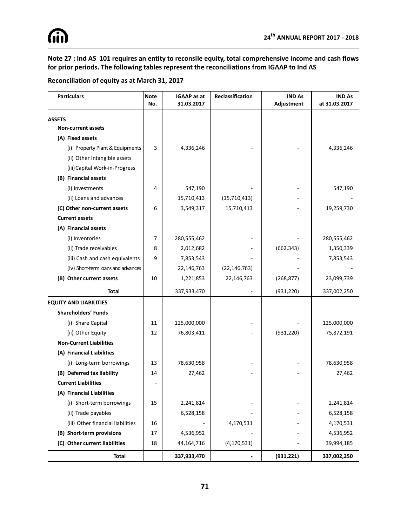**Note 27 : Ind AS 101 requires an entity to reconsile equity, total comprehensive income and cash flows for prior periods. The following tables represent the reconciliations from IGAAP to Ind AS**

### **Reconciliation of equity as at March 31, 2017**

| <b>Particulars</b>                 | <b>Note</b><br>No. | <b>IGAAP</b> as at<br>31.03.2017 | Reclassification | <b>IND As</b><br>Adjustment | <b>IND As</b><br>at 31.03.2017 |
|------------------------------------|--------------------|----------------------------------|------------------|-----------------------------|--------------------------------|
| <b>ASSETS</b>                      |                    |                                  |                  |                             |                                |
| <b>Non-current assets</b>          |                    |                                  |                  |                             |                                |
| (A) Fixed assets                   |                    |                                  |                  |                             |                                |
| (i) Property Plant & Equipments    | 3                  | 4,336,246                        |                  |                             | 4,336,246                      |
| (ii) Other Intangible assets       |                    |                                  |                  |                             |                                |
| (iii) Capital Work-in-Progress     |                    |                                  |                  |                             |                                |
| (B) Financial assets               |                    |                                  |                  |                             |                                |
| (i) Investments                    | 4                  | 547,190                          |                  |                             | 547,190                        |
| (ii) Loans and advances            |                    | 15,710,413                       | (15,710,413)     |                             |                                |
| (C) Other non-current assets       | 6                  | 3,549,317                        | 15,710,413       |                             | 19,259,730                     |
| <b>Current assets</b>              |                    |                                  |                  |                             |                                |
| (A) Financial assets               |                    |                                  |                  |                             |                                |
| (i) Inventories                    | 7                  | 280,555,462                      |                  |                             | 280,555,462                    |
| (ii) Trade receivables             | 8                  | 2,012,682                        |                  | (662, 343)                  | 1,350,339                      |
| (iii) Cash and cash equivalents    | 9                  | 7,853,543                        |                  |                             | 7,853,543                      |
| (iv) Short-term loans and advances |                    | 22,146,763                       | (22, 146, 763)   |                             |                                |
| (B) Other current assets           | 10                 | 1,221,853                        | 22,146,763       | (268, 877)                  | 23,099,739                     |
| Total                              |                    | 337,933,470                      |                  | (931, 220)                  | 337,002,250                    |
| <b>EQUITY AND LIABILITIES</b>      |                    |                                  |                  |                             |                                |
| <b>Shareholders' Funds</b>         |                    |                                  |                  |                             |                                |
| (i) Share Capital                  | 11                 | 125,000,000                      |                  |                             | 125,000,000                    |
| (ii) Other Equity                  | 12                 | 76,803,411                       |                  | (931, 220)                  | 75,872,191                     |
| <b>Non-Current Liabilities</b>     |                    |                                  |                  |                             |                                |
| (A) Financial Liabilities          |                    |                                  |                  |                             |                                |
| (i) Long-term borrowings           | 13                 | 78,630,958                       |                  |                             | 78,630,958                     |
| (B) Deferred tax liability         | 14                 | 27,462                           |                  |                             | 27,462                         |
| <b>Current Liabilities</b>         |                    |                                  |                  |                             |                                |
| (A) Financial Liabilities          |                    |                                  |                  |                             |                                |
| (i) Short-term borrowings          | 15                 | 2,241,814                        |                  |                             | 2,241,814                      |
| (ii) Trade payables                |                    | 6,528,158                        |                  |                             | 6,528,158                      |
| (iii) Other financial liabilities  | 16                 |                                  | 4,170,531        |                             | 4,170,531                      |
| (B) Short-term provisions          | 17                 | 4,536,952                        |                  |                             | 4,536,952                      |
| (C) Other current liabilities      | 18                 | 44,164,716                       | (4, 170, 531)    |                             | 39,994,185                     |
| <b>Total</b>                       |                    | 337,933,470                      |                  | (931, 221)                  | 337,002,250                    |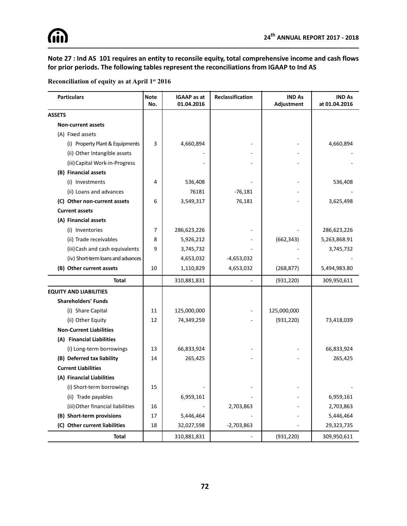**Note 27 : Ind AS 101 requires an entity to reconsile equity, total comprehensive income and cash flows for prior periods. The following tables represent the reconciliations from IGAAP to Ind AS**

| Reconciliation of equity as at April 1st 2016 |  |  |  |  |
|-----------------------------------------------|--|--|--|--|
|                                               |  |  |  |  |

| <b>Particulars</b>                 | <b>Note</b><br>No. | <b>IGAAP</b> as at<br>01.04.2016 | Reclassification | <b>IND As</b><br>Adjustment | <b>IND As</b><br>at 01.04.2016 |
|------------------------------------|--------------------|----------------------------------|------------------|-----------------------------|--------------------------------|
| <b>ASSETS</b>                      |                    |                                  |                  |                             |                                |
| <b>Non-current assets</b>          |                    |                                  |                  |                             |                                |
| (A) Fixed assets                   |                    |                                  |                  |                             |                                |
| (i) Property Plant & Equipments    | 3                  | 4,660,894                        |                  |                             | 4,660,894                      |
| (ii) Other Intangible assets       |                    |                                  |                  |                             |                                |
| (iii) Capital Work-in-Progress     |                    |                                  |                  |                             |                                |
| (B) Financial assets               |                    |                                  |                  |                             |                                |
| (i) Investments                    | 4                  | 536,408                          |                  |                             | 536,408                        |
| (ii) Loans and advances            |                    | 76181                            | $-76,181$        |                             |                                |
| (C) Other non-current assets       | 6                  | 3,549,317                        | 76,181           |                             | 3,625,498                      |
| <b>Current assets</b>              |                    |                                  |                  |                             |                                |
| (A) Financial assets               |                    |                                  |                  |                             |                                |
| (i) Inventories                    | 7                  | 286,623,226                      |                  |                             | 286,623,226                    |
| (ii) Trade receivables             | 8                  | 5,926,212                        |                  | (662, 343)                  | 5,263,868.91                   |
| (iii) Cash and cash equivalents    | 9                  | 3,745,732                        |                  |                             | 3,745,732                      |
| (iv) Short-term loans and advances |                    | 4,653,032                        | $-4,653,032$     |                             |                                |
| (B) Other current assets           | 10                 | 1,110,829                        | 4,653,032        | (268, 877)                  | 5,494,983.80                   |
| Total                              |                    | 310,881,831                      |                  | (931, 220)                  | 309,950,611                    |
| <b>EQUITY AND LIABILITIES</b>      |                    |                                  |                  |                             |                                |
| <b>Shareholders' Funds</b>         |                    |                                  |                  |                             |                                |
| (i) Share Capital                  | 11                 | 125,000,000                      |                  | 125,000,000                 |                                |
| (ii) Other Equity                  | 12                 | 74,349,259                       |                  | (931, 220)                  | 73,418,039                     |
| <b>Non-Current Liabilities</b>     |                    |                                  |                  |                             |                                |
| (A) Financial Liabilities          |                    |                                  |                  |                             |                                |
| (i) Long-term borrowings           | 13                 | 66,833,924                       |                  |                             | 66,833,924                     |
| (B) Deferred tax liability         | 14                 | 265,425                          |                  |                             | 265,425                        |
| <b>Current Liabilities</b>         |                    |                                  |                  |                             |                                |
| (A) Financial Liabilities          |                    |                                  |                  |                             |                                |
| (i) Short-term borrowings          | 15                 |                                  |                  |                             |                                |
| (ii) Trade payables                |                    | 6,959,161                        |                  |                             | 6,959,161                      |
| (iii) Other financial liabilities  | 16                 |                                  | 2,703,863        |                             | 2,703,863                      |
| (B) Short-term provisions          | 17                 | 5,446,464                        |                  |                             | 5,446,464                      |
| (C) Other current liabilities      | 18                 | 32,027,598                       | $-2,703,863$     |                             | 29,323,735                     |
| <b>Total</b>                       |                    | 310,881,831                      |                  | (931, 220)                  | 309,950,611                    |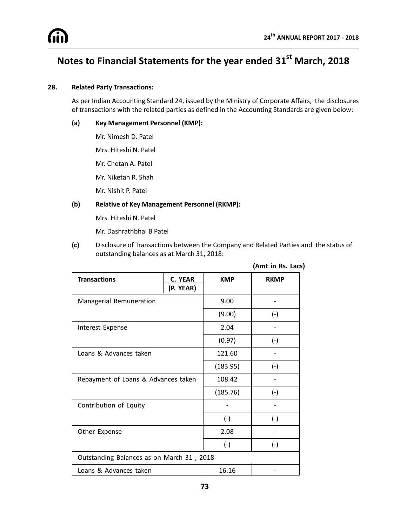## **Notes to Financial Statements for the year ended 31st March, 2018**

### **28. Related Party Transactions:**

As per Indian Accounting Standard 24, issued by the Ministry of Corporate Affairs, the disclosures of transactions with the related parties as defined in the Accounting Standards are given below:

#### **(a) Key Management Personnel (KMP):**

Mr. Nimesh D. Patel

Mrs. Hiteshi N. Patel

Mr. Chetan A. Patel

Mr. Niketan R. Shah

Mr. Nishit P. Patel

### **(b) Relative of Key Management Personnel (RKMP):**

Mrs. Hiteshi N. Patel

Mr. Dashrathbhai B Patel

**(c)** Disclosure of Transactions between the Company and Related Parties andthe status of outstanding balances as at March 31, 2018:

|                                           |                      |            | (Amt in Rs. Lacs) |  |
|-------------------------------------------|----------------------|------------|-------------------|--|
| <b>Transactions</b>                       | C. YEAR<br>(P. YEAR) | <b>KMP</b> | <b>RKMP</b>       |  |
| Managerial Remuneration                   |                      | 9.00       |                   |  |
|                                           |                      | (9.00)     | $(-)$             |  |
| Interest Expense                          |                      | 2.04       |                   |  |
|                                           |                      | (0.97)     | $(-)$             |  |
| Loans & Advances taken                    |                      | 121.60     |                   |  |
|                                           |                      | (183.95)   | $(-)$             |  |
| Repayment of Loans & Advances taken       |                      | 108.42     |                   |  |
|                                           |                      | (185.76)   | $(-)$             |  |
| Contribution of Equity                    |                      |            |                   |  |
|                                           |                      | $(-)$      | $(-)$             |  |
| Other Expense                             |                      | 2.08       |                   |  |
|                                           |                      | $(-)$      | $(-)$             |  |
| Outstanding Balances as on March 31, 2018 |                      |            |                   |  |
| Loans & Advances taken                    |                      | 16.16      |                   |  |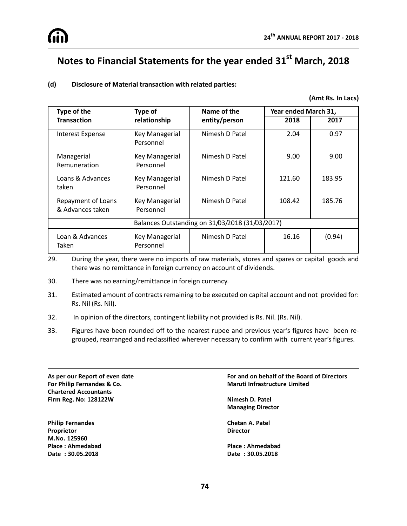

## **Notes to Financial Statements for the year ended 31st March, 2018**

### **(d) Disclosure of Material transaction with related parties:**

#### **(Amt Rs. In Lacs)**

| Type of the                                     | Type of                            | Name of the    | Year ended March 31, |        |  |
|-------------------------------------------------|------------------------------------|----------------|----------------------|--------|--|
| <b>Transaction</b>                              | relationship                       | entity/person  | 2018                 | 2017   |  |
| <b>Interest Expense</b>                         | Key Managerial<br>Personnel        | Nimesh D Patel | 2.04                 | 0.97   |  |
| Managerial<br>Remuneration                      | Key Managerial<br>Personnel        | Nimesh D Patel | 9.00                 | 9.00   |  |
| Loans & Advances<br>taken                       | Key Managerial<br>Personnel        | Nimesh D Patel | 121.60               | 183.95 |  |
| Repayment of Loans<br>& Advances taken          | <b>Key Managerial</b><br>Personnel | Nimesh D Patel | 108.42               | 185.76 |  |
| Balances Outstanding on 31/03/2018 (31/03/2017) |                                    |                |                      |        |  |
| Loan & Advances<br>Taken                        | Key Managerial<br>Personnel        | Nimesh D Patel | 16.16                | (0.94) |  |

29. During the year, there were no imports of raw materials, stores and spares or capital goods and there was no remittance in foreign currency on account of dividends.

- 30. There was no earning/remittance in foreign currency.
- 31. Estimated amount of contracts remaining to be executed on capital account and not provided for: Rs. Nil (Rs. Nil).
- 32. In opinion of the directors, contingent liability not provided is Rs. Nil. (Rs. Nil).
- 33. Figures have been rounded off to the nearest rupee and previous year's figures have been regrouped, rearranged and reclassified wherever necessary to confirm with current year's figures.

**For Philip Fernandes & Co. Maruti Infrastructure Limited Chartered Accountants Firm Reg. No: 128122W Nimesh D. Patel**

**Philip Fernandes Chetan A. Patel Proprietor Director M.No. 125960 Place : Ahmedabad Place : Ahmedabad Date : 30.05.2018 Date : 30.05.2018**

# **As per our Report of even date For and on behalf of the Board of Directors**

# **Managing Director**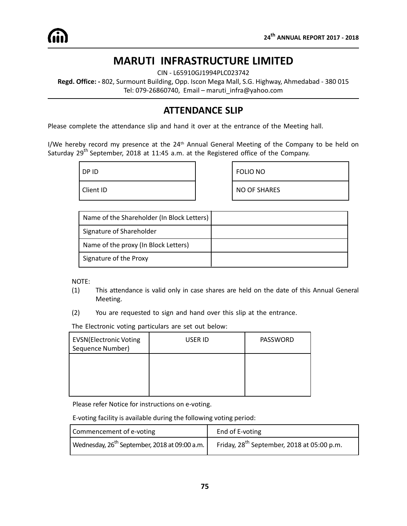## **MARUTI INFRASTRUCTURE LIMITED**

CIN - L65910GJ1994PLC023742

**Regd. Office: -** 802, Surmount Building, Opp. Iscon Mega Mall, S.G. Highway, Ahmedabad - 380 015 Tel: 079-26860740, Email – maruti\_infra@yahoo.com

## **ATTENDANCE SLIP**

Please complete the attendance slip and hand it over at the entrance of the Meeting hall.

I/We hereby record my presence at the 24<sup>th</sup> Annual General Meeting of the Company to be held on Saturday 29<sup>th</sup> September, 2018 at 11:45 a.m. at the Registered office of the Company.

DP ID FOLIO NO Client ID **NO OF SHARES** 

| Name of the Shareholder (In Block Letters) |  |
|--------------------------------------------|--|
| Signature of Shareholder                   |  |
| Name of the proxy (In Block Letters)       |  |
| Signature of the Proxy                     |  |

NOTE:

- (1) This attendance is valid only in case shares are held on the date of this Annual General Meeting.
- (2) You are requested to sign and hand over this slip at the entrance.

The Electronic voting particulars are set out below:

| EVSN(Electronic Voting<br>Sequence Number) | USER ID | <b>PASSWORD</b> |
|--------------------------------------------|---------|-----------------|
|                                            |         |                 |
|                                            |         |                 |

Please refer Notice for instructions on e-voting.

E-voting facility is available during the following voting period:

| Commencement of e-voting                                          | End of E-voting                                 |
|-------------------------------------------------------------------|-------------------------------------------------|
| Wednesday, 26 <sup>th</sup> September, 2018 at 09:00 a.m. $\vert$ | Friday, $28^{th}$ September, 2018 at 05:00 p.m. |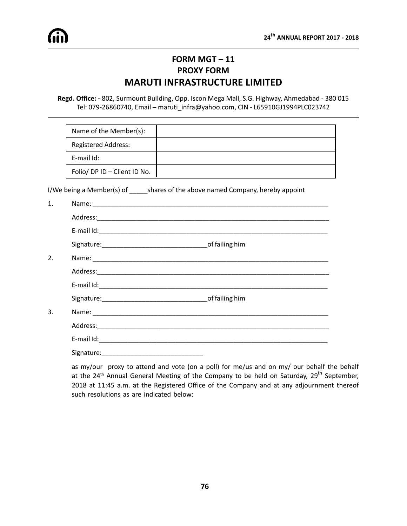## **FORM MGT – 11 PROXY FORM MARUTI INFRASTRUCTURE LIMITED**

**Regd. Office: -** 802, Surmount Building, Opp. Iscon Mega Mall, S.G. Highway, Ahmedabad - 380 015 Tel: 079-26860740, Email – maruti\_infra@yahoo.com, CIN - L65910GJ1994PLC023742

| Name of the Member(s):       |  |
|------------------------------|--|
| <b>Registered Address:</b>   |  |
| E-mail Id:                   |  |
| Folio/ DP ID - Client ID No. |  |

I/We being a Member(s) of \_\_\_\_\_\_\_shares of the above named Company, hereby appoint

| $\mathbf{1}$ . |  |
|----------------|--|
|                |  |
|                |  |
|                |  |
| 2.             |  |
|                |  |
|                |  |
|                |  |
| 3.             |  |
|                |  |
|                |  |
|                |  |

as my/our proxy to attend and vote (on a poll) for me/us and on my/ our behalf the behalf at the  $24^{th}$  Annual General Meeting of the Company to be held on Saturday,  $29^{th}$  September, 2018 at 11:45 a.m. at the Registered Office of the Company and at any adjournment thereof such resolutions as are indicated below: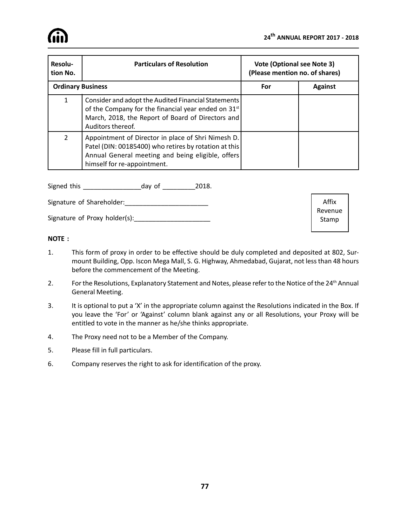| Resolu-<br>tion No.      | <b>Particulars of Resolution</b>                                                                                                                                                                 | <b>Vote (Optional see Note 3)</b><br>(Please mention no. of shares) |                |  |
|--------------------------|--------------------------------------------------------------------------------------------------------------------------------------------------------------------------------------------------|---------------------------------------------------------------------|----------------|--|
| <b>Ordinary Business</b> |                                                                                                                                                                                                  | For                                                                 | <b>Against</b> |  |
| 1                        | Consider and adopt the Audited Financial Statements<br>of the Company for the financial year ended on 31 <sup>st</sup><br>March, 2018, the Report of Board of Directors and<br>Auditors thereof. |                                                                     |                |  |
| $\overline{2}$           | Appointment of Director in place of Shri Nimesh D.<br>Patel (DIN: 00185400) who retires by rotation at this<br>Annual General meeting and being eligible, offers<br>himself for re-appointment.  |                                                                     |                |  |

Signed this \_\_\_\_\_\_\_\_\_\_\_\_\_\_\_\_day of \_\_\_\_\_\_\_\_\_2018.

Signature of Shareholder:\_\_\_\_\_\_\_\_\_\_\_\_\_\_\_\_\_\_\_\_\_\_\_

Signature of Proxy holder(s):\_\_\_\_\_\_\_\_\_\_\_\_\_\_\_\_\_\_\_\_\_

Affix Revenue Stamp

### **NOTE :**

- 1. This form of proxy in order to be effective should be duly completed and deposited at 802, Surmount Building, Opp. Iscon Mega Mall, S. G. Highway, Ahmedabad, Gujarat, not less than 48 hours before the commencement of the Meeting.
- 2. For the Resolutions, Explanatory Statement and Notes, please refer to the Notice of the 24<sup>th</sup> Annual General Meeting.
- 3. It is optional to put a 'X' in the appropriate column against the Resolutions indicated in the Box. If you leave the 'For' or 'Against' column blank against any or all Resolutions, your Proxy will be entitled to vote in the manner as he/she thinks appropriate.
- 4. The Proxy need not to be a Member of the Company.
- 5. Please fill in full particulars.
- 6. Company reserves the right to ask for identification of the proxy.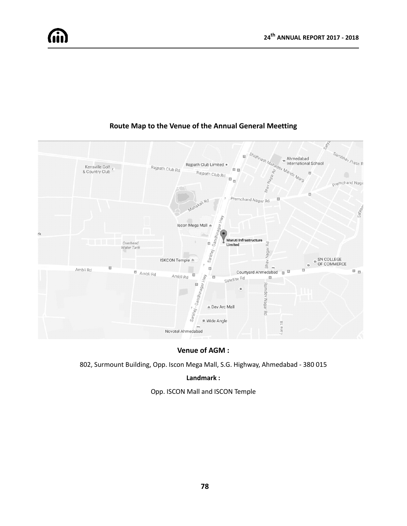

### **Route Map to the Venue of the Annual General Meetting**

### **Venue of AGM :**

802, Surmount Building, Opp. Iscon Mega Mall, S.G. Highway, Ahmedabad - 380 015

### **Landmark :**

Opp. ISCON Mall and ISCON Temple